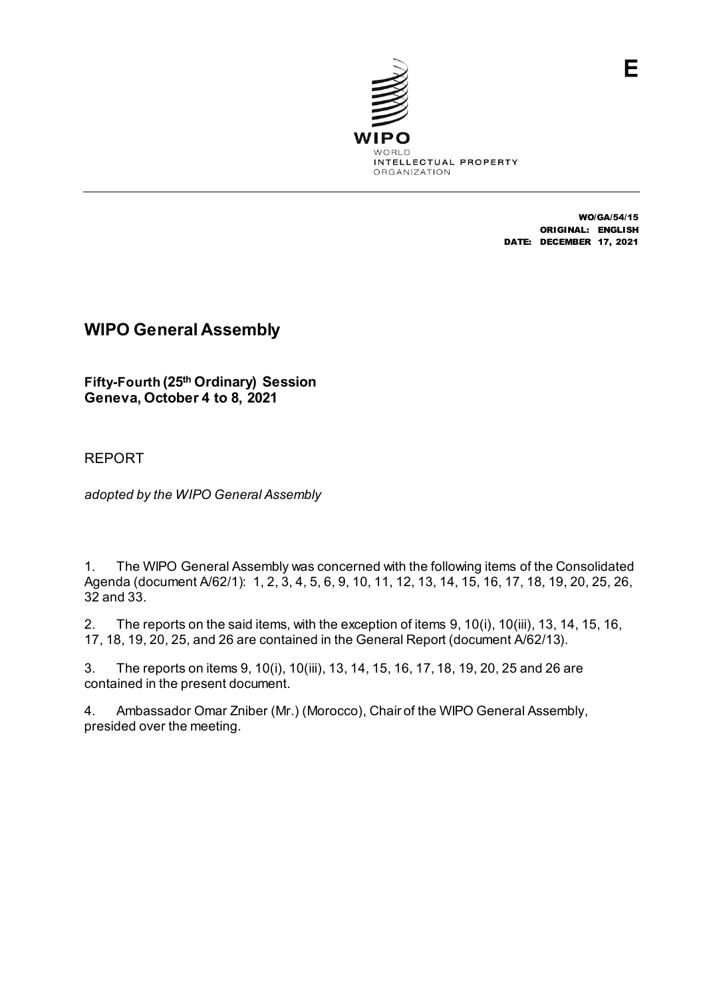

WO/GA/54/15 ORIGINAL: ENGLISH DATE: DECEMBER 17, 2021

# **WIPO General Assembly**

**Fifty-Fourth (25th Ordinary) Session Geneva, October 4 to 8, 2021**

# REPORT

*adopted by the WIPO General Assembly*

1. The WIPO General Assembly was concerned with the following items of the Consolidated Agenda (document A/62/1): 1, 2, 3, 4, 5, 6, 9, 10, 11, 12, 13, 14, 15, 16, 17, 18, 19, 20, 25, 26, 32 and 33.

2. The reports on the said items, with the exception of items 9, 10(i), 10(iii), 13, 14, 15, 16, 17, 18, 19, 20, 25, and 26 are contained in the General Report (document A/62/13).

3. The reports on items 9, 10(i), 10(iii), 13, 14, 15, 16, 17, 18, 19, 20, 25 and 26 are contained in the present document.

4. Ambassador Omar Zniber (Mr.) (Morocco), Chair of the WIPO General Assembly, presided over the meeting.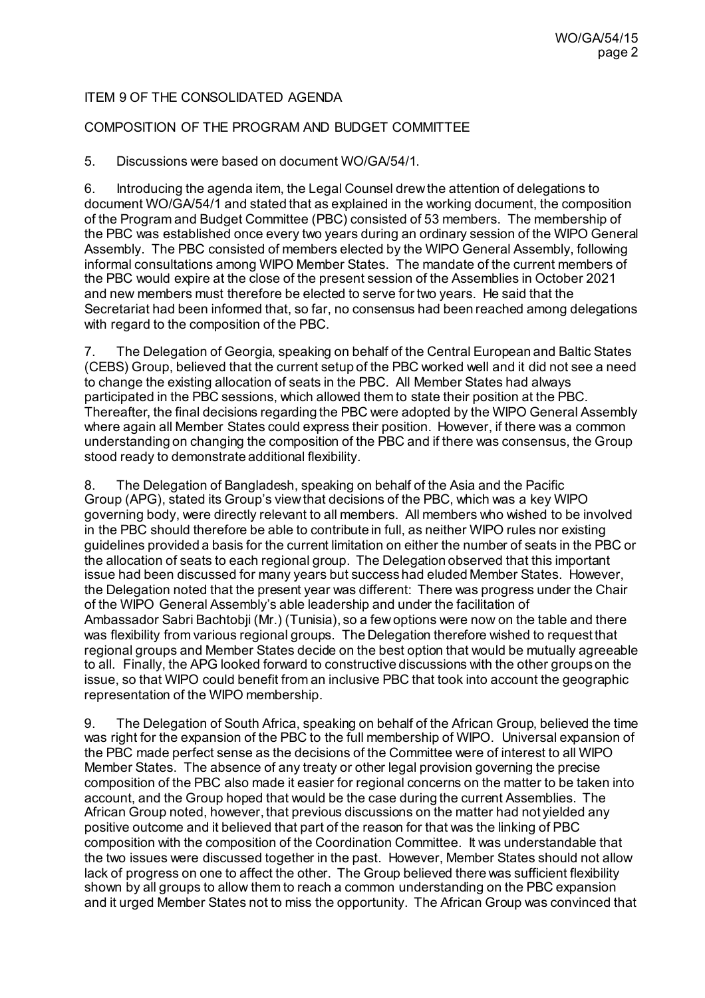## ITEM 9 OF THE CONSOLIDATED AGENDA

### COMPOSITION OF THE PROGRAM AND BUDGET COMMITTEE

5. Discussions were based on document [WO/GA/54/1](https://www.wipo.int/about-wipo/en/assemblies/2021/a_62/doc_details.jsp?doc_id=547735).

6. Introducing the agenda item, the Legal Counsel drew the attention of delegations to document WO/GA/54/1 and stated that as explained in the working document, the composition of the Program and Budget Committee (PBC) consisted of 53 members. The membership of the PBC was established once every two years during an ordinary session of the WIPO General Assembly. The PBC consisted of members elected by the WIPO General Assembly, following informal consultations among WIPO Member States. The mandate of the current members of the PBC would expire at the close of the present session of the Assemblies in October 2021 and new members must therefore be elected to serve for two years. He said that the Secretariat had been informed that, so far, no consensus had been reached among delegations with regard to the composition of the PBC.

7. The Delegation of Georgia, speaking on behalf of the Central European and Baltic States (CEBS) Group, believed that the current setup of the PBC worked well and it did not see a need to change the existing allocation of seats in the PBC. All Member States had always participated in the PBC sessions, which allowed them to state their position at the PBC. Thereafter, the final decisions regarding the PBC were adopted by the WIPO General Assembly where again all Member States could express their position. However, if there was a common understanding on changing the composition of the PBC and if there was consensus, the Group stood ready to demonstrate additional flexibility.

8. The Delegation of Bangladesh, speaking on behalf of the Asia and the Pacific Group (APG), stated its Group's view that decisions of the PBC, which was a key WIPO governing body, were directly relevant to all members. All members who wished to be involved in the PBC should therefore be able to contribute in full, as neither WIPO rules nor existing guidelines provided a basis for the current limitation on either the number of seats in the PBC or the allocation of seats to each regional group. The Delegation observed that this important issue had been discussed for many years but success had eluded Member States. However, the Delegation noted that the present year was different: There was progress under the Chair of the WIPO General Assembly's able leadership and under the facilitation of Ambassador Sabri Bachtobji (Mr.) (Tunisia), so a few options were now on the table and there was flexibility from various regional groups. The Delegation therefore wished to request that regional groups and Member States decide on the best option that would be mutually agreeable to all. Finally, the APG looked forward to constructive discussions with the other groups on the issue, so that WIPO could benefit from an inclusive PBC that took into account the geographic representation of the WIPO membership.

9. The Delegation of South Africa, speaking on behalf of the African Group, believed the time was right for the expansion of the PBC to the full membership of WIPO. Universal expansion of the PBC made perfect sense as the decisions of the Committee were of interest to all WIPO Member States. The absence of any treaty or other legal provision governing the precise composition of the PBC also made it easier for regional concerns on the matter to be taken into account, and the Group hoped that would be the case during the current Assemblies. The African Group noted, however, that previous discussions on the matter had not yielded any positive outcome and it believed that part of the reason for that was the linking of PBC composition with the composition of the Coordination Committee. It was understandable that the two issues were discussed together in the past. However, Member States should not allow lack of progress on one to affect the other. The Group believed there was sufficient flexibility shown by all groups to allow them to reach a common understanding on the PBC expansion and it urged Member States not to miss the opportunity. The African Group was convinced that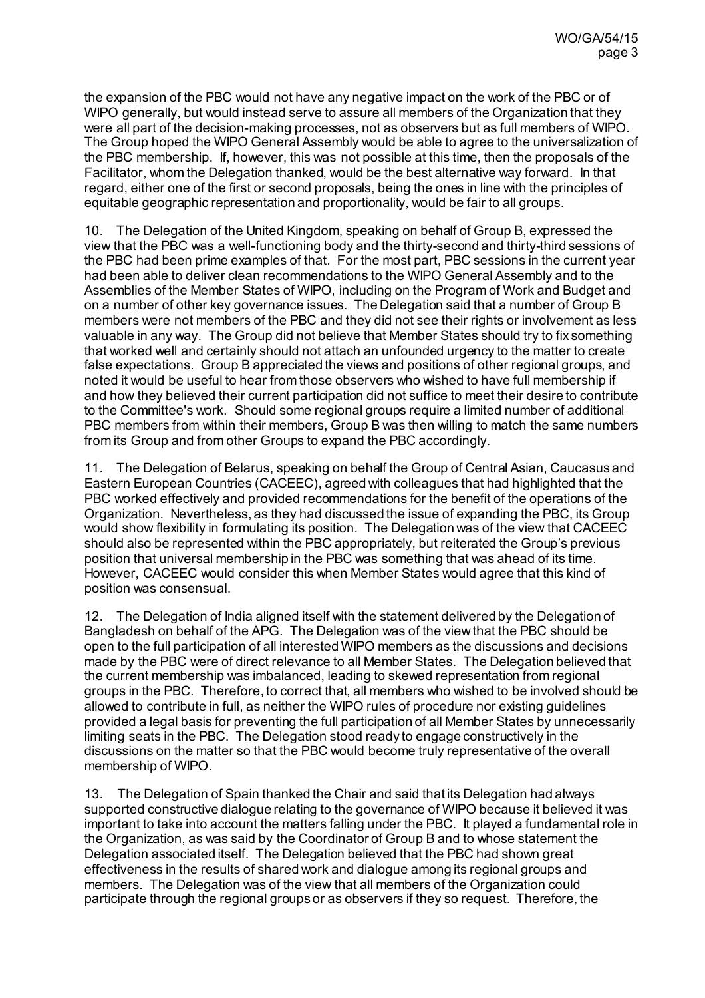the expansion of the PBC would not have any negative impact on the work of the PBC or of WIPO generally, but would instead serve to assure all members of the Organization that they were all part of the decision-making processes, not as observers but as full members of WIPO. The Group hoped the WIPO General Assembly would be able to agree to the universalization of the PBC membership. If, however, this was not possible at this time, then the proposals of the Facilitator, whom the Delegation thanked, would be the best alternative way forward. In that regard, either one of the first or second proposals, being the ones in line with the principles of equitable geographic representation and proportionality, would be fair to all groups.

10. The Delegation of the United Kingdom, speaking on behalf of Group B, expressed the view that the PBC was a well-functioning body and the thirty-second and thirty-third sessions of the PBC had been prime examples of that. For the most part, PBC sessions in the current year had been able to deliver clean recommendations to the WIPO General Assembly and to the Assemblies of the Member States of WIPO, including on the Program of Work and Budget and on a number of other key governance issues. The Delegation said that a number of Group B members were not members of the PBC and they did not see their rights or involvement as less valuable in any way. The Group did not believe that Member States should try to fix something that worked well and certainly should not attach an unfounded urgency to the matter to create false expectations. Group B appreciated the views and positions of other regional groups, and noted it would be useful to hear from those observers who wished to have full membership if and how they believed their current participation did not suffice to meet their desire to contribute to the Committee's work. Should some regional groups require a limited number of additional PBC members from within their members, Group B was then willing to match the same numbers from its Group and from other Groups to expand the PBC accordingly.

11. The Delegation of Belarus, speaking on behalf the Group of Central Asian, Caucasus and Eastern European Countries (CACEEC), agreed with colleagues that had highlighted that the PBC worked effectively and provided recommendations for the benefit of the operations of the Organization. Nevertheless, as they had discussed the issue of expanding the PBC, its Group would show flexibility in formulating its position. The Delegation was of the view that CACEEC should also be represented within the PBC appropriately, but reiterated the Group's previous position that universal membership in the PBC was something that was ahead of its time. However, CACEEC would consider this when Member States would agree that this kind of position was consensual.

12. The Delegation of India aligned itself with the statement delivered by the Delegation of Bangladesh on behalf of the APG. The Delegation was of the view that the PBC should be open to the full participation of all interested WIPO members as the discussions and decisions made by the PBC were of direct relevance to all Member States. The Delegation believed that the current membership was imbalanced, leading to skewed representation from regional groups in the PBC. Therefore, to correct that, all members who wished to be involved should be allowed to contribute in full, as neither the WIPO rules of procedure nor existing guidelines provided a legal basis for preventing the full participation of all Member States by unnecessarily limiting seats in the PBC. The Delegation stood ready to engage constructively in the discussions on the matter so that the PBC would become truly representative of the overall membership of WIPO.

13. The Delegation of Spain thanked the Chair and said that its Delegation had always supported constructive dialogue relating to the governance of WIPO because it believed it was important to take into account the matters falling under the PBC. It played a fundamental role in the Organization, as was said by the Coordinator of Group B and to whose statement the Delegation associated itself. The Delegation believed that the PBC had shown great effectiveness in the results of shared work and dialogue among its regional groups and members. The Delegation was of the view that all members of the Organization could participate through the regional groups or as observers if they so request. Therefore, the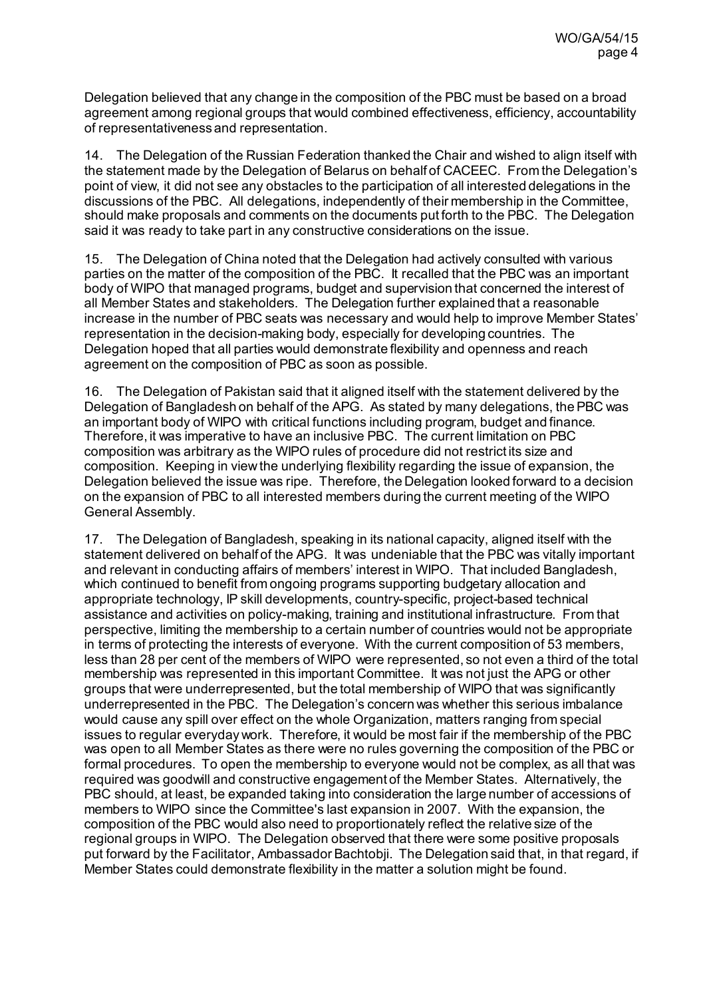Delegation believed that any change in the composition of the PBC must be based on a broad agreement among regional groups that would combined effectiveness, efficiency, accountability of representativeness and representation.

14. The Delegation of the Russian Federation thanked the Chair and wished to align itself with the statement made by the Delegation of Belarus on behalf of CACEEC. From the Delegation's point of view, it did not see any obstacles to the participation of all interested delegations in the discussions of the PBC. All delegations, independently of their membership in the Committee, should make proposals and comments on the documents put forth to the PBC. The Delegation said it was ready to take part in any constructive considerations on the issue.

15. The Delegation of China noted that the Delegation had actively consulted with various parties on the matter of the composition of the PBC. It recalled that the PBC was an important body of WIPO that managed programs, budget and supervision that concerned the interest of all Member States and stakeholders. The Delegation further explained that a reasonable increase in the number of PBC seats was necessary and would help to improve Member States' representation in the decision-making body, especially for developing countries. The Delegation hoped that all parties would demonstrate flexibility and openness and reach agreement on the composition of PBC as soon as possible.

16. The Delegation of Pakistan said that it aligned itself with the statement delivered by the Delegation of Bangladesh on behalf of the APG. As stated by many delegations, the PBC was an important body of WIPO with critical functions including program, budget and finance. Therefore, it was imperative to have an inclusive PBC. The current limitation on PBC composition was arbitrary as the WIPO rules of procedure did not restrict its size and composition. Keeping in view the underlying flexibility regarding the issue of expansion, the Delegation believed the issue was ripe. Therefore, the Delegation looked forward to a decision on the expansion of PBC to all interested members during the current meeting of the WIPO General Assembly.

17. The Delegation of Bangladesh, speaking in its national capacity, aligned itself with the statement delivered on behalf of the APG. It was undeniable that the PBC was vitally important and relevant in conducting affairs of members' interest in WIPO. That included Bangladesh, which continued to benefit from ongoing programs supporting budgetary allocation and appropriate technology, IP skill developments, country-specific, project-based technical assistance and activities on policy-making, training and institutional infrastructure. From that perspective, limiting the membership to a certain number of countries would not be appropriate in terms of protecting the interests of everyone. With the current composition of 53 members, less than 28 per cent of the members of WIPO were represented, so not even a third of the total membership was represented in this important Committee. It was not just the APG or other groups that were underrepresented, but the total membership of WIPO that was significantly underrepresented in the PBC. The Delegation's concern was whether this serious imbalance would cause any spill over effect on the whole Organization, matters ranging from special issues to regular everyday work. Therefore, it would be most fair if the membership of the PBC was open to all Member States as there were no rules governing the composition of the PBC or formal procedures. To open the membership to everyone would not be complex, as all that was required was goodwill and constructive engagement of the Member States. Alternatively, the PBC should, at least, be expanded taking into consideration the large number of accessions of members to WIPO since the Committee's last expansion in 2007. With the expansion, the composition of the PBC would also need to proportionately reflect the relative size of the regional groups in WIPO. The Delegation observed that there were some positive proposals put forward by the Facilitator, Ambassador Bachtobji. The Delegation said that, in that regard, if Member States could demonstrate flexibility in the matter a solution might be found.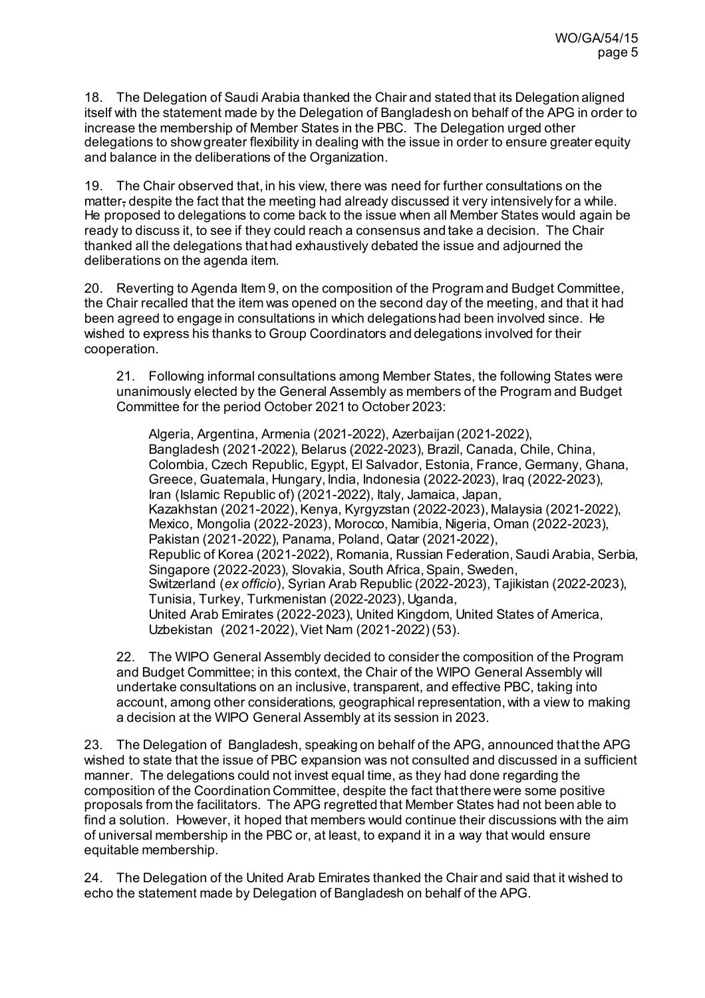18. The Delegation of Saudi Arabia thanked the Chair and stated that its Delegation aligned itself with the statement made by the Delegation of Bangladesh on behalf of the APG in order to increase the membership of Member States in the PBC. The Delegation urged other delegations to show greater flexibility in dealing with the issue in order to ensure greater equity and balance in the deliberations of the Organization.

19. The Chair observed that, in his view, there was need for further consultations on the matter, despite the fact that the meeting had already discussed it very intensively for a while. He proposed to delegations to come back to the issue when all Member States would again be ready to discuss it, to see if they could reach a consensus and take a decision. The Chair thanked all the delegations that had exhaustively debated the issue and adjourned the deliberations on the agenda item.

20. Reverting to Agenda Item 9, on the composition of the Program and Budget Committee, the Chair recalled that the item was opened on the second day of the meeting, and that it had been agreed to engage in consultations in which delegations had been involved since. He wished to express his thanks to Group Coordinators and delegations involved for their cooperation.

21. Following informal consultations among Member States, the following States were unanimously elected by the General Assembly as members of the Program and Budget Committee for the period October 2021 to October 2023:

Algeria, Argentina, Armenia (2021-2022), Azerbaijan (2021-2022), Bangladesh (2021-2022), Belarus (2022-2023), Brazil, Canada, Chile, China, Colombia, Czech Republic, Egypt, El Salvador, Estonia, France, Germany, Ghana, Greece, Guatemala, Hungary, India, Indonesia (2022-2023), Iraq (2022-2023), Iran (Islamic Republic of) (2021-2022), Italy, Jamaica, Japan, Kazakhstan (2021-2022), Kenya, Kyrgyzstan (2022-2023), Malaysia (2021-2022), Mexico, Mongolia (2022-2023), Morocco, Namibia, Nigeria, Oman (2022-2023), Pakistan (2021-2022), Panama, Poland, Qatar (2021-2022), Republic of Korea (2021-2022), Romania, Russian Federation, Saudi Arabia, Serbia, Singapore (2022-2023), Slovakia, South Africa, Spain, Sweden, Switzerland (*ex officio*), Syrian Arab Republic (2022-2023), Tajikistan (2022-2023), Tunisia, Turkey, Turkmenistan (2022-2023), Uganda, United Arab Emirates (2022-2023), United Kingdom, United States of America, Uzbekistan (2021-2022), Viet Nam (2021-2022) (53).

22. The WIPO General Assembly decided to consider the composition of the Program and Budget Committee; in this context, the Chair of the WIPO General Assembly will undertake consultations on an inclusive, transparent, and effective PBC, taking into account, among other considerations, geographical representation, with a view to making a decision at the WIPO General Assembly at its session in 2023.

23. The Delegation of Bangladesh, speaking on behalf of the APG, announced that the APG wished to state that the issue of PBC expansion was not consulted and discussed in a sufficient manner. The delegations could not invest equal time, as they had done regarding the composition of the Coordination Committee, despite the fact that there were some positive proposals from the facilitators. The APG regretted that Member States had not been able to find a solution. However, it hoped that members would continue their discussions with the aim of universal membership in the PBC or, at least, to expand it in a way that would ensure equitable membership.

24. The Delegation of the United Arab Emirates thanked the Chair and said that it wished to echo the statement made by Delegation of Bangladesh on behalf of the APG.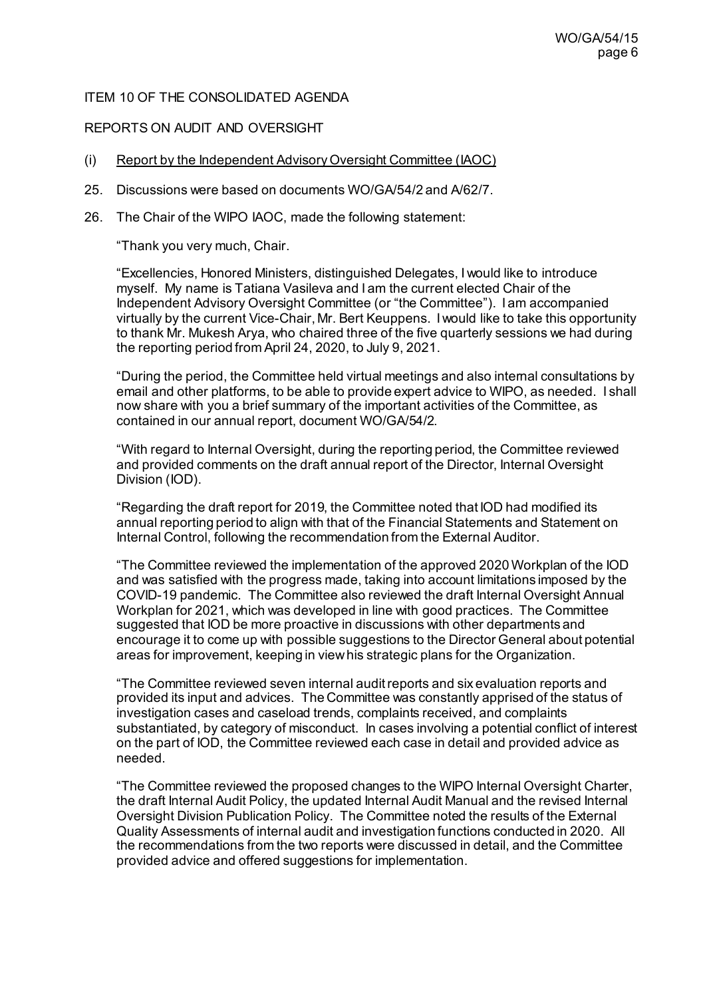### ITEM 10 OF THE CONSOLIDATED AGENDA

### REPORTS ON AUDIT AND OVERSIGHT

- (i) Report by the Independent Advisory Oversight Committee (IAOC)
- 25. Discussions were based on documents [WO/GA/54/2](https://www.wipo.int/about-wipo/en/assemblies/2021/a_62/doc_details.jsp?doc_id=547991) and [A/62/7](https://www.wipo.int/about-wipo/en/assemblies/2021/a_62/doc_details.jsp?doc_id=551574).
- 26. The Chair of the WIPO IAOC, made the following statement:

"Thank you very much, Chair.

"Excellencies, Honored Ministers, distinguished Delegates, I would like to introduce myself. My name is Tatiana Vasileva and I am the current elected Chair of the Independent Advisory Oversight Committee (or "the Committee"). I am accompanied virtually by the current Vice-Chair, Mr. Bert Keuppens. I would like to take this opportunity to thank Mr. Mukesh Arya, who chaired three of the five quarterly sessions we had during the reporting period from April 24, 2020, to July 9, 2021.

"During the period, the Committee held virtual meetings and also internal consultations by email and other platforms, to be able to provide expert advice to WIPO, as needed. I shall now share with you a brief summary of the important activities of the Committee, as contained in our annual report, document WO/GA/54/2.

"With regard to Internal Oversight, during the reporting period, the Committee reviewed and provided comments on the draft annual report of the Director, Internal Oversight Division (IOD).

"Regarding the draft report for 2019, the Committee noted that IOD had modified its annual reporting period to align with that of the Financial Statements and Statement on Internal Control, following the recommendation from the External Auditor.

"The Committee reviewed the implementation of the approved 2020 Workplan of the IOD and was satisfied with the progress made, taking into account limitations imposed by the COVID-19 pandemic. The Committee also reviewed the draft Internal Oversight Annual Workplan for 2021, which was developed in line with good practices. The Committee suggested that IOD be more proactive in discussions with other departments and encourage it to come up with possible suggestions to the Director General about potential areas for improvement, keeping in view his strategic plans for the Organization.

"The Committee reviewed seven internal audit reports and six evaluation reports and provided its input and advices. The Committee was constantly apprised of the status of investigation cases and caseload trends, complaints received, and complaints substantiated, by category of misconduct. In cases involving a potential conflict of interest on the part of IOD, the Committee reviewed each case in detail and provided advice as needed.

"The Committee reviewed the proposed changes to the WIPO Internal Oversight Charter, the draft Internal Audit Policy, the updated Internal Audit Manual and the revised Internal Oversight Division Publication Policy. The Committee noted the results of the External Quality Assessments of internal audit and investigation functions conducted in 2020. All the recommendations from the two reports were discussed in detail, and the Committee provided advice and offered suggestions for implementation.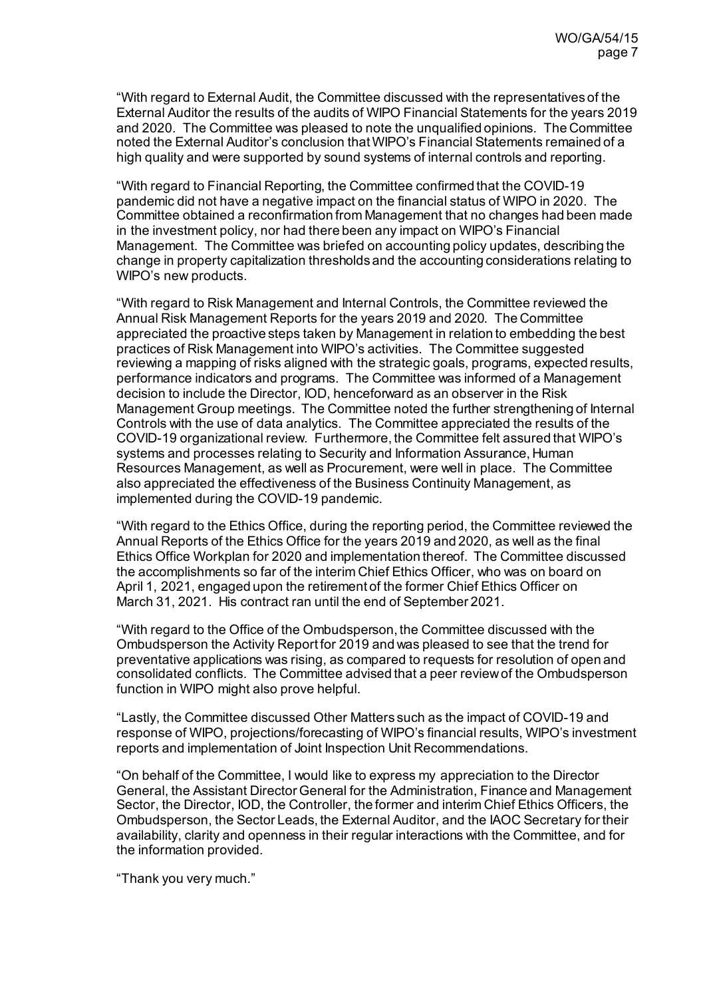"With regard to External Audit, the Committee discussed with the representatives of the External Auditor the results of the audits of WIPO Financial Statements for the years 2019 and 2020. The Committee was pleased to note the unqualified opinions. The Committee noted the External Auditor's conclusion that WIPO's Financial Statements remained of a high quality and were supported by sound systems of internal controls and reporting.

"With regard to Financial Reporting, the Committee confirmed that the COVID-19 pandemic did not have a negative impact on the financial status of WIPO in 2020. The Committee obtained a reconfirmation from Management that no changes had been made in the investment policy, nor had there been any impact on WIPO's Financial Management. The Committee was briefed on accounting policy updates, describing the change in property capitalization thresholds and the accounting considerations relating to WIPO's new products.

"With regard to Risk Management and Internal Controls, the Committee reviewed the Annual Risk Management Reports for the years 2019 and 2020. The Committee appreciated the proactive steps taken by Management in relation to embedding the best practices of Risk Management into WIPO's activities. The Committee suggested reviewing a mapping of risks aligned with the strategic goals, programs, expected results, performance indicators and programs. The Committee was informed of a Management decision to include the Director, IOD, henceforward as an observer in the Risk Management Group meetings. The Committee noted the further strengthening of Internal Controls with the use of data analytics. The Committee appreciated the results of the COVID-19 organizational review. Furthermore, the Committee felt assured that WIPO's systems and processes relating to Security and Information Assurance, Human Resources Management, as well as Procurement, were well in place. The Committee also appreciated the effectiveness of the Business Continuity Management, as implemented during the COVID-19 pandemic.

"With regard to the Ethics Office, during the reporting period, the Committee reviewed the Annual Reports of the Ethics Office for the years 2019 and 2020, as well as the final Ethics Office Workplan for 2020 and implementation thereof. The Committee discussed the accomplishments so far of the interim Chief Ethics Officer, who was on board on April 1, 2021, engaged upon the retirement of the former Chief Ethics Officer on March 31, 2021. His contract ran until the end of September 2021.

"With regard to the Office of the Ombudsperson, the Committee discussed with the Ombudsperson the Activity Report for 2019 and was pleased to see that the trend for preventative applications was rising, as compared to requests for resolution of open and consolidated conflicts. The Committee advised that a peer review of the Ombudsperson function in WIPO might also prove helpful.

"Lastly, the Committee discussed Other Matters such as the impact of COVID-19 and response of WIPO, projections/forecasting of WIPO's financial results, WIPO's investment reports and implementation of Joint Inspection Unit Recommendations.

"On behalf of the Committee, I would like to express my appreciation to the Director General, the Assistant Director General for the Administration, Finance and Management Sector, the Director, IOD, the Controller, the former and interim Chief Ethics Officers, the Ombudsperson, the Sector Leads, the External Auditor, and the IAOC Secretary for their availability, clarity and openness in their regular interactions with the Committee, and for the information provided.

"Thank you very much."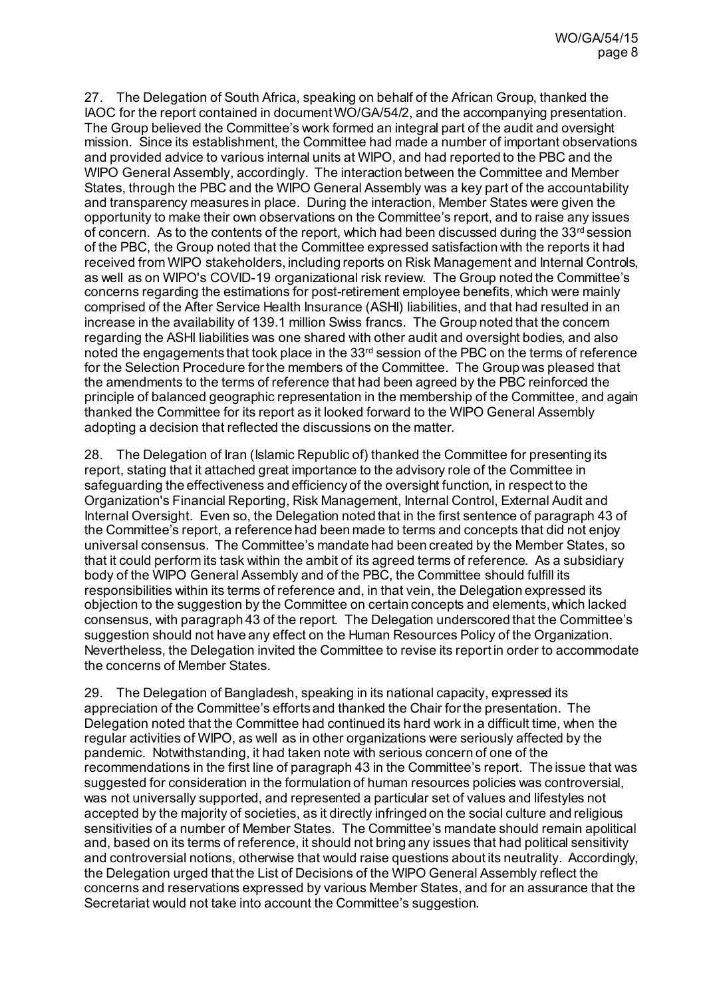27. The Delegation of South Africa, speaking on behalf of the African Group, thanked the IAOC for the report contained in document WO/GA/54/2, and the accompanying presentation. The Group believed the Committee's work formed an integral part of the audit and oversight mission. Since its establishment, the Committee had made a number of important observations and provided advice to various internal units at WIPO, and had reported to the PBC and the WIPO General Assembly, accordingly. The interaction between the Committee and Member States, through the PBC and the WIPO General Assembly was a key part of the accountability and transparency measures in place. During the interaction, Member States were given the opportunity to make their own observations on the Committee's report, and to raise any issues of concern. As to the contents of the report, which had been discussed during the  $33<sup>rd</sup>$  session of the PBC, the Group noted that the Committee expressed satisfaction with the reports it had received from WIPO stakeholders, including reports on Risk Management and Internal Controls, as well as on WIPO's COVID-19 organizational risk review. The Group noted the Committee's concerns regarding the estimations for post-retirement employee benefits, which were mainly comprised of the After Service Health Insurance (ASHI) liabilities, and that had resulted in an increase in the availability of 139.1 million Swiss francs. The Group noted that the concern regarding the ASHI liabilities was one shared with other audit and oversight bodies, and also noted the engagements that took place in the 33<sup>rd</sup> session of the PBC on the terms of reference for the Selection Procedure for the members of the Committee. The Group was pleased that the amendments to the terms of reference that had been agreed by the PBC reinforced the principle of balanced geographic representation in the membership of the Committee, and again thanked the Committee for its report as it looked forward to the WIPO General Assembly adopting a decision that reflected the discussions on the matter.

28. The Delegation of Iran (Islamic Republic of) thanked the Committee for presenting its report, stating that it attached great importance to the advisory role of the Committee in safeguarding the effectiveness and efficiency of the oversight function, in respect to the Organization's Financial Reporting, Risk Management, Internal Control, External Audit and Internal Oversight. Even so, the Delegation noted that in the first sentence of paragraph 43 of the Committee's report, a reference had been made to terms and concepts that did not enjoy universal consensus. The Committee's mandate had been created by the Member States, so that it could perform its task within the ambit of its agreed terms of reference. As a subsidiary body of the WIPO General Assembly and of the PBC, the Committee should fulfill its responsibilities within its terms of reference and, in that vein, the Delegation expressed its objection to the suggestion by the Committee on certain concepts and elements, which lacked consensus, with paragraph 43 of the report. The Delegation underscored that the Committee's suggestion should not have any effect on the Human Resources Policy of the Organization. Nevertheless, the Delegation invited the Committee to revise its report in order to accommodate the concerns of Member States.

29. The Delegation of Bangladesh, speaking in its national capacity, expressed its appreciation of the Committee's efforts and thanked the Chair for the presentation. The Delegation noted that the Committee had continued its hard work in a difficult time, when the regular activities of WIPO, as well as in other organizations were seriously affected by the pandemic. Notwithstanding, it had taken note with serious concern of one of the recommendations in the first line of paragraph 43 in the Committee's report. The issue that was suggested for consideration in the formulation of human resources policies was controversial, was not universally supported, and represented a particular set of values and lifestyles not accepted by the majority of societies, as it directly infringed on the social culture and religious sensitivities of a number of Member States. The Committee's mandate should remain apolitical and, based on its terms of reference, it should not bring any issues that had political sensitivity and controversial notions, otherwise that would raise questions about its neutrality. Accordingly, the Delegation urged that the List of Decisions of the WIPO General Assembly reflect the concerns and reservations expressed by various Member States, and for an assurance that the Secretariat would not take into account the Committee's suggestion.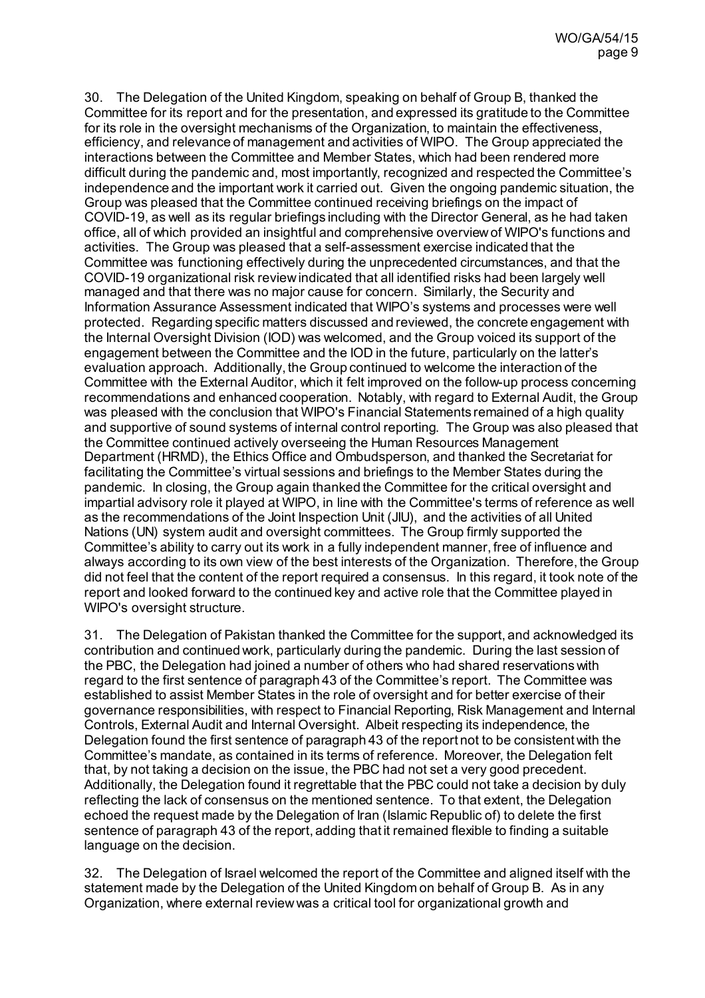30. The Delegation of the United Kingdom, speaking on behalf of Group B, thanked the Committee for its report and for the presentation, and expressed its gratitude to the Committee for its role in the oversight mechanisms of the Organization, to maintain the effectiveness, efficiency, and relevance of management and activities of WIPO. The Group appreciated the interactions between the Committee and Member States, which had been rendered more difficult during the pandemic and, most importantly, recognized and respected the Committee's independence and the important work it carried out. Given the ongoing pandemic situation, the Group was pleased that the Committee continued receiving briefings on the impact of COVID-19, as well as its regular briefings including with the Director General, as he had taken office, all of which provided an insightful and comprehensive overview of WIPO's functions and activities. The Group was pleased that a self-assessment exercise indicated that the Committee was functioning effectively during the unprecedented circumstances, and that the COVID-19 organizational risk review indicated that all identified risks had been largely well managed and that there was no major cause for concern. Similarly, the Security and Information Assurance Assessment indicated that WIPO's systems and processes were well protected. Regarding specific matters discussed and reviewed, the concrete engagement with the Internal Oversight Division (IOD) was welcomed, and the Group voiced its support of the engagement between the Committee and the IOD in the future, particularly on the latter's evaluation approach. Additionally, the Group continued to welcome the interaction of the Committee with the External Auditor, which it felt improved on the follow-up process concerning recommendations and enhanced cooperation. Notably, with regard to External Audit, the Group was pleased with the conclusion that WIPO's Financial Statements remained of a high quality and supportive of sound systems of internal control reporting. The Group was also pleased that the Committee continued actively overseeing the Human Resources Management Department (HRMD), the Ethics Office and Ombudsperson, and thanked the Secretariat for facilitating the Committee's virtual sessions and briefings to the Member States during the pandemic. In closing, the Group again thanked the Committee for the critical oversight and impartial advisory role it played at WIPO, in line with the Committee's terms of reference as well as the recommendations of the Joint Inspection Unit (JIU), and the activities of all United Nations (UN) system audit and oversight committees. The Group firmly supported the Committee's ability to carry out its work in a fully independent manner, free of influence and always according to its own view of the best interests of the Organization. Therefore, the Group did not feel that the content of the report required a consensus. In this regard, it took note of the report and looked forward to the continued key and active role that the Committee played in WIPO's oversight structure.

31. The Delegation of Pakistan thanked the Committee for the support, and acknowledged its contribution and continued work, particularly during the pandemic. During the last session of the PBC, the Delegation had joined a number of others who had shared reservations with regard to the first sentence of paragraph 43 of the Committee's report. The Committee was established to assist Member States in the role of oversight and for better exercise of their governance responsibilities, with respect to Financial Reporting, Risk Management and Internal Controls, External Audit and Internal Oversight. Albeit respecting its independence, the Delegation found the first sentence of paragraph 43 of the report not to be consistent with the Committee's mandate, as contained in its terms of reference. Moreover, the Delegation felt that, by not taking a decision on the issue, the PBC had not set a very good precedent. Additionally, the Delegation found it regrettable that the PBC could not take a decision by duly reflecting the lack of consensus on the mentioned sentence. To that extent, the Delegation echoed the request made by the Delegation of Iran (Islamic Republic of) to delete the first sentence of paragraph 43 of the report, adding that it remained flexible to finding a suitable language on the decision.

32. The Delegation of Israel welcomed the report of the Committee and aligned itself with the statement made by the Delegation of the United Kingdom on behalf of Group B. As in any Organization, where external review was a critical tool for organizational growth and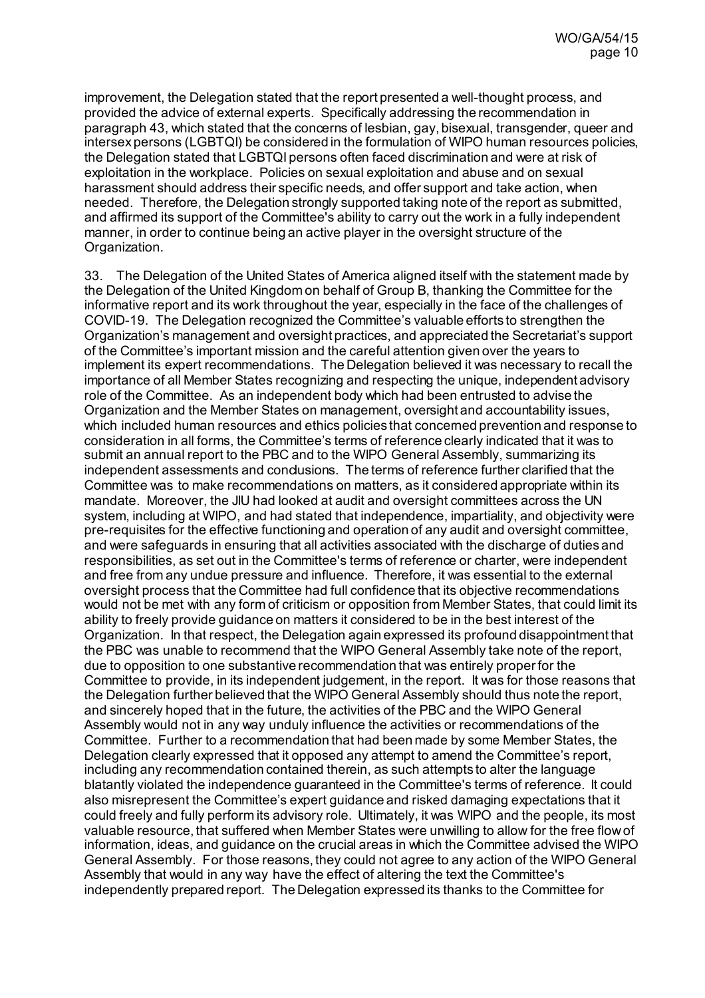improvement, the Delegation stated that the report presented a well-thought process, and provided the advice of external experts. Specifically addressing the recommendation in paragraph 43, which stated that the concerns of lesbian, gay, bisexual, transgender, queer and intersex persons (LGBTQI) be considered in the formulation of WIPO human resources policies, the Delegation stated that LGBTQI persons often faced discrimination and were at risk of exploitation in the workplace. Policies on sexual exploitation and abuse and on sexual harassment should address their specific needs, and offer support and take action, when needed. Therefore, the Delegation strongly supported taking note of the report as submitted, and affirmed its support of the Committee's ability to carry out the work in a fully independent manner, in order to continue being an active player in the oversight structure of the Organization.

33. The Delegation of the United States of America aligned itself with the statement made by the Delegation of the United Kingdom on behalf of Group B, thanking the Committee for the informative report and its work throughout the year, especially in the face of the challenges of COVID-19. The Delegation recognized the Committee's valuable efforts to strengthen the Organization's management and oversight practices, and appreciated the Secretariat's support of the Committee's important mission and the careful attention given over the years to implement its expert recommendations. The Delegation believed it was necessary to recall the importance of all Member States recognizing and respecting the unique, independent advisory role of the Committee. As an independent body which had been entrusted to advise the Organization and the Member States on management, oversight and accountability issues, which included human resources and ethics policies that concerned prevention and response to consideration in all forms, the Committee's terms of reference clearly indicated that it was to submit an annual report to the PBC and to the WIPO General Assembly, summarizing its independent assessments and condusions. The terms of reference further clarified that the Committee was to make recommendations on matters, as it considered appropriate within its mandate. Moreover, the JIU had looked at audit and oversight committees across the UN system, including at WIPO, and had stated that independence, impartiality, and objectivity were pre-requisites for the effective functioning and operation of any audit and oversight committee, and were safeguards in ensuring that all activities associated with the discharge of duties and responsibilities, as set out in the Committee's terms of reference or charter, were independent and free from any undue pressure and influence. Therefore, it was essential to the external oversight process that the Committee had full confidence that its objective recommendations would not be met with any form of criticism or opposition from Member States, that could limit its ability to freely provide guidance on matters it considered to be in the best interest of the Organization. In that respect, the Delegation again expressed its profound disappointment that the PBC was unable to recommend that the WIPO General Assembly take note of the report, due to opposition to one substantive recommendation that was entirely proper for the Committee to provide, in its independent judgement, in the report. It was for those reasons that the Delegation further believed that the WIPO General Assembly should thus note the report, and sincerely hoped that in the future, the activities of the PBC and the WIPO General Assembly would not in any way unduly influence the activities or recommendations of the Committee. Further to a recommendation that had been made by some Member States, the Delegation clearly expressed that it opposed any attempt to amend the Committee's report, including any recommendation contained therein, as such attempts to alter the language blatantly violated the independence guaranteed in the Committee's terms of reference. It could also misrepresent the Committee's expert guidance and risked damaging expectations that it could freely and fully perform its advisory role. Ultimately, it was WIPO and the people, its most valuable resource, that suffered when Member States were unwilling to allow for the free flow of information, ideas, and guidance on the crucial areas in which the Committee advised the WIPO General Assembly. For those reasons, they could not agree to any action of the WIPO General Assembly that would in any way have the effect of altering the text the Committee's independently prepared report. The Delegation expressed its thanks to the Committee for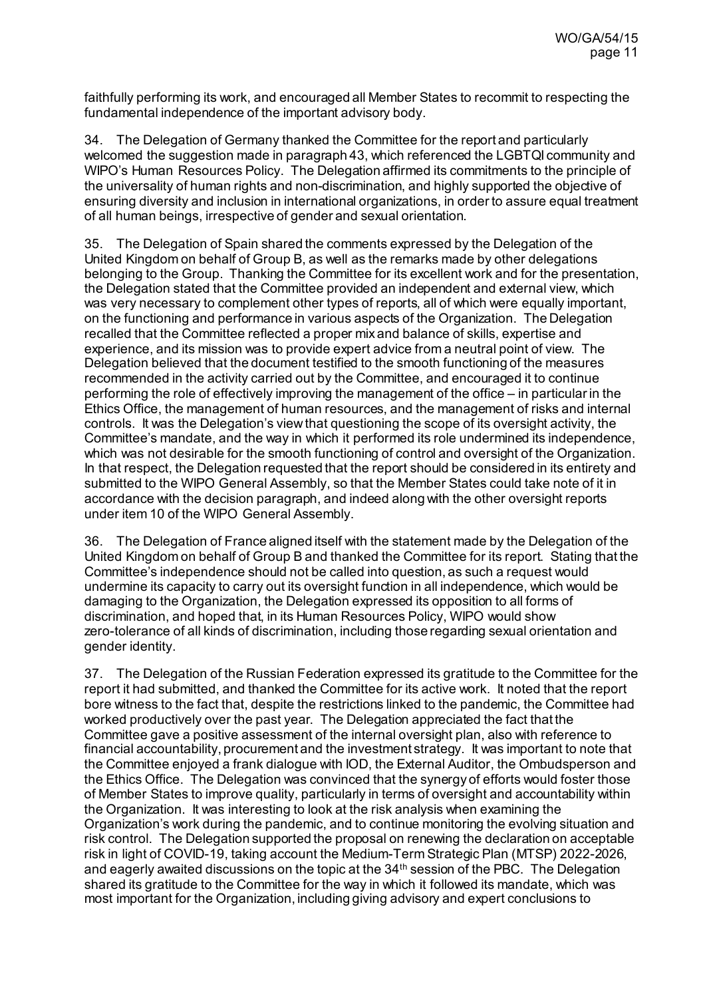faithfully performing its work, and encouraged all Member States to recommit to respecting the fundamental independence of the important advisory body.

34. The Delegation of Germany thanked the Committee for the report and particularly welcomed the suggestion made in paragraph 43, which referenced the LGBTQI community and WIPO's Human Resources Policy. The Delegation affirmed its commitments to the principle of the universality of human rights and non-discrimination, and highly supported the objective of ensuring diversity and inclusion in international organizations, in order to assure equal treatment of all human beings, irrespective of gender and sexual orientation.

35. The Delegation of Spain shared the comments expressed by the Delegation of the United Kingdom on behalf of Group B, as well as the remarks made by other delegations belonging to the Group. Thanking the Committee for its excellent work and for the presentation, the Delegation stated that the Committee provided an independent and external view, which was very necessary to complement other types of reports, all of which were equally important, on the functioning and performance in various aspects of the Organization. The Delegation recalled that the Committee reflected a proper mix and balance of skills, expertise and experience, and its mission was to provide expert advice from a neutral point of view. The Delegation believed that the document testified to the smooth functioning of the measures recommended in the activity carried out by the Committee, and encouraged it to continue performing the role of effectively improving the management of the office – in particular in the Ethics Office, the management of human resources, and the management of risks and internal controls. It was the Delegation's view that questioning the scope of its oversight activity, the Committee's mandate, and the way in which it performed its role undermined its independence, which was not desirable for the smooth functioning of control and oversight of the Organization. In that respect, the Delegation requested that the report should be considered in its entirety and submitted to the WIPO General Assembly, so that the Member States could take note of it in accordance with the decision paragraph, and indeed along with the other oversight reports under item 10 of the WIPO General Assembly.

36. The Delegation of France aligned itself with the statement made by the Delegation of the United Kingdom on behalf of Group B and thanked the Committee for its report. Stating that the Committee's independence should not be called into question, as such a request would undermine its capacity to carry out its oversight function in all independence, which would be damaging to the Organization, the Delegation expressed its opposition to all forms of discrimination, and hoped that, in its Human Resources Policy, WIPO would show zero-tolerance of all kinds of discrimination, including those regarding sexual orientation and gender identity.

37. The Delegation of the Russian Federation expressed its gratitude to the Committee for the report it had submitted, and thanked the Committee for its active work. It noted that the report bore witness to the fact that, despite the restrictions linked to the pandemic, the Committee had worked productively over the past year. The Delegation appreciated the fact that the Committee gave a positive assessment of the internal oversight plan, also with reference to financial accountability, procurement and the investment strategy. It was important to note that the Committee enjoyed a frank dialogue with IOD, the External Auditor, the Ombudsperson and the Ethics Office. The Delegation was convinced that the synergy of efforts would foster those of Member States to improve quality, particularly in terms of oversight and accountability within the Organization. It was interesting to look at the risk analysis when examining the Organization's work during the pandemic, and to continue monitoring the evolving situation and risk control. The Delegation supported the proposal on renewing the declaration on acceptable risk in light of COVID-19, taking account the Medium-Term Strategic Plan (MTSP) 2022-2026, and eagerly awaited discussions on the topic at the 34th session of the PBC. The Delegation shared its gratitude to the Committee for the way in which it followed its mandate, which was most important for the Organization, including giving advisory and expert conclusions to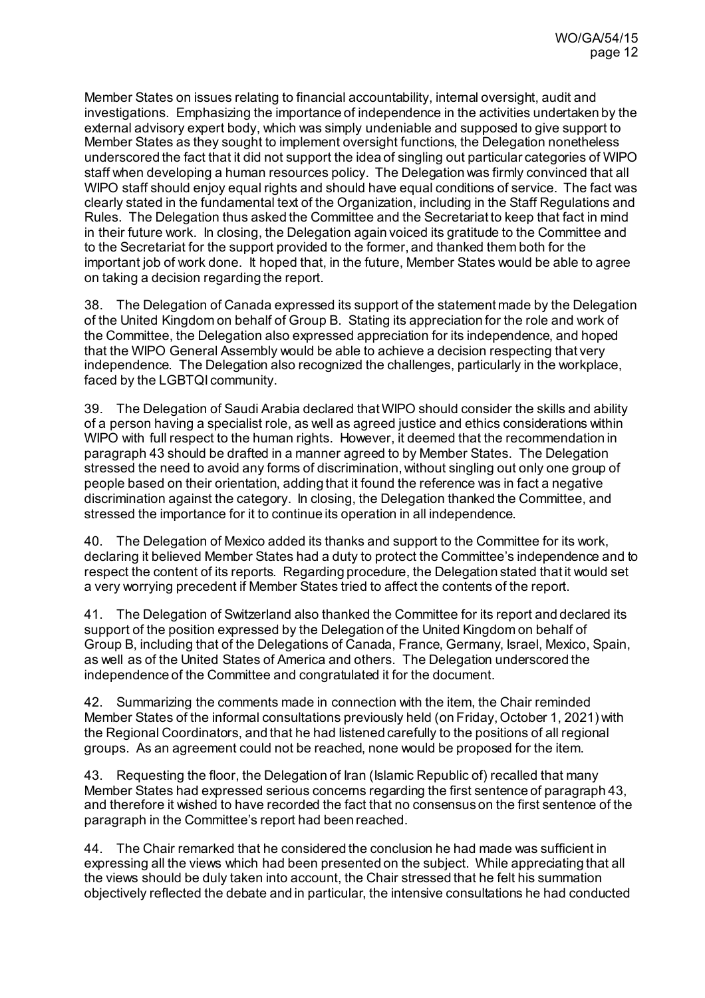Member States on issues relating to financial accountability, internal oversight, audit and investigations. Emphasizing the importance of independence in the activities undertaken by the external advisory expert body, which was simply undeniable and supposed to give support to Member States as they sought to implement oversight functions, the Delegation nonetheless underscored the fact that it did not support the idea of singling out particular categories of WIPO staff when developing a human resources policy. The Delegation was firmly convinced that all WIPO staff should enjoy equal rights and should have equal conditions of service. The fact was clearly stated in the fundamental text of the Organization, including in the Staff Regulations and Rules. The Delegation thus asked the Committee and the Secretariat to keep that fact in mind in their future work. In closing, the Delegation again voiced its gratitude to the Committee and to the Secretariat for the support provided to the former, and thanked them both for the important job of work done. It hoped that, in the future, Member States would be able to agree on taking a decision regarding the report.

38. The Delegation of Canada expressed its support of the statement made by the Delegation of the United Kingdom on behalf of Group B. Stating its appreciation for the role and work of the Committee, the Delegation also expressed appreciation for its independence, and hoped that the WIPO General Assembly would be able to achieve a decision respecting that very independence. The Delegation also recognized the challenges, particularly in the workplace, faced by the LGBTQI community.

39. The Delegation of Saudi Arabia declared that WIPO should consider the skills and ability of a person having a specialist role, as well as agreed justice and ethics considerations within WIPO with full respect to the human rights. However, it deemed that the recommendation in paragraph 43 should be drafted in a manner agreed to by Member States. The Delegation stressed the need to avoid any forms of discrimination, without singling out only one group of people based on their orientation, adding that it found the reference was in fact a negative discrimination against the category. In closing, the Delegation thanked the Committee, and stressed the importance for it to continue its operation in all independence.

40. The Delegation of Mexico added its thanks and support to the Committee for its work, declaring it believed Member States had a duty to protect the Committee's independence and to respect the content of its reports. Regarding procedure, the Delegation stated that it would set a very worrying precedent if Member States tried to affect the contents of the report.

41. The Delegation of Switzerland also thanked the Committee for its report and declared its support of the position expressed by the Delegation of the United Kingdom on behalf of Group B, including that of the Delegations of Canada, France, Germany, Israel, Mexico, Spain, as well as of the United States of America and others. The Delegation underscored the independence of the Committee and congratulated it for the document.

42. Summarizing the comments made in connection with the item, the Chair reminded Member States of the informal consultations previously held (on Friday, October 1, 2021) with the Regional Coordinators, and that he had listened carefully to the positions of all regional groups. As an agreement could not be reached, none would be proposed for the item.

43. Requesting the floor, the Delegation of Iran (Islamic Republic of) recalled that many Member States had expressed serious concerns regarding the first sentence of paragraph 43, and therefore it wished to have recorded the fact that no consensus on the first sentence of the paragraph in the Committee's report had been reached.

44. The Chair remarked that he considered the conclusion he had made was sufficient in expressing all the views which had been presented on the subject. While appreciating that all the views should be duly taken into account, the Chair stressed that he felt his summation objectively reflected the debate and in particular, the intensive consultations he had conducted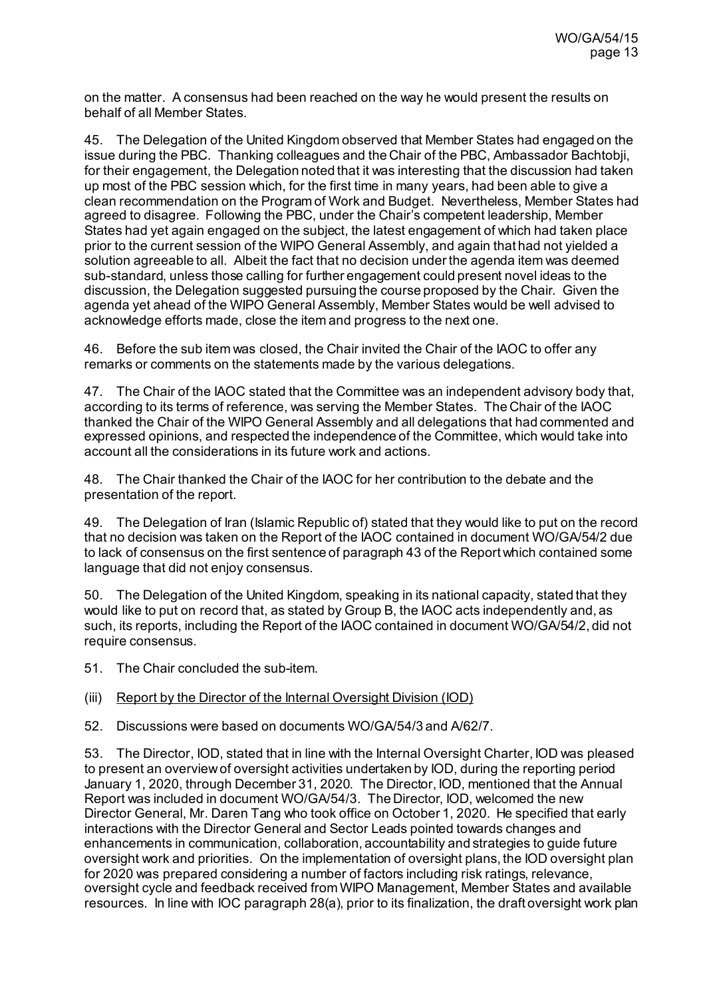on the matter. A consensus had been reached on the way he would present the results on behalf of all Member States.

45. The Delegation of the United Kingdom observed that Member States had engaged on the issue during the PBC. Thanking colleagues and the Chair of the PBC, Ambassador Bachtobji, for their engagement, the Delegation noted that it was interesting that the discussion had taken up most of the PBC session which, for the first time in many years, had been able to give a clean recommendation on the Program of Work and Budget. Nevertheless, Member States had agreed to disagree. Following the PBC, under the Chair's competent leadership, Member States had yet again engaged on the subject, the latest engagement of which had taken place prior to the current session of the WIPO General Assembly, and again that had not yielded a solution agreeable to all. Albeit the fact that no decision under the agenda item was deemed sub-standard, unless those calling for further engagement could present novel ideas to the discussion, the Delegation suggested pursuing the course proposed by the Chair. Given the agenda yet ahead of the WIPO General Assembly, Member States would be well advised to acknowledge efforts made, close the item and progress to the next one.

46. Before the sub item was closed, the Chair invited the Chair of the IAOC to offer any remarks or comments on the statements made by the various delegations.

47. The Chair of the IAOC stated that the Committee was an independent advisory body that, according to its terms of reference, was serving the Member States. The Chair of the IAOC thanked the Chair of the WIPO General Assembly and all delegations that had commented and expressed opinions, and respected the independence of the Committee, which would take into account all the considerations in its future work and actions.

48. The Chair thanked the Chair of the IAOC for her contribution to the debate and the presentation of the report.

49. The Delegation of Iran (Islamic Republic of) stated that they would like to put on the record that no decision was taken on the Report of the IAOC contained in document WO/GA/54/2 due to lack of consensus on the first sentence of paragraph 43 of the Report which contained some language that did not enjoy consensus.

50. The Delegation of the United Kingdom, speaking in its national capacity, stated that they would like to put on record that, as stated by Group B, the IAOC acts independently and, as such, its reports, including the Report of the IAOC contained in document WO/GA/54/2, did not require consensus.

51. The Chair concluded the sub-item.

### (iii) Report by the Director of the Internal Oversight Division (IOD)

52. Discussions were based on documents [WO/GA/54/3](https://www.wipo.int/about-wipo/en/assemblies/2021/a_62/doc_details.jsp?doc_id=545791) an[d A/62/7](https://www.wipo.int/about-wipo/en/assemblies/2021/a_62/doc_details.jsp?doc_id=551574).

53. The Director, IOD, stated that in line with the Internal Oversight Charter, IOD was pleased to present an overview of oversight activities undertaken by IOD, during the reporting period January 1, 2020, through December 31, 2020. The Director, IOD, mentioned that the Annual Report was included in document WO/GA/54/3. The Director, IOD, welcomed the new Director General, Mr. Daren Tang who took office on October 1, 2020. He specified that early interactions with the Director General and Sector Leads pointed towards changes and enhancements in communication, collaboration, accountability and strategies to guide future oversight work and priorities. On the implementation of oversight plans, the IOD oversight plan for 2020 was prepared considering a number of factors including risk ratings, relevance, oversight cycle and feedback received from WIPO Management, Member States and available resources. In line with IOC paragraph 28(a), prior to its finalization, the draft oversight work plan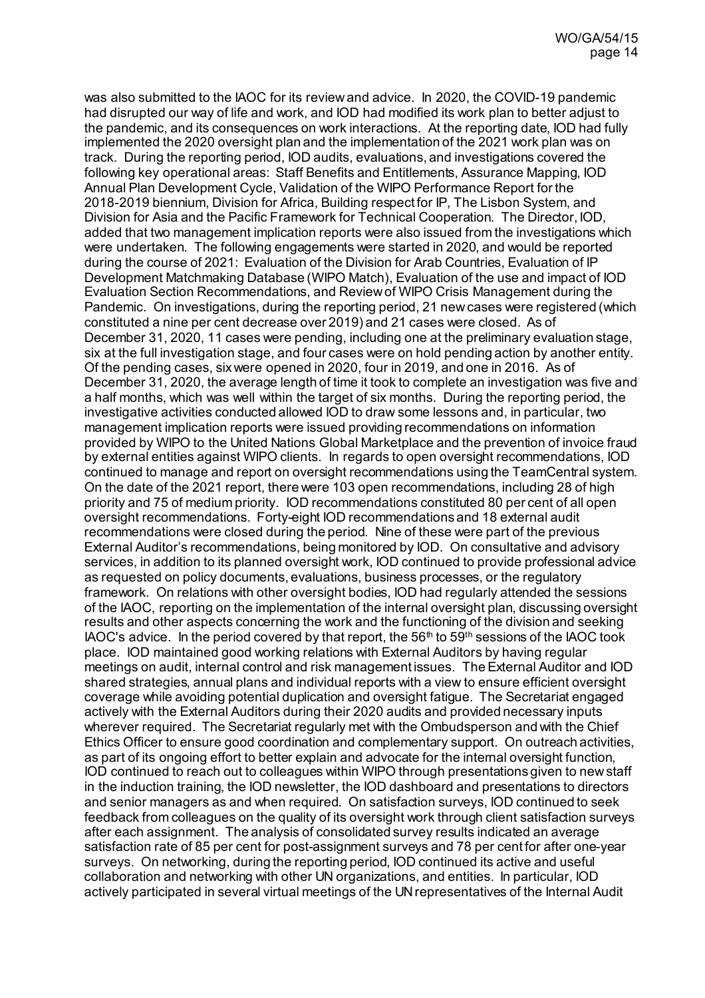was also submitted to the IAOC for its review and advice. In 2020, the COVID-19 pandemic had disrupted our way of life and work, and IOD had modified its work plan to better adjust to the pandemic, and its consequences on work interactions. At the reporting date, IOD had fully implemented the 2020 oversight plan and the implementation of the 2021 work plan was on track. During the reporting period, IOD audits, evaluations, and investigations covered the following key operational areas: Staff Benefits and Entitlements, Assurance Mapping, IOD Annual Plan Development Cycle, Validation of the WIPO Performance Report for the 2018-2019 biennium, Division for Africa, Building respect for IP, The Lisbon System, and Division for Asia and the Pacific Framework for Technical Cooperation. The Director, IOD, added that two management implication reports were also issued from the investigations which were undertaken. The following engagements were started in 2020, and would be reported during the course of 2021: Evaluation of the Division for Arab Countries, Evaluation of IP Development Matchmaking Database (WIPO Match), Evaluation of the use and impact of IOD Evaluation Section Recommendations, and Review of WIPO Crisis Management during the Pandemic. On investigations, during the reporting period, 21 new cases were registered (which constituted a nine per cent decrease over 2019) and 21 cases were closed. As of December 31, 2020, 11 cases were pending, including one at the preliminary evaluation stage, six at the full investigation stage, and four cases were on hold pending action by another entity. Of the pending cases, six were opened in 2020, four in 2019, and one in 2016. As of December 31, 2020, the average length of time it took to complete an investigation was five and a half months, which was well within the target of six months. During the reporting period, the investigative activities conducted allowed IOD to draw some lessons and, in particular, two management implication reports were issued providing recommendations on information provided by WIPO to the United Nations Global Marketplace and the prevention of invoice fraud by external entities against WIPO clients. In regards to open oversight recommendations, IOD continued to manage and report on oversight recommendations using the TeamCentral system. On the date of the 2021 report, there were 103 open recommendations, including 28 of high priority and 75 of medium priority. IOD recommendations constituted 80 per cent of all open oversight recommendations. Forty-eight IOD recommendations and 18 external audit recommendations were closed during the period. Nine of these were part of the previous External Auditor's recommendations, being monitored by IOD. On consultative and advisory services, in addition to its planned oversight work, IOD continued to provide professional advice as requested on policy documents, evaluations, business processes, or the regulatory framework. On relations with other oversight bodies, IOD had regularly attended the sessions of the IAOC, reporting on the implementation of the internal oversight plan, discussing oversight results and other aspects concerning the work and the functioning of the division and seeking IAOC's advice. In the period covered by that report, the  $56<sup>th</sup>$  to  $59<sup>th</sup>$  sessions of the IAOC took place. IOD maintained good working relations with External Auditors by having regular meetings on audit, internal control and risk management issues. The External Auditor and IOD shared strategies, annual plans and individual reports with a view to ensure efficient oversight coverage while avoiding potential duplication and oversight fatigue. The Secretariat engaged actively with the External Auditors during their 2020 audits and provided necessary inputs wherever required. The Secretariat regularly met with the Ombudsperson and with the Chief Ethics Officer to ensure good coordination and complementary support. On outreach activities, as part of its ongoing effort to better explain and advocate for the internal oversight function, IOD continued to reach out to colleagues within WIPO through presentations given to new staff in the induction training, the IOD newsletter, the IOD dashboard and presentations to directors and senior managers as and when required. On satisfaction surveys, IOD continued to seek feedback from colleagues on the quality of its oversight work through client satisfaction surveys after each assignment. The analysis of consolidated survey results indicated an average satisfaction rate of 85 per cent for post-assignment surveys and 78 per cent for after one-year surveys. On networking, during the reporting period, IOD continued its active and useful collaboration and networking with other UN organizations, and entities. In particular, IOD actively participated in several virtual meetings of the UN representatives of the Internal Audit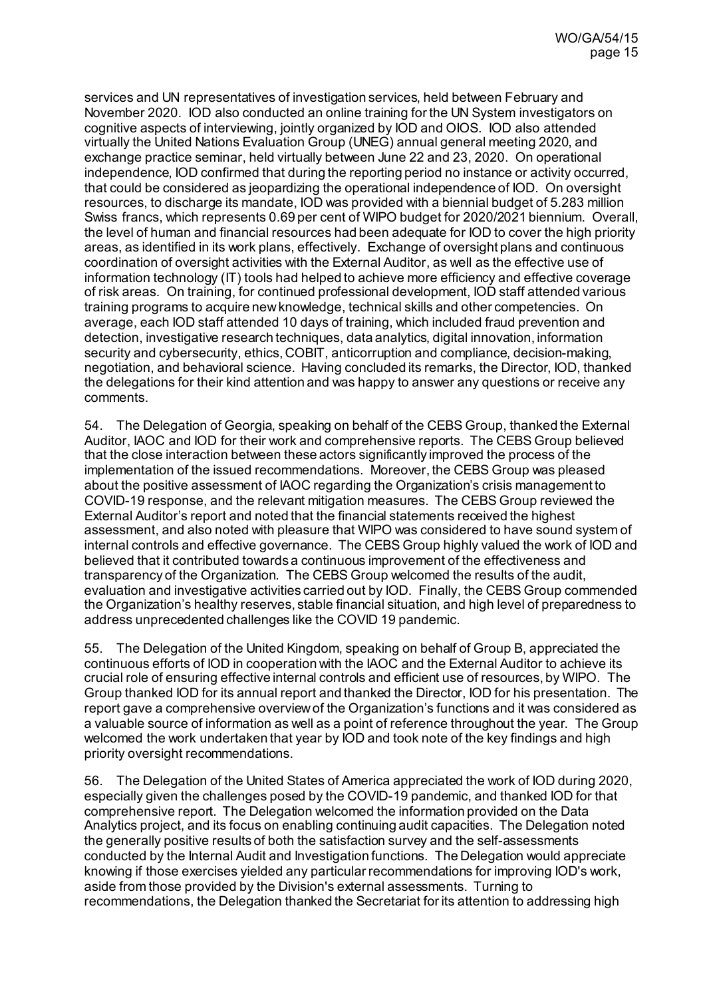services and UN representatives of investigation services, held between February and November 2020. IOD also conducted an online training for the UN System investigators on cognitive aspects of interviewing, jointly organized by IOD and OIOS. IOD also attended virtually the United Nations Evaluation Group (UNEG) annual general meeting 2020, and exchange practice seminar, held virtually between June 22 and 23, 2020. On operational independence, IOD confirmed that during the reporting period no instance or activity occurred, that could be considered as jeopardizing the operational independence of IOD. On oversight resources, to discharge its mandate, IOD was provided with a biennial budget of 5.283 million Swiss francs, which represents 0.69 per cent of WIPO budget for 2020/2021 biennium. Overall, the level of human and financial resources had been adequate for IOD to cover the high priority areas, as identified in its work plans, effectively. Exchange of oversight plans and continuous coordination of oversight activities with the External Auditor, as well as the effective use of information technology (IT) tools had helped to achieve more efficiency and effective coverage of risk areas. On training, for continued professional development, IOD staff attended various training programs to acquire new knowledge, technical skills and other competencies. On average, each IOD staff attended 10 days of training, which included fraud prevention and detection, investigative research techniques, data analytics, digital innovation, information security and cybersecurity, ethics, COBIT, anticorruption and compliance, decision-making, negotiation, and behavioral science. Having concluded its remarks, the Director, IOD, thanked the delegations for their kind attention and was happy to answer any questions or receive any comments.

54. The Delegation of Georgia, speaking on behalf of the CEBS Group, thanked the External Auditor, IAOC and IOD for their work and comprehensive reports. The CEBS Group believed that the close interaction between these actors significantly improved the process of the implementation of the issued recommendations. Moreover, the CEBS Group was pleased about the positive assessment of IAOC regarding the Organization's crisis management to COVID-19 response, and the relevant mitigation measures. The CEBS Group reviewed the External Auditor's report and noted that the financial statements received the highest assessment, and also noted with pleasure that WIPO was considered to have sound system of internal controls and effective governance. The CEBS Group highly valued the work of IOD and believed that it contributed towards a continuous improvement of the effectiveness and transparency of the Organization. The CEBS Group welcomed the results of the audit, evaluation and investigative activities carried out by IOD. Finally, the CEBS Group commended the Organization's healthy reserves, stable financial situation, and high level of preparedness to address unprecedented challenges like the COVID 19 pandemic.

55. The Delegation of the United Kingdom, speaking on behalf of Group B, appreciated the continuous efforts of IOD in cooperation with the IAOC and the External Auditor to achieve its crucial role of ensuring effective internal controls and efficient use of resources, by WIPO. The Group thanked IOD for its annual report and thanked the Director, IOD for his presentation. The report gave a comprehensive overview of the Organization's functions and it was considered as a valuable source of information as well as a point of reference throughout the year. The Group welcomed the work undertaken that year by IOD and took note of the key findings and high priority oversight recommendations.

56. The Delegation of the United States of America appreciated the work of IOD during 2020, especially given the challenges posed by the COVID-19 pandemic, and thanked IOD for that comprehensive report. The Delegation welcomed the information provided on the Data Analytics project, and its focus on enabling continuing audit capacities. The Delegation noted the generally positive results of both the satisfaction survey and the self-assessments conducted by the Internal Audit and Investigation functions. The Delegation would appreciate knowing if those exercises yielded any particular recommendations for improving IOD's work, aside from those provided by the Division's external assessments. Turning to recommendations, the Delegation thanked the Secretariat for its attention to addressing high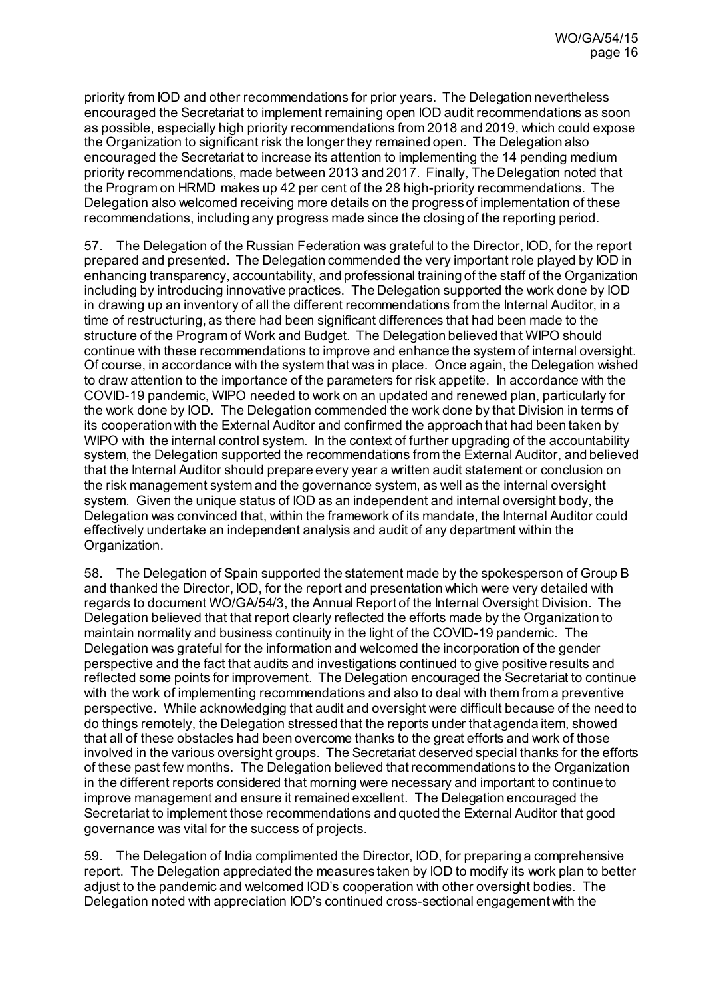priority from IOD and other recommendations for prior years. The Delegation nevertheless encouraged the Secretariat to implement remaining open IOD audit recommendations as soon as possible, especially high priority recommendations from 2018 and 2019, which could expose the Organization to significant risk the longer they remained open. The Delegation also encouraged the Secretariat to increase its attention to implementing the 14 pending medium priority recommendations, made between 2013 and 2017. Finally, The Delegation noted that the Program on HRMD makes up 42 per cent of the 28 high-priority recommendations. The Delegation also welcomed receiving more details on the progress of implementation of these recommendations, including any progress made since the closing of the reporting period.

57. The Delegation of the Russian Federation was grateful to the Director, IOD, for the report prepared and presented. The Delegation commended the very important role played by IOD in enhancing transparency, accountability, and professional training of the staff of the Organization including by introducing innovative practices. The Delegation supported the work done by IOD in drawing up an inventory of all the different recommendations from the Internal Auditor, in a time of restructuring, as there had been significant differences that had been made to the structure of the Program of Work and Budget. The Delegation believed that WIPO should continue with these recommendations to improve and enhance the system of internal oversight. Of course, in accordance with the system that was in place. Once again, the Delegation wished to draw attention to the importance of the parameters for risk appetite. In accordance with the COVID-19 pandemic, WIPO needed to work on an updated and renewed plan, particularly for the work done by IOD. The Delegation commended the work done by that Division in terms of its cooperation with the External Auditor and confirmed the approach that had been taken by WIPO with the internal control system. In the context of further upgrading of the accountability system, the Delegation supported the recommendations from the External Auditor, and believed that the Internal Auditor should prepare every year a written audit statement or conclusion on the risk management system and the governance system, as well as the internal oversight system. Given the unique status of IOD as an independent and internal oversight body, the Delegation was convinced that, within the framework of its mandate, the Internal Auditor could effectively undertake an independent analysis and audit of any department within the Organization.

58. The Delegation of Spain supported the statement made by the spokesperson of Group B and thanked the Director, IOD, for the report and presentation which were very detailed with regards to document WO/GA/54/3, the Annual Report of the Internal Oversight Division. The Delegation believed that that report clearly reflected the efforts made by the Organization to maintain normality and business continuity in the light of the COVID-19 pandemic. The Delegation was grateful for the information and welcomed the incorporation of the gender perspective and the fact that audits and investigations continued to give positive results and reflected some points for improvement. The Delegation encouraged the Secretariat to continue with the work of implementing recommendations and also to deal with them from a preventive perspective. While acknowledging that audit and oversight were difficult because of the need to do things remotely, the Delegation stressed that the reports under that agenda item, showed that all of these obstacles had been overcome thanks to the great efforts and work of those involved in the various oversight groups. The Secretariat deserved special thanks for the efforts of these past few months. The Delegation believed thatrecommendations to the Organization in the different reports considered that morning were necessary and important to continue to improve management and ensure it remained excellent. The Delegation encouraged the Secretariat to implement those recommendations and quoted the External Auditor that good governance was vital for the success of projects.

59. The Delegation of India complimented the Director, IOD, for preparing a comprehensive report. The Delegation appreciated the measures taken by IOD to modify its work plan to better adjust to the pandemic and welcomed IOD's cooperation with other oversight bodies. The Delegation noted with appreciation IOD's continued cross-sectional engagement with the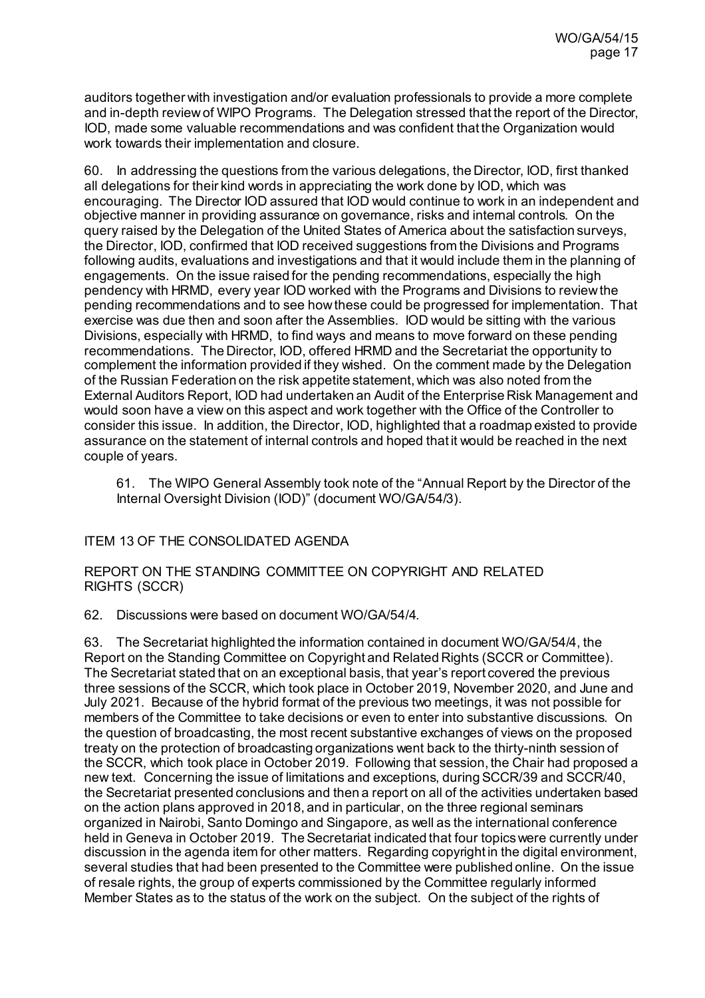auditors together with investigation and/or evaluation professionals to provide a more complete and in-depth review of WIPO Programs. The Delegation stressed that the report of the Director, IOD, made some valuable recommendations and was confident that the Organization would work towards their implementation and closure.

60. In addressing the questions from the various delegations, the Director, IOD, first thanked all delegations for their kind words in appreciating the work done by IOD, which was encouraging. The Director IOD assured that IOD would continue to work in an independent and objective manner in providing assurance on governance, risks and internal controls. On the query raised by the Delegation of the United States of America about the satisfaction surveys, the Director, IOD, confirmed that IOD received suggestions from the Divisions and Programs following audits, evaluations and investigations and that it would include them in the planning of engagements. On the issue raised for the pending recommendations, especially the high pendency with HRMD, every year IOD worked with the Programs and Divisions to review the pending recommendations and to see how these could be progressed for implementation. That exercise was due then and soon after the Assemblies. IOD would be sitting with the various Divisions, especially with HRMD, to find ways and means to move forward on these pending recommendations. The Director, IOD, offered HRMD and the Secretariat the opportunity to complement the information provided if they wished. On the comment made by the Delegation of the Russian Federation on the risk appetite statement, which was also noted from the External Auditors Report, IOD had undertaken an Audit of the Enterprise Risk Management and would soon have a view on this aspect and work together with the Office of the Controller to consider this issue. In addition, the Director, IOD, highlighted that a roadmap existed to provide assurance on the statement of internal controls and hoped that it would be reached in the next couple of years.

61. The WIPO General Assembly took note of the "Annual Report by the Director of the Internal Oversight Division (IOD)" (document WO/GA/54/3).

### ITEM 13 OF THE CONSOLIDATED AGENDA

REPORT ON THE STANDING COMMITTEE ON COPYRIGHT AND RELATED RIGHTS (SCCR)

62. Discussions were based on document [WO/GA/54/4](https://www.wipo.int/about-wipo/en/assemblies/2021/a_62/doc_details.jsp?doc_id=547755).

63. The Secretariat highlighted the information contained in document WO/GA/54/4, the Report on the Standing Committee on Copyright and Related Rights (SCCR or Committee). The Secretariat stated that on an exceptional basis, that year's report covered the previous three sessions of the SCCR, which took place in October 2019, November 2020, and June and July 2021. Because of the hybrid format of the previous two meetings, it was not possible for members of the Committee to take decisions or even to enter into substantive discussions. On the question of broadcasting, the most recent substantive exchanges of views on the proposed treaty on the protection of broadcasting organizations went back to the thirty-ninth session of the SCCR, which took place in October 2019. Following that session, the Chair had proposed a new text. Concerning the issue of limitations and exceptions, during SCCR/39 and SCCR/40, the Secretariat presented conclusions and then a report on all of the activities undertaken based on the action plans approved in 2018, and in particular, on the three regional seminars organized in Nairobi, Santo Domingo and Singapore, as well as the international conference held in Geneva in October 2019. The Secretariat indicated that four topicswere currently under discussion in the agenda item for other matters. Regarding copyright in the digital environment, several studies that had been presented to the Committee were published online. On the issue of resale rights, the group of experts commissioned by the Committee regularly informed Member States as to the status of the work on the subject. On the subject of the rights of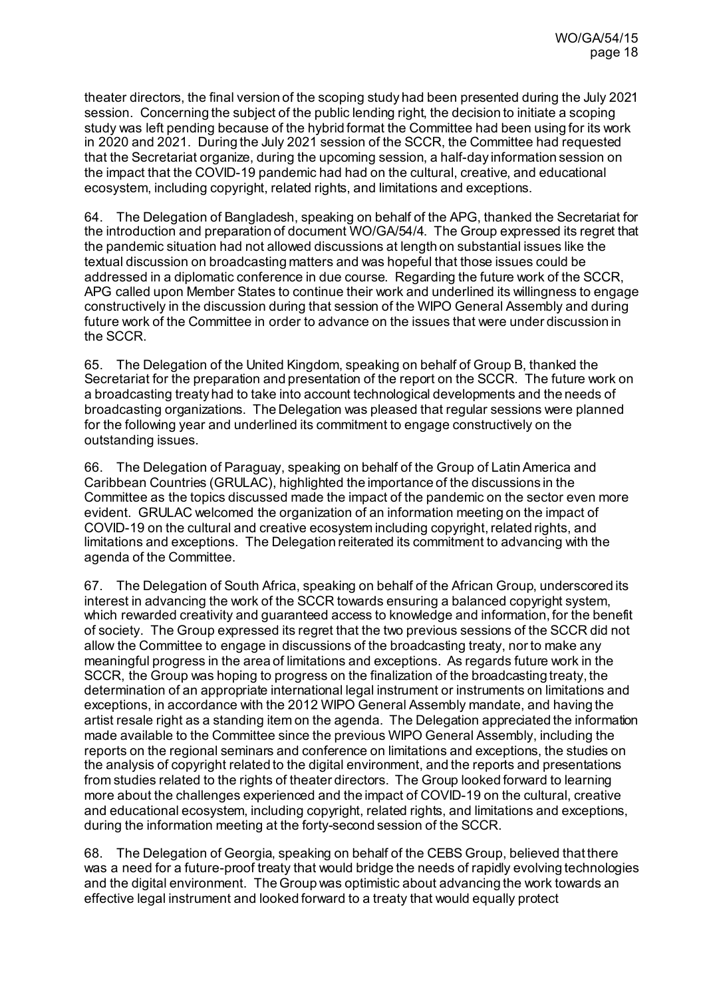theater directors, the final version of the scoping study had been presented during the July 2021 session. Concerning the subject of the public lending right, the decision to initiate a scoping study was left pending because of the hybrid format the Committee had been using for its work in 2020 and 2021. During the July 2021 session of the SCCR, the Committee had requested that the Secretariat organize, during the upcoming session, a half-day information session on the impact that the COVID-19 pandemic had had on the cultural, creative, and educational ecosystem, including copyright, related rights, and limitations and exceptions.

64. The Delegation of Bangladesh, speaking on behalf of the APG, thanked the Secretariat for the introduction and preparation of document WO/GA/54/4. The Group expressed its regret that the pandemic situation had not allowed discussions at length on substantial issues like the textual discussion on broadcasting matters and was hopeful that those issues could be addressed in a diplomatic conference in due course. Regarding the future work of the SCCR, APG called upon Member States to continue their work and underlined its willingness to engage constructively in the discussion during that session of the WIPO General Assembly and during future work of the Committee in order to advance on the issues that were under discussion in the SCCR.

65. The Delegation of the United Kingdom, speaking on behalf of Group B, thanked the Secretariat for the preparation and presentation of the report on the SCCR. The future work on a broadcasting treaty had to take into account technological developments and the needs of broadcasting organizations. The Delegation was pleased that regular sessions were planned for the following year and underlined its commitment to engage constructively on the outstanding issues.

66. The Delegation of Paraguay, speaking on behalf of the Group of Latin America and Caribbean Countries (GRULAC), highlighted the importance of the discussions in the Committee as the topics discussed made the impact of the pandemic on the sector even more evident. GRULAC welcomed the organization of an information meeting on the impact of COVID-19 on the cultural and creative ecosystem including copyright, related rights, and limitations and exceptions. The Delegation reiterated its commitment to advancing with the agenda of the Committee.

67. The Delegation of South Africa, speaking on behalf of the African Group, underscored its interest in advancing the work of the SCCR towards ensuring a balanced copyright system, which rewarded creativity and quaranteed access to knowledge and information, for the benefit of society. The Group expressed its regret that the two previous sessions of the SCCR did not allow the Committee to engage in discussions of the broadcasting treaty, nor to make any meaningful progress in the area of limitations and exceptions. As regards future work in the SCCR, the Group was hoping to progress on the finalization of the broadcasting treaty, the determination of an appropriate international legal instrument or instruments on limitations and exceptions, in accordance with the 2012 WIPO General Assembly mandate, and having the artist resale right as a standing item on the agenda. The Delegation appreciated the information made available to the Committee since the previous WIPO General Assembly, including the reports on the regional seminars and conference on limitations and exceptions, the studies on the analysis of copyright related to the digital environment, and the reports and presentations from studies related to the rights of theater directors. The Group looked forward to learning more about the challenges experienced and the impact of COVID-19 on the cultural, creative and educational ecosystem, including copyright, related rights, and limitations and exceptions, during the information meeting at the forty-second session of the SCCR.

68. The Delegation of Georgia, speaking on behalf of the CEBS Group, believed that there was a need for a future-proof treaty that would bridge the needs of rapidly evolving technologies and the digital environment. The Group was optimistic about advancing the work towards an effective legal instrument and looked forward to a treaty that would equally protect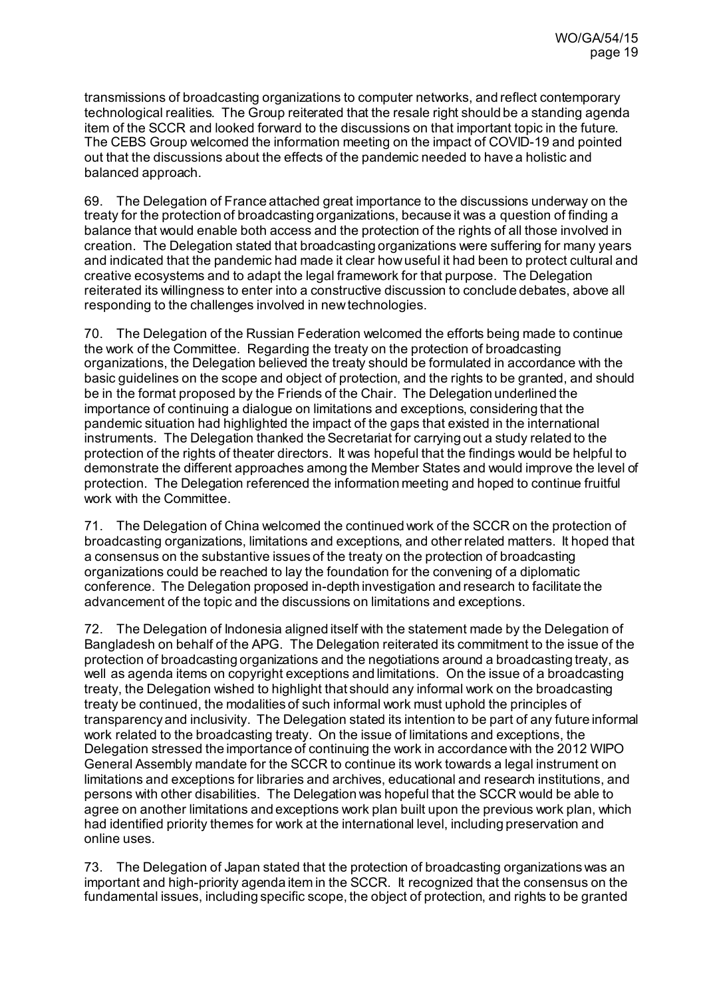transmissions of broadcasting organizations to computer networks, and reflect contemporary technological realities. The Group reiterated that the resale right should be a standing agenda item of the SCCR and looked forward to the discussions on that important topic in the future. The CEBS Group welcomed the information meeting on the impact of COVID-19 and pointed out that the discussions about the effects of the pandemic needed to have a holistic and balanced approach.

69. The Delegation of France attached great importance to the discussions underway on the treaty for the protection of broadcasting organizations, because it was a question of finding a balance that would enable both access and the protection of the rights of all those involved in creation. The Delegation stated that broadcasting organizations were suffering for many years and indicated that the pandemic had made it clear how useful it had been to protect cultural and creative ecosystems and to adapt the legal framework for that purpose. The Delegation reiterated its willingness to enter into a constructive discussion to conclude debates, above all responding to the challenges involved in new technologies.

70. The Delegation of the Russian Federation welcomed the efforts being made to continue the work of the Committee. Regarding the treaty on the protection of broadcasting organizations, the Delegation believed the treaty should be formulated in accordance with the basic guidelines on the scope and object of protection, and the rights to be granted, and should be in the format proposed by the Friends of the Chair. The Delegation underlined the importance of continuing a dialogue on limitations and exceptions, considering that the pandemic situation had highlighted the impact of the gaps that existed in the international instruments. The Delegation thanked the Secretariat for carrying out a study related to the protection of the rights of theater directors. It was hopeful that the findings would be helpful to demonstrate the different approaches among the Member States and would improve the level of protection. The Delegation referenced the information meeting and hoped to continue fruitful work with the Committee.

71. The Delegation of China welcomed the continued work of the SCCR on the protection of broadcasting organizations, limitations and exceptions, and other related matters. It hoped that a consensus on the substantive issues of the treaty on the protection of broadcasting organizations could be reached to lay the foundation for the convening of a diplomatic conference. The Delegation proposed in-depth investigation and research to facilitate the advancement of the topic and the discussions on limitations and exceptions.

72. The Delegation of Indonesia aligned itself with the statement made by the Delegation of Bangladesh on behalf of the APG. The Delegation reiterated its commitment to the issue of the protection of broadcasting organizations and the negotiations around a broadcasting treaty, as well as agenda items on copyright exceptions and limitations. On the issue of a broadcasting treaty, the Delegation wished to highlight that should any informal work on the broadcasting treaty be continued, the modalities of such informal work must uphold the principles of transparency and inclusivity. The Delegation stated its intention to be part of any future informal work related to the broadcasting treaty. On the issue of limitations and exceptions, the Delegation stressed the importance of continuing the work in accordance with the 2012 WIPO General Assembly mandate for the SCCR to continue its work towards a legal instrument on limitations and exceptions for libraries and archives, educational and research institutions, and persons with other disabilities. The Delegation was hopeful that the SCCR would be able to agree on another limitations and exceptions work plan built upon the previous work plan, which had identified priority themes for work at the international level, including preservation and online uses.

73. The Delegation of Japan stated that the protection of broadcasting organizations was an important and high-priority agenda item in the SCCR. It recognized that the consensus on the fundamental issues, including specific scope, the object of protection, and rights to be granted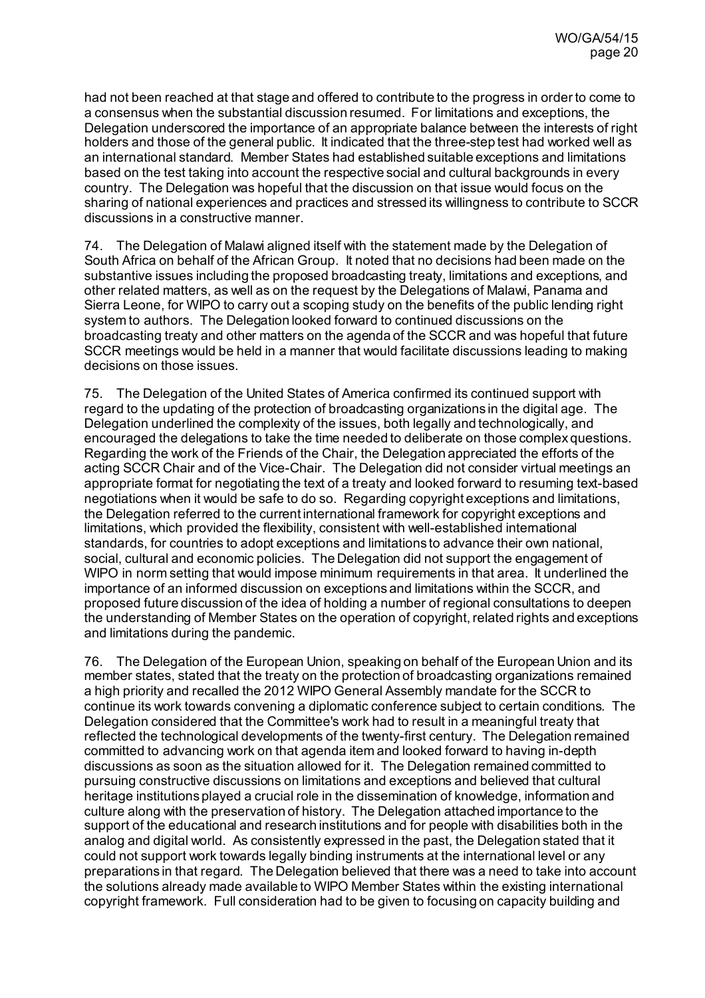had not been reached at that stage and offered to contribute to the progress in order to come to a consensus when the substantial discussion resumed. For limitations and exceptions, the Delegation underscored the importance of an appropriate balance between the interests of right holders and those of the general public. It indicated that the three-step test had worked well as an international standard. Member States had established suitable exceptions and limitations based on the test taking into account the respective social and cultural backgrounds in every country. The Delegation was hopeful that the discussion on that issue would focus on the sharing of national experiences and practices and stressed its willingness to contribute to SCCR discussions in a constructive manner.

74. The Delegation of Malawi aligned itself with the statement made by the Delegation of South Africa on behalf of the African Group. It noted that no decisions had been made on the substantive issues including the proposed broadcasting treaty, limitations and exceptions, and other related matters, as well as on the request by the Delegations of Malawi, Panama and Sierra Leone, for WIPO to carry out a scoping study on the benefits of the public lending right system to authors. The Delegation looked forward to continued discussions on the broadcasting treaty and other matters on the agenda of the SCCR and was hopeful that future SCCR meetings would be held in a manner that would facilitate discussions leading to making decisions on those issues.

75. The Delegation of the United States of America confirmed its continued support with regard to the updating of the protection of broadcasting organizations in the digital age. The Delegation underlined the complexity of the issues, both legally and technologically, and encouraged the delegations to take the time needed to deliberate on those complex questions. Regarding the work of the Friends of the Chair, the Delegation appreciated the efforts of the acting SCCR Chair and of the Vice-Chair. The Delegation did not consider virtual meetings an appropriate format for negotiating the text of a treaty and looked forward to resuming text-based negotiations when it would be safe to do so. Regarding copyright exceptions and limitations, the Delegation referred to the current international framework for copyright exceptions and limitations, which provided the flexibility, consistent with well-established international standards, for countries to adopt exceptions and limitations to advance their own national, social, cultural and economic policies. The Delegation did not support the engagement of WIPO in norm setting that would impose minimum requirements in that area. It underlined the importance of an informed discussion on exceptions and limitations within the SCCR, and proposed future discussion of the idea of holding a number of regional consultations to deepen the understanding of Member States on the operation of copyright, related rights and exceptions and limitations during the pandemic.

76. The Delegation of the European Union, speaking on behalf of the European Union and its member states, stated that the treaty on the protection of broadcasting organizations remained a high priority and recalled the 2012 WIPO General Assembly mandate for the SCCR to continue its work towards convening a diplomatic conference subject to certain conditions. The Delegation considered that the Committee's work had to result in a meaningful treaty that reflected the technological developments of the twenty-first century. The Delegation remained committed to advancing work on that agenda item and looked forward to having in-depth discussions as soon as the situation allowed for it. The Delegation remained committed to pursuing constructive discussions on limitations and exceptions and believed that cultural heritage institutions played a crucial role in the dissemination of knowledge, information and culture along with the preservation of history. The Delegation attached importance to the support of the educational and research institutions and for people with disabilities both in the analog and digital world. As consistently expressed in the past, the Delegation stated that it could not support work towards legally binding instruments at the international level or any preparations in that regard. The Delegation believed that there was a need to take into account the solutions already made available to WIPO Member States within the existing international copyright framework. Full consideration had to be given to focusing on capacity building and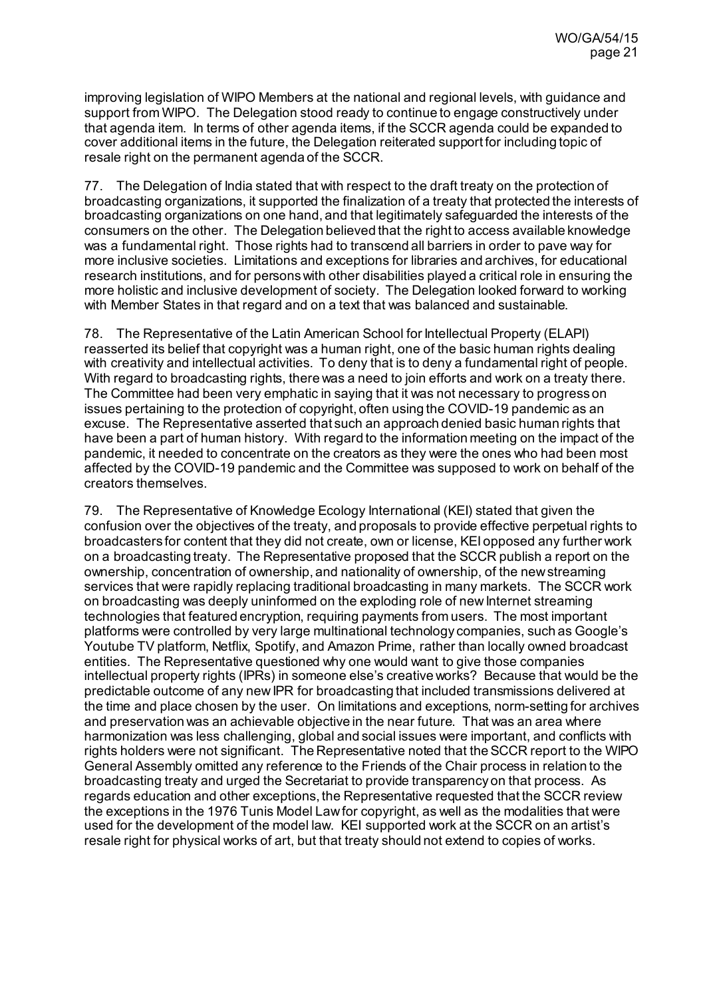improving legislation of WIPO Members at the national and regional levels, with guidance and support from WIPO. The Delegation stood ready to continue to engage constructively under that agenda item. In terms of other agenda items, if the SCCR agenda could be expanded to cover additional items in the future, the Delegation reiterated support for including topic of resale right on the permanent agenda of the SCCR.

77. The Delegation of India stated that with respect to the draft treaty on the protection of broadcasting organizations, it supported the finalization of a treaty that protected the interests of broadcasting organizations on one hand, and that legitimately safeguarded the interests of the consumers on the other. The Delegation believed that the right to access available knowledge was a fundamental right. Those rights had to transcend all barriers in order to pave way for more inclusive societies. Limitations and exceptions for libraries and archives, for educational research institutions, and for persons with other disabilities played a critical role in ensuring the more holistic and inclusive development of society. The Delegation looked forward to working with Member States in that regard and on a text that was balanced and sustainable.

78. The Representative of the Latin American School for Intellectual Property (ELAPI) reasserted its belief that copyright was a human right, one of the basic human rights dealing with creativity and intellectual activities. To deny that is to deny a fundamental right of people. With regard to broadcasting rights, there was a need to join efforts and work on a treaty there. The Committee had been very emphatic in saying that it was not necessary to progress on issues pertaining to the protection of copyright, often using the COVID-19 pandemic as an excuse. The Representative asserted that such an approach denied basic human rights that have been a part of human history. With regard to the information meeting on the impact of the pandemic, it needed to concentrate on the creators as they were the ones who had been most affected by the COVID-19 pandemic and the Committee was supposed to work on behalf of the creators themselves.

79. The Representative of Knowledge Ecology International (KEI) stated that given the confusion over the objectives of the treaty, and proposals to provide effective perpetual rights to broadcasters for content that they did not create, own or license, KEI opposed any further work on a broadcasting treaty. The Representative proposed that the SCCR publish a report on the ownership, concentration of ownership, and nationality of ownership, of the new streaming services that were rapidly replacing traditional broadcasting in many markets. The SCCR work on broadcasting was deeply uninformed on the exploding role of new Internet streaming technologies that featured encryption, requiring payments from users. The most important platforms were controlled by very large multinational technology companies, such as Google's Youtube TV platform, Netflix, Spotify, and Amazon Prime, rather than locally owned broadcast entities. The Representative questioned why one would want to give those companies intellectual property rights (IPRs) in someone else's creative works? Because that would be the predictable outcome of any new IPR for broadcasting that included transmissions delivered at the time and place chosen by the user. On limitations and exceptions, norm-setting for archives and preservation was an achievable objective in the near future. That was an area where harmonization was less challenging, global and social issues were important, and conflicts with rights holders were not significant. The Representative noted that the SCCR report to the WIPO General Assembly omitted any reference to the Friends of the Chair process in relation to the broadcasting treaty and urged the Secretariat to provide transparency on that process. As regards education and other exceptions, the Representative requested that the SCCR review the exceptions in the 1976 Tunis Model Law for copyright, as well as the modalities that were used for the development of the model law. KEI supported work at the SCCR on an artist's resale right for physical works of art, but that treaty should not extend to copies of works.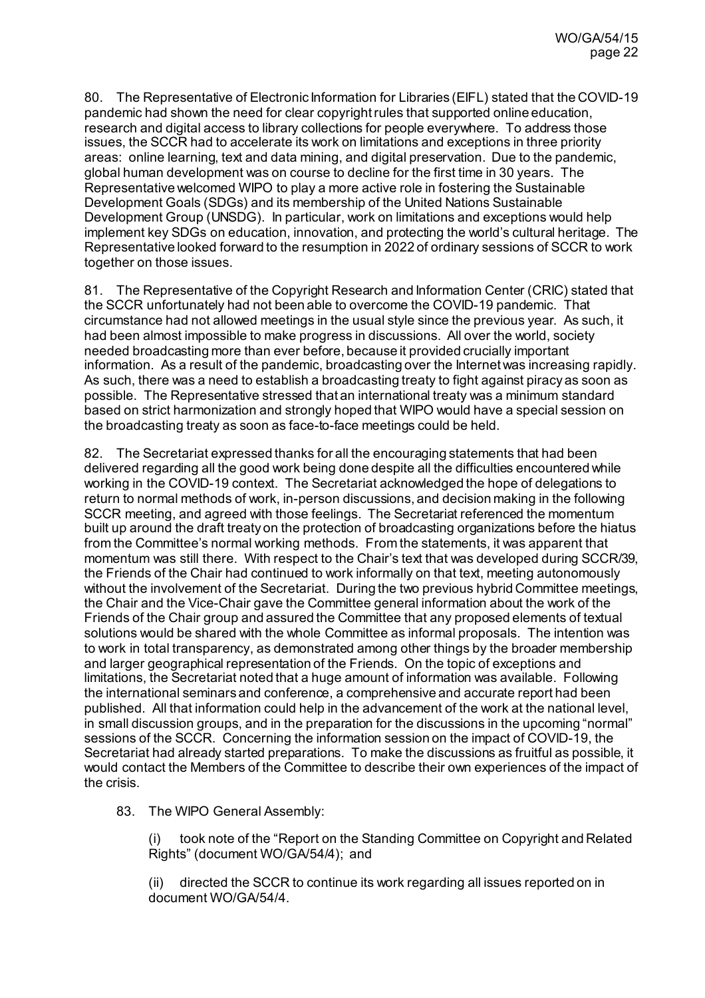80. The Representative of Electronic Information for Libraries (EIFL) stated that the COVID-19 pandemic had shown the need for clear copyright rules that supported online education, research and digital access to library collections for people everywhere. To address those issues, the SCCR had to accelerate its work on limitations and exceptions in three priority areas: online learning, text and data mining, and digital preservation. Due to the pandemic, global human development was on course to decline for the first time in 30 years. The Representative welcomed WIPO to play a more active role in fostering the Sustainable Development Goals (SDGs) and its membership of the United Nations Sustainable Development Group (UNSDG). In particular, work on limitations and exceptions would help implement key SDGs on education, innovation, and protecting the world's cultural heritage. The Representative looked forward to the resumption in 2022 of ordinary sessions of SCCR to work together on those issues.

81. The Representative of the Copyright Research and Information Center (CRIC) stated that the SCCR unfortunately had not been able to overcome the COVID-19 pandemic. That circumstance had not allowed meetings in the usual style since the previous year. As such, it had been almost impossible to make progress in discussions. All over the world, society needed broadcasting more than ever before, because it provided crucially important information. As a result of the pandemic, broadcasting over the Internet was increasing rapidly. As such, there was a need to establish a broadcasting treaty to fight against piracy as soon as possible. The Representative stressed that an international treaty was a minimum standard based on strict harmonization and strongly hoped that WIPO would have a special session on the broadcasting treaty as soon as face-to-face meetings could be held.

82. The Secretariat expressed thanks for all the encouraging statements that had been delivered regarding all the good work being done despite all the difficulties encountered while working in the COVID-19 context. The Secretariat acknowledged the hope of delegations to return to normal methods of work, in-person discussions, and decision making in the following SCCR meeting, and agreed with those feelings. The Secretariat referenced the momentum built up around the draft treaty on the protection of broadcasting organizations before the hiatus from the Committee's normal working methods. From the statements, it was apparent that momentum was still there. With respect to the Chair's text that was developed during SCCR/39, the Friends of the Chair had continued to work informally on that text, meeting autonomously without the involvement of the Secretariat. During the two previous hybrid Committee meetings, the Chair and the Vice-Chair gave the Committee general information about the work of the Friends of the Chair group and assured the Committee that any proposed elements of textual solutions would be shared with the whole Committee as informal proposals. The intention was to work in total transparency, as demonstrated among other things by the broader membership and larger geographical representation of the Friends. On the topic of exceptions and limitations, the Secretariat noted that a huge amount of information was available. Following the international seminars and conference, a comprehensive and accurate report had been published. All that information could help in the advancement of the work at the national level, in small discussion groups, and in the preparation for the discussions in the upcoming "normal" sessions of the SCCR. Concerning the information session on the impact of COVID-19, the Secretariat had already started preparations. To make the discussions as fruitful as possible, it would contact the Members of the Committee to describe their own experiences of the impact of the crisis.

83. The WIPO General Assembly:

took note of the "Report on the Standing Committee on Copyright and Related Rights" (document WO/GA/54/4); and

(ii) directed the SCCR to continue its work regarding all issues reported on in document WO/GA/54/4.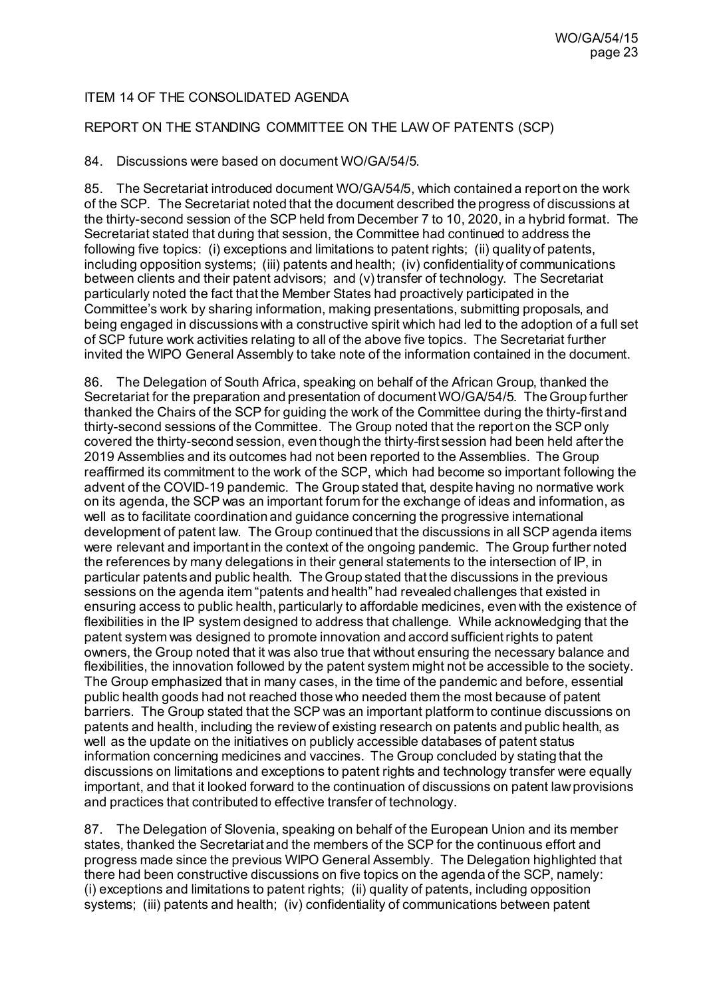## ITEM 14 OF THE CONSOLIDATED AGENDA

### REPORT ON THE STANDING COMMITTEE ON THE LAW OF PATENTS (SCP)

### 84. Discussions were based on documen[t WO/GA/54/5](https://www.wipo.int/about-wipo/en/assemblies/2021/a_62/doc_details.jsp?doc_id=544412).

85. The Secretariat introduced document WO/GA/54/5, which contained a report on the work of the SCP. The Secretariat noted that the document described the progress of discussions at the thirty-second session of the SCP held from December 7 to 10, 2020, in a hybrid format. The Secretariat stated that during that session, the Committee had continued to address the following five topics: (i) exceptions and limitations to patent rights; (ii) quality of patents, including opposition systems; (iii) patents and health; (iv) confidentiality of communications between clients and their patent advisors; and (v) transfer of technology. The Secretariat particularly noted the fact that the Member States had proactively participated in the Committee's work by sharing information, making presentations, submitting proposals, and being engaged in discussions with a constructive spirit which had led to the adoption of a full set of SCP future work activities relating to all of the above five topics. The Secretariat further invited the WIPO General Assembly to take note of the information contained in the document.

86. The Delegation of South Africa, speaking on behalf of the African Group, thanked the Secretariat for the preparation and presentation of document WO/GA/54/5. The Group further thanked the Chairs of the SCP for guiding the work of the Committee during the thirty-first and thirty-second sessions of the Committee. The Group noted that the report on the SCP only covered the thirty-second session, even though the thirty-first session had been held after the 2019 Assemblies and its outcomes had not been reported to the Assemblies. The Group reaffirmed its commitment to the work of the SCP, which had become so important following the advent of the COVID-19 pandemic. The Group stated that, despite having no normative work on its agenda, the SCP was an important forum for the exchange of ideas and information, as well as to facilitate coordination and guidance concerning the progressive international development of patent law. The Group continued that the discussions in all SCP agenda items were relevant and important in the context of the ongoing pandemic. The Group further noted the references by many delegations in their general statements to the intersection of IP, in particular patents and public health. The Group stated that the discussions in the previous sessions on the agenda item "patents and health" had revealed challenges that existed in ensuring access to public health, particularly to affordable medicines, even with the existence of flexibilities in the IP system designed to address that challenge. While acknowledging that the patent system was designed to promote innovation and accord sufficient rights to patent owners, the Group noted that it was also true that without ensuring the necessary balance and flexibilities, the innovation followed by the patent system might not be accessible to the society. The Group emphasized that in many cases, in the time of the pandemic and before, essential public health goods had not reached those who needed them the most because of patent barriers. The Group stated that the SCP was an important platform to continue discussions on patents and health, including the review of existing research on patents and public health, as well as the update on the initiatives on publicly accessible databases of patent status information concerning medicines and vaccines. The Group concluded by stating that the discussions on limitations and exceptions to patent rights and technology transfer were equally important, and that it looked forward to the continuation of discussions on patent law provisions and practices that contributed to effective transfer of technology.

87. The Delegation of Slovenia, speaking on behalf of the European Union and its member states, thanked the Secretariat and the members of the SCP for the continuous effort and progress made since the previous WIPO General Assembly. The Delegation highlighted that there had been constructive discussions on five topics on the agenda of the SCP, namely: (i) exceptions and limitations to patent rights; (ii) quality of patents, including opposition systems; (iii) patents and health; (iv) confidentiality of communications between patent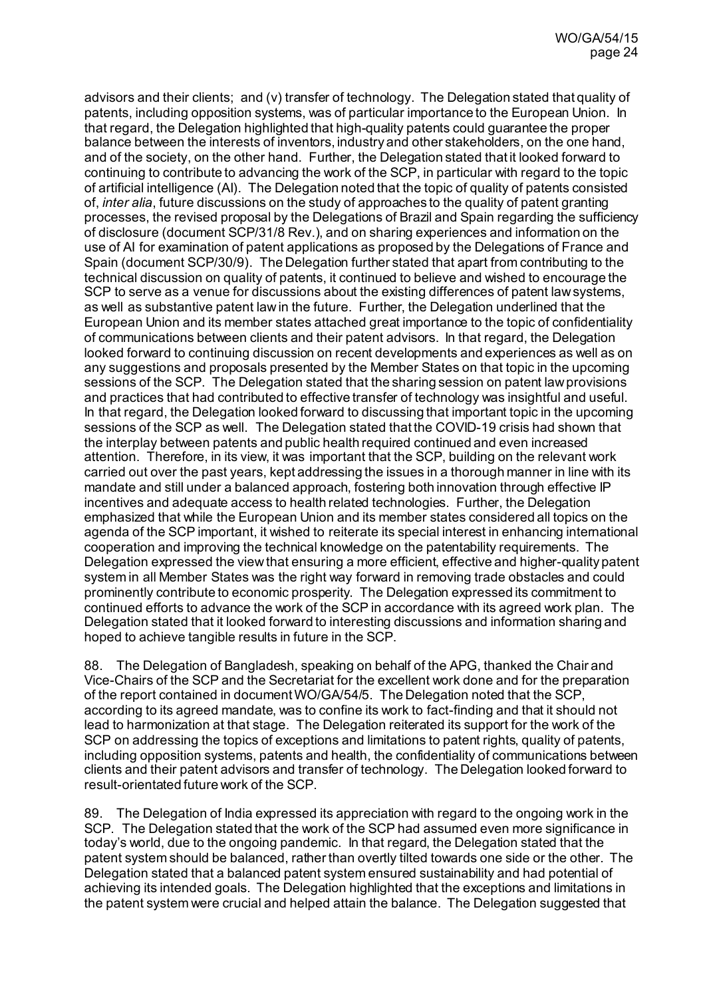advisors and their clients; and (v) transfer of technology. The Delegation stated that quality of patents, including opposition systems, was of particular importance to the European Union. In that regard, the Delegation highlighted that high-quality patents could guarantee the proper balance between the interests of inventors, industry and other stakeholders, on the one hand, and of the society, on the other hand. Further, the Delegation stated that it looked forward to continuing to contribute to advancing the work of the SCP, in particular with regard to the topic of artificial intelligence (AI). The Delegation noted that the topic of quality of patents consisted of, *inter alia*, future discussions on the study of approaches to the quality of patent granting processes, the revised proposal by the Delegations of Brazil and Spain regarding the sufficiency of disclosure (document SCP/31/8 Rev.), and on sharing experiences and information on the use of AI for examination of patent applications as proposed by the Delegations of France and Spain (document SCP/30/9). The Delegation further stated that apart from contributing to the technical discussion on quality of patents, it continued to believe and wished to encourage the SCP to serve as a venue for discussions about the existing differences of patent law systems, as well as substantive patent law in the future. Further, the Delegation underlined that the European Union and its member states attached great importance to the topic of confidentiality of communications between clients and their patent advisors. In that regard, the Delegation looked forward to continuing discussion on recent developments and experiences as well as on any suggestions and proposals presented by the Member States on that topic in the upcoming sessions of the SCP. The Delegation stated that the sharing session on patent law provisions and practices that had contributed to effective transfer of technology was insightful and useful. In that regard, the Delegation looked forward to discussing that important topic in the upcoming sessions of the SCP as well. The Delegation stated that the COVID-19 crisis had shown that the interplay between patents and public health required continued and even increased attention. Therefore, in its view, it was important that the SCP, building on the relevant work carried out over the past years, kept addressing the issues in a thorough manner in line with its mandate and still under a balanced approach, fostering both innovation through effective IP incentives and adequate access to health related technologies. Further, the Delegation emphasized that while the European Union and its member states considered all topics on the agenda of the SCP important, it wished to reiterate its special interest in enhancing international cooperation and improving the technical knowledge on the patentability requirements. The Delegation expressed the viewthat ensuring a more efficient, effective and higher-quality patent system in all Member States was the right way forward in removing trade obstacles and could prominently contribute to economic prosperity. The Delegation expressed its commitment to continued efforts to advance the work of the SCP in accordance with its agreed work plan. The Delegation stated that it looked forward to interesting discussions and information sharing and hoped to achieve tangible results in future in the SCP.

88. The Delegation of Bangladesh, speaking on behalf of the APG, thanked the Chair and Vice-Chairs of the SCP and the Secretariat for the excellent work done and for the preparation of the report contained in document WO/GA/54/5. The Delegation noted that the SCP, according to its agreed mandate, was to confine its work to fact-finding and that it should not lead to harmonization at that stage. The Delegation reiterated its support for the work of the SCP on addressing the topics of exceptions and limitations to patent rights, quality of patents, including opposition systems, patents and health, the confidentiality of communications between clients and their patent advisors and transfer of technology. The Delegation looked forward to result-orientated future work of the SCP.

89. The Delegation of India expressed its appreciation with regard to the ongoing work in the SCP. The Delegation stated that the work of the SCP had assumed even more significance in today's world, due to the ongoing pandemic. In that regard, the Delegation stated that the patent system should be balanced, rather than overtly tilted towards one side or the other. The Delegation stated that a balanced patent system ensured sustainability and had potential of achieving its intended goals. The Delegation highlighted that the exceptions and limitations in the patent system were crucial and helped attain the balance. The Delegation suggested that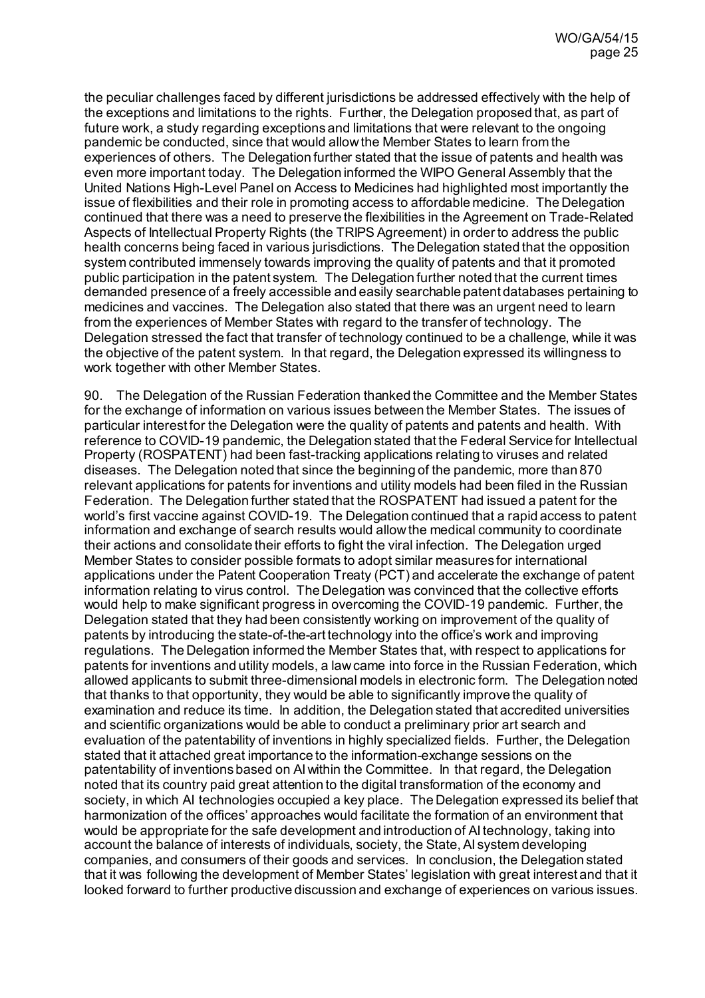the peculiar challenges faced by different jurisdictions be addressed effectively with the help of the exceptions and limitations to the rights. Further, the Delegation proposed that, as part of future work, a study regarding exceptions and limitations that were relevant to the ongoing pandemic be conducted, since that would allow the Member States to learn from the experiences of others. The Delegation further stated that the issue of patents and health was even more important today. The Delegation informed the WIPO General Assembly that the United Nations High-Level Panel on Access to Medicines had highlighted most importantly the issue of flexibilities and their role in promoting access to affordable medicine. The Delegation continued that there was a need to preserve the flexibilities in the Agreement on Trade-Related Aspects of Intellectual Property Rights (the TRIPS Agreement) in order to address the public health concerns being faced in various jurisdictions. The Delegation stated that the opposition system contributed immensely towards improving the quality of patents and that it promoted public participation in the patent system. The Delegation further noted that the current times demanded presence of a freely accessible and easily searchable patent databases pertaining to medicines and vaccines. The Delegation also stated that there was an urgent need to learn from the experiences of Member States with regard to the transfer of technology. The Delegation stressed the fact that transfer of technology continued to be a challenge, while it was the objective of the patent system. In that regard, the Delegation expressed its willingness to work together with other Member States.

90. The Delegation of the Russian Federation thanked the Committee and the Member States for the exchange of information on various issues between the Member States. The issues of particular interest for the Delegation were the quality of patents and patents and health. With reference to COVID-19 pandemic, the Delegation stated that the Federal Service for Intellectual Property (ROSPATENT) had been fast-tracking applications relating to viruses and related diseases. The Delegation noted that since the beginning of the pandemic, more than 870 relevant applications for patents for inventions and utility models had been filed in the Russian Federation. The Delegation further stated that the ROSPATENT had issued a patent for the world's first vaccine against COVID-19. The Delegation continued that a rapid access to patent information and exchange of search results would allow the medical community to coordinate their actions and consolidate their efforts to fight the viral infection. The Delegation urged Member States to consider possible formats to adopt similar measures for international applications under the Patent Cooperation Treaty (PCT) and accelerate the exchange of patent information relating to virus control. The Delegation was convinced that the collective efforts would help to make significant progress in overcoming the COVID-19 pandemic. Further, the Delegation stated that they had been consistently working on improvement of the quality of patents by introducing the state-of-the-art technology into the office's work and improving regulations. The Delegation informed the Member States that, with respect to applications for patents for inventions and utility models, a law came into force in the Russian Federation, which allowed applicants to submit three-dimensional models in electronic form. The Delegation noted that thanks to that opportunity, they would be able to significantly improve the quality of examination and reduce its time. In addition, the Delegation stated that accredited universities and scientific organizations would be able to conduct a preliminary prior art search and evaluation of the patentability of inventions in highly specialized fields. Further, the Delegation stated that it attached great importance to the information-exchange sessions on the patentability of inventions based on AI within the Committee. In that regard, the Delegation noted that its country paid great attention to the digital transformation of the economy and society, in which AI technologies occupied a key place. The Delegation expressed its belief that harmonization of the offices' approaches would facilitate the formation of an environment that would be appropriate for the safe development and introduction of AI technology, taking into account the balance of interests of individuals, society, the State, AI system developing companies, and consumers of their goods and services. In conclusion, the Delegation stated that it was following the development of Member States' legislation with great interest and that it looked forward to further productive discussion and exchange of experiences on various issues.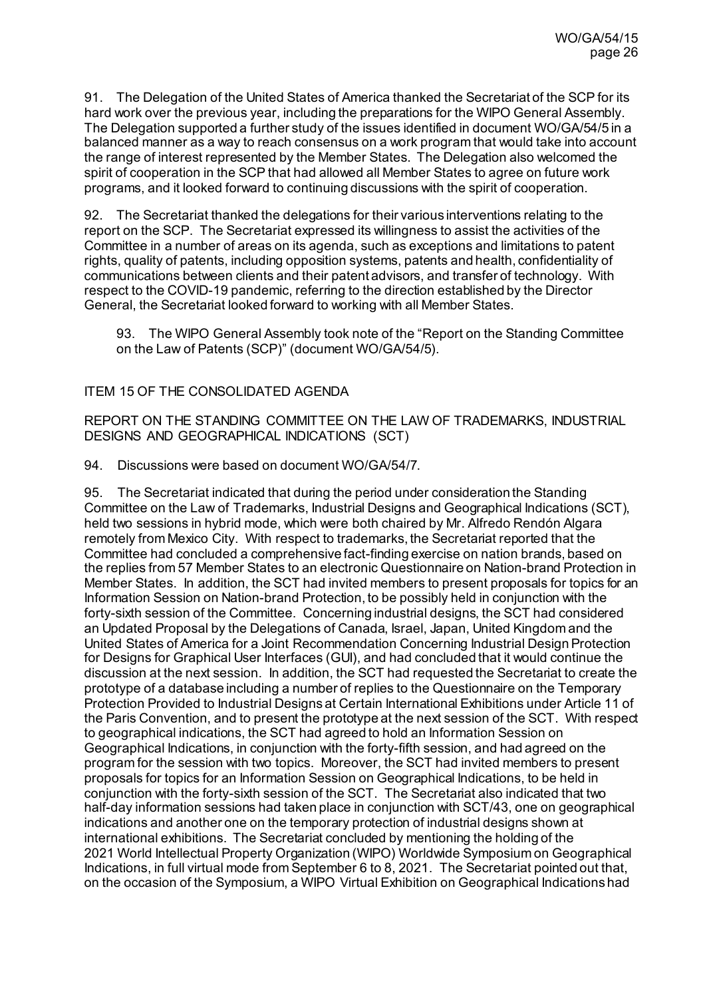91. The Delegation of the United States of America thanked the Secretariat of the SCP for its hard work over the previous year, including the preparations for the WIPO General Assembly. The Delegation supported a further study of the issues identified in document WO/GA/54/5 in a balanced manner as a way to reach consensus on a work program that would take into account the range of interest represented by the Member States. The Delegation also welcomed the spirit of cooperation in the SCP that had allowed all Member States to agree on future work programs, and it looked forward to continuing discussions with the spirit of cooperation.

92. The Secretariat thanked the delegations for their various interventions relating to the report on the SCP. The Secretariat expressed its willingness to assist the activities of the Committee in a number of areas on its agenda, such as exceptions and limitations to patent rights, quality of patents, including opposition systems, patents and health, confidentiality of communications between clients and their patent advisors, and transfer of technology. With respect to the COVID-19 pandemic, referring to the direction established by the Director General, the Secretariat looked forward to working with all Member States.

93. The WIPO General Assembly took note of the "Report on the Standing Committee on the Law of Patents (SCP)" (document WO/GA/54/5).

### ITEM 15 OF THE CONSOLIDATED AGENDA

REPORT ON THE STANDING COMMITTEE ON THE LAW OF TRADEMARKS, INDUSTRIAL DESIGNS AND GEOGRAPHICAL INDICATIONS (SCT)

94. Discussions were based on documen[t WO/GA/54/7.](https://www.wipo.int/about-wipo/en/assemblies/2021/a_62/doc_details.jsp?doc_id=544211)

95. The Secretariat indicated that during the period under consideration the Standing Committee on the Law of Trademarks, Industrial Designs and Geographical Indications (SCT), held two sessions in hybrid mode, which were both chaired by Mr. Alfredo Rendón Algara remotely from Mexico City. With respect to trademarks, the Secretariat reported that the Committee had concluded a comprehensive fact-finding exercise on nation brands, based on the replies from 57 Member States to an electronic Questionnaire on Nation-brand Protection in Member States. In addition, the SCT had invited members to present proposals for topics for an Information Session on Nation-brand Protection, to be possibly held in conjunction with the forty-sixth session of the Committee. Concerning industrial designs, the SCT had considered an Updated Proposal by the Delegations of Canada, Israel, Japan, United Kingdom and the United States of America for a Joint Recommendation Concerning Industrial Design Protection for Designs for Graphical User Interfaces (GUI), and had concluded that it would continue the discussion at the next session. In addition, the SCT had requested the Secretariat to create the prototype of a database including a number of replies to the Questionnaire on the Temporary Protection Provided to Industrial Designs at Certain International Exhibitions under Article 11 of the Paris Convention, and to present the prototype at the next session of the SCT. With respect to geographical indications, the SCT had agreed to hold an Information Session on Geographical Indications, in conjunction with the forty-fifth session, and had agreed on the program for the session with two topics. Moreover, the SCT had invited members to present proposals for topics for an Information Session on Geographical Indications, to be held in conjunction with the forty-sixth session of the SCT. The Secretariat also indicated that two half-day information sessions had taken place in conjunction with SCT/43, one on geographical indications and another one on the temporary protection of industrial designs shown at international exhibitions. The Secretariat concluded by mentioning the holding of the 2021 World Intellectual Property Organization (WIPO) Worldwide Symposium on Geographical Indications, in full virtual mode from September 6 to 8, 2021. The Secretariat pointed out that, on the occasion of the Symposium, a WIPO Virtual Exhibition on Geographical Indications had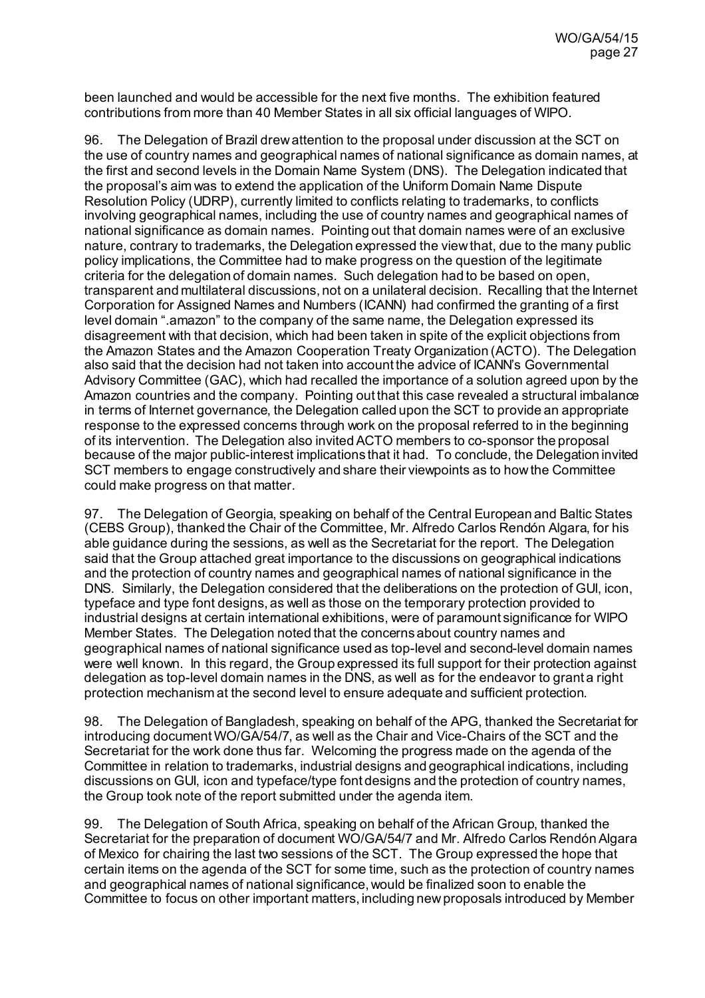been launched and would be accessible for the next five months. The exhibition featured contributions from more than 40 Member States in all six official languages of WIPO.

96. The Delegation of Brazil drew attention to the proposal under discussion at the SCT on the use of country names and geographical names of national significance as domain names, at the first and second levels in the Domain Name System (DNS). The Delegation indicated that the proposal's aim was to extend the application of the Uniform Domain Name Dispute Resolution Policy (UDRP), currently limited to conflicts relating to trademarks, to conflicts involving geographical names, including the use of country names and geographical names of national significance as domain names. Pointing out that domain names were of an exclusive nature, contrary to trademarks, the Delegation expressed the view that, due to the many public policy implications, the Committee had to make progress on the question of the legitimate criteria for the delegation of domain names. Such delegation had to be based on open, transparent and multilateral discussions, not on a unilateral decision. Recalling that the Internet Corporation for Assigned Names and Numbers (ICANN) had confirmed the granting of a first level domain ".amazon" to the company of the same name, the Delegation expressed its disagreement with that decision, which had been taken in spite of the explicit objections from the Amazon States and the Amazon Cooperation Treaty Organization (ACTO). The Delegation also said that the decision had not taken into account the advice of ICANN's Governmental Advisory Committee (GAC), which had recalled the importance of a solution agreed upon by the Amazon countries and the company. Pointing out that this case revealed a structural imbalance in terms of Internet governance, the Delegation called upon the SCT to provide an appropriate response to the expressed concerns through work on the proposal referred to in the beginning of its intervention. The Delegation also invited ACTO members to co-sponsor the proposal because of the major public-interest implications that it had. To conclude, the Delegation invited SCT members to engage constructively and share their viewpoints as to how the Committee could make progress on that matter.

97. The Delegation of Georgia, speaking on behalf of the Central European and Baltic States (CEBS Group), thanked the Chair of the Committee, Mr. Alfredo Carlos Rendón Algara, for his able guidance during the sessions, as well as the Secretariat for the report. The Delegation said that the Group attached great importance to the discussions on geographical indications and the protection of country names and geographical names of national significance in the DNS. Similarly, the Delegation considered that the deliberations on the protection of GUI, icon, typeface and type font designs, as well as those on the temporary protection provided to industrial designs at certain international exhibitions, were of paramount significance for WIPO Member States. The Delegation noted that the concerns about country names and geographical names of national significance used as top-level and second-level domain names were well known. In this regard, the Group expressed its full support for their protection against delegation as top-level domain names in the DNS, as well as for the endeavor to grant a right protection mechanism at the second level to ensure adequate and sufficient protection.

98. The Delegation of Bangladesh, speaking on behalf of the APG, thanked the Secretariat for introducing documentWO/GA/54/7, as well as the Chair and Vice-Chairs of the SCT and the Secretariat for the work done thus far. Welcoming the progress made on the agenda of the Committee in relation to trademarks, industrial designs and geographical indications, including discussions on GUI, icon and typeface/type font designs and the protection of country names, the Group took note of the report submitted under the agenda item.

99. The Delegation of South Africa, speaking on behalf of the African Group, thanked the Secretariat for the preparation of document WO/GA/54/7 and Mr. Alfredo Carlos Rendón Algara of Mexico for chairing the last two sessions of the SCT. The Group expressed the hope that certain items on the agenda of the SCT for some time, such as the protection of country names and geographical names of national significance, would be finalized soon to enable the Committee to focus on other important matters, including new proposals introduced by Member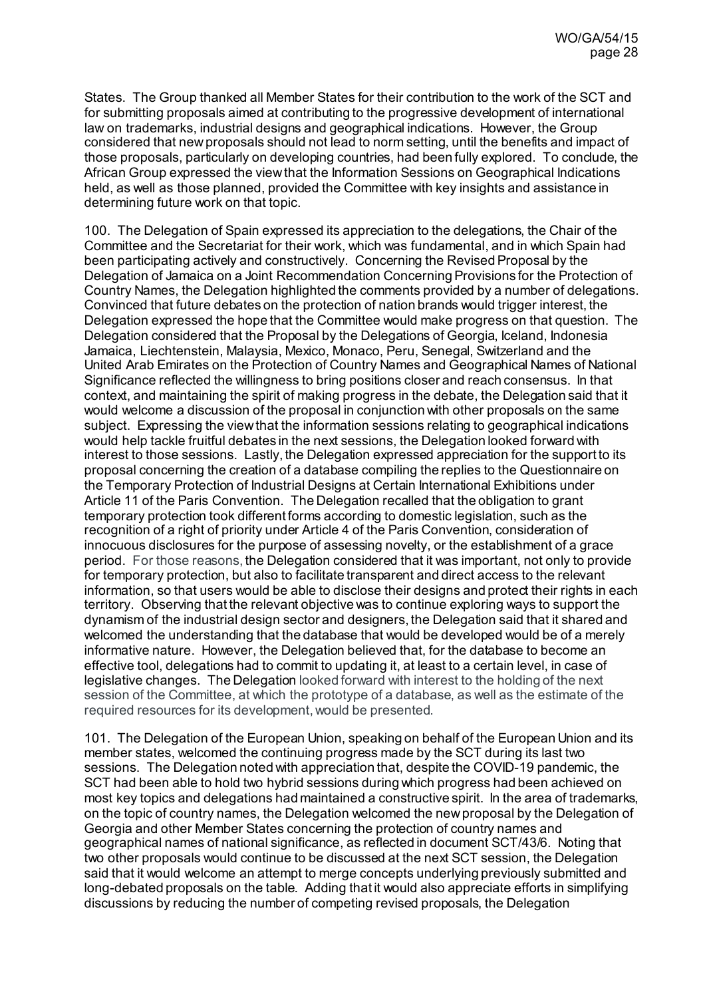States. The Group thanked all Member States for their contribution to the work of the SCT and for submitting proposals aimed at contributing to the progressive development of international law on trademarks, industrial designs and geographical indications. However, the Group considered that new proposals should not lead to norm setting, until the benefits and impact of those proposals, particularly on developing countries, had been fully explored. To conclude, the African Group expressed the view that the Information Sessions on Geographical Indications held, as well as those planned, provided the Committee with key insights and assistance in determining future work on that topic.

100. The Delegation of Spain expressed its appreciation to the delegations, the Chair of the Committee and the Secretariat for their work, which was fundamental, and in which Spain had been participating actively and constructively. Concerning the Revised Proposal by the Delegation of Jamaica on a Joint Recommendation Concerning Provisions for the Protection of Country Names, the Delegation highlighted the comments provided by a number of delegations. Convinced that future debates on the protection of nation brands would trigger interest, the Delegation expressed the hope that the Committee would make progress on that question. The Delegation considered that the Proposal by the Delegations of Georgia, Iceland, Indonesia Jamaica, Liechtenstein, Malaysia, Mexico, Monaco, Peru, Senegal, Switzerland and the United Arab Emirates on the Protection of Country Names and Geographical Names of National Significance reflected the willingness to bring positions closer and reach consensus. In that context, and maintaining the spirit of making progress in the debate, the Delegation said that it would welcome a discussion of the proposal in conjunction with other proposals on the same subject. Expressing the view that the information sessions relating to geographical indications would help tackle fruitful debates in the next sessions, the Delegation looked forward with interest to those sessions. Lastly, the Delegation expressed appreciation for the support to its proposal concerning the creation of a database compiling the replies to the Questionnaire on the Temporary Protection of Industrial Designs at Certain International Exhibitions under Article 11 of the Paris Convention. The Delegation recalled that the obligation to grant temporary protection took different forms according to domestic legislation, such as the recognition of a right of priority under Article 4 of the Paris Convention, consideration of innocuous disclosures for the purpose of assessing novelty, or the establishment of a grace period. For those reasons, the Delegation considered that it was important, not only to provide for temporary protection, but also to facilitate transparent and direct access to the relevant information, so that users would be able to disclose their designs and protect their rights in each territory. Observing that the relevant objective was to continue exploring ways to support the dynamism of the industrial design sector and designers, the Delegation said that it shared and welcomed the understanding that the database that would be developed would be of a merely informative nature. However, the Delegation believed that, for the database to become an effective tool, delegations had to commit to updating it, at least to a certain level, in case of legislative changes. The Delegation looked forward with interest to the holding of the next session of the Committee, at which the prototype of a database, as well as the estimate of the required resources for its development, would be presented.

101. The Delegation of the European Union, speaking on behalf of the European Union and its member states, welcomed the continuing progress made by the SCT during its last two sessions. The Delegation noted with appreciation that, despite the COVID-19 pandemic, the SCT had been able to hold two hybrid sessions during which progress had been achieved on most key topics and delegations had maintained a constructive spirit. In the area of trademarks, on the topic of country names, the Delegation welcomed the new proposal by the Delegation of Georgia and other Member States concerning the protection of country names and geographical names of national significance, as reflected in document SCT/43/6. Noting that two other proposals would continue to be discussed at the next SCT session, the Delegation said that it would welcome an attempt to merge concepts underlying previously submitted and long-debated proposals on the table. Adding that it would also appreciate efforts in simplifying discussions by reducing the number of competing revised proposals, the Delegation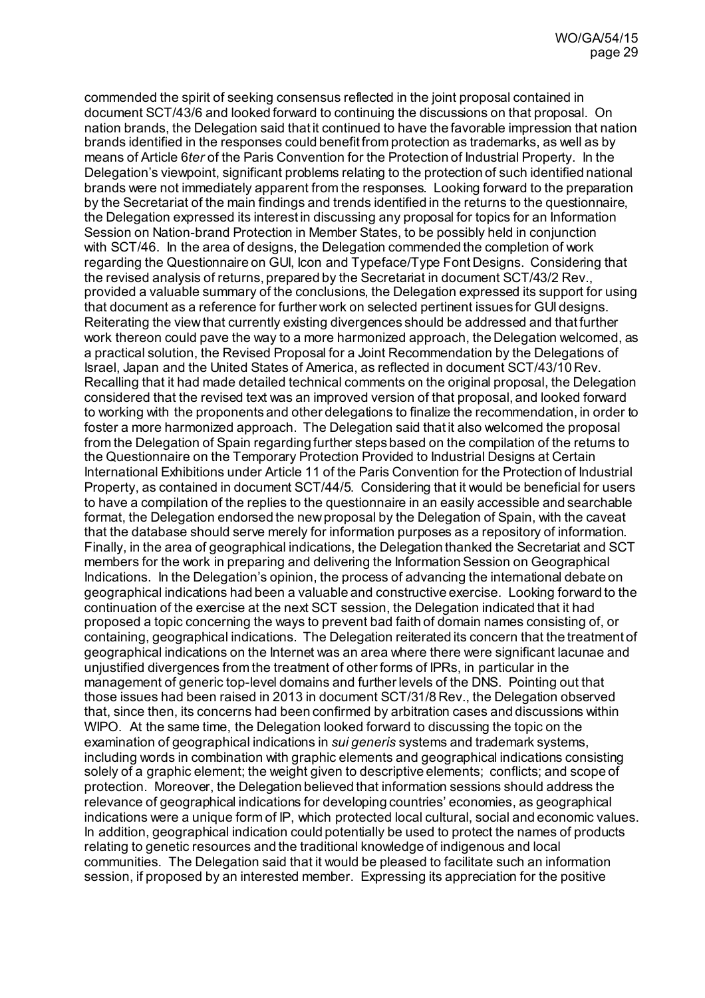commended the spirit of seeking consensus reflected in the joint proposal contained in document SCT/43/6 and looked forward to continuing the discussions on that proposal. On nation brands, the Delegation said that it continued to have the favorable impression that nation brands identified in the responses could benefit from protection as trademarks, as well as by means of Article 6*ter* of the Paris Convention for the Protection of Industrial Property. In the Delegation's viewpoint, significant problems relating to the protection of such identified national brands were not immediately apparent from the responses. Looking forward to the preparation by the Secretariat of the main findings and trends identified in the returns to the questionnaire, the Delegation expressed its interest in discussing any proposal for topics for an Information Session on Nation-brand Protection in Member States, to be possibly held in conjunction with SCT/46. In the area of designs, the Delegation commended the completion of work regarding the Questionnaire on GUI, Icon and Typeface/Type Font Designs. Considering that the revised analysis of returns, prepared by the Secretariat in document SCT/43/2 Rev., provided a valuable summary of the conclusions, the Delegation expressed its support for using that document as a reference for further work on selected pertinent issues for GUI designs. Reiterating the view that currently existing divergences should be addressed and that further work thereon could pave the way to a more harmonized approach, the Delegation welcomed, as a practical solution, the Revised Proposal for a Joint Recommendation by the Delegations of Israel, Japan and the United States of America, as reflected in document SCT/43/10 Rev. Recalling that it had made detailed technical comments on the original proposal, the Delegation considered that the revised text was an improved version of that proposal, and looked forward to working with the proponents and other delegations to finalize the recommendation, in order to foster a more harmonized approach. The Delegation said that it also welcomed the proposal from the Delegation of Spain regarding further steps based on the compilation of the returns to the Questionnaire on the Temporary Protection Provided to Industrial Designs at Certain International Exhibitions under Article 11 of the Paris Convention for the Protection of Industrial Property, as contained in document SCT/44/5. Considering that it would be beneficial for users to have a compilation of the replies to the questionnaire in an easily accessible and searchable format, the Delegation endorsed the new proposal by the Delegation of Spain, with the caveat that the database should serve merely for information purposes as a repository of information. Finally, in the area of geographical indications, the Delegation thanked the Secretariat and SCT members for the work in preparing and delivering the Information Session on Geographical Indications. In the Delegation's opinion, the process of advancing the international debate on geographical indications had been a valuable and constructive exercise. Looking forward to the continuation of the exercise at the next SCT session, the Delegation indicated that it had proposed a topic concerning the ways to prevent bad faith of domain names consisting of, or containing, geographical indications. The Delegation reiterated its concern that the treatment of geographical indications on the Internet was an area where there were significant lacunae and unjustified divergences from the treatment of other forms of IPRs, in particular in the management of generic top-level domains and further levels of the DNS. Pointing out that those issues had been raised in 2013 in document SCT/31/8 Rev., the Delegation observed that, since then, its concerns had been confirmed by arbitration cases and discussions within WIPO. At the same time, the Delegation looked forward to discussing the topic on the examination of geographical indications in *sui generis* systems and trademark systems, including words in combination with graphic elements and geographical indications consisting solely of a graphic element; the weight given to descriptive elements; conflicts; and scope of protection. Moreover, the Delegation believed that information sessions should address the relevance of geographical indications for developing countries' economies, as geographical indications were a unique form of IP, which protected local cultural, social and economic values. In addition, geographical indication could potentially be used to protect the names of products relating to genetic resources and the traditional knowledge of indigenous and local communities. The Delegation said that it would be pleased to facilitate such an information session, if proposed by an interested member. Expressing its appreciation for the positive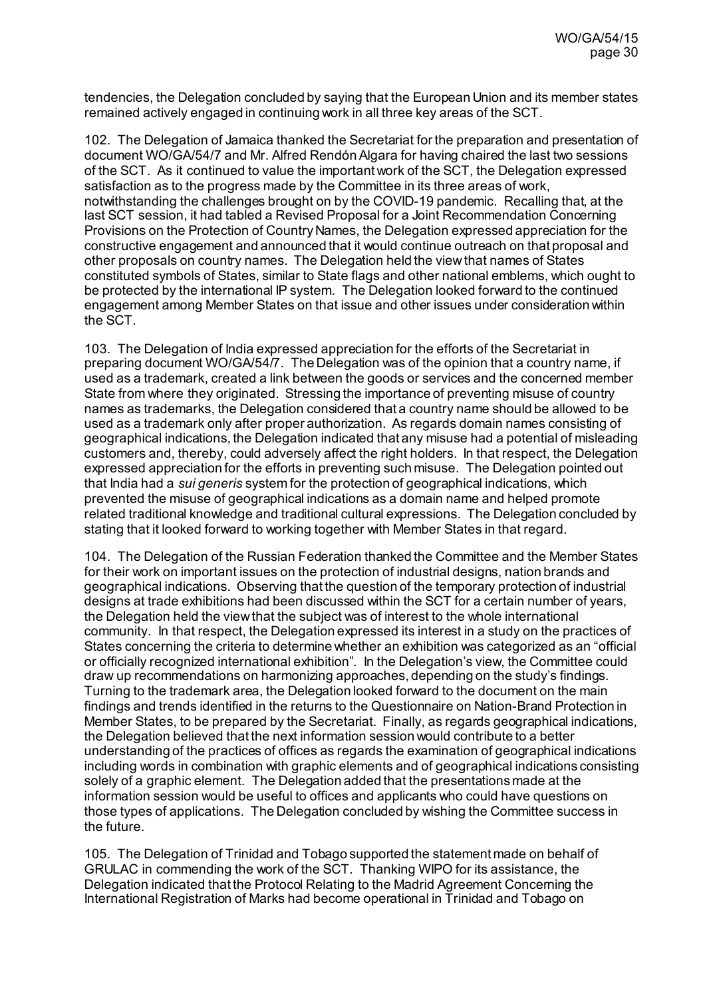tendencies, the Delegation concluded by saying that the European Union and its member states remained actively engaged in continuing work in all three key areas of the SCT.

102. The Delegation of Jamaica thanked the Secretariat for the preparation and presentation of document WO/GA/54/7 and Mr. Alfred RendónAlgara for having chaired the last two sessions of the SCT. As it continued to value the important work of the SCT, the Delegation expressed satisfaction as to the progress made by the Committee in its three areas of work, notwithstanding the challenges brought on by the COVID-19 pandemic. Recalling that, at the last SCT session, it had tabled a Revised Proposal for a Joint Recommendation Concerning Provisions on the Protection of Country Names, the Delegation expressed appreciation for the constructive engagement and announced that it would continue outreach on that proposal and other proposals on country names. The Delegation held the view that names of States constituted symbols of States, similar to State flags and other national emblems, which ought to be protected by the international IP system. The Delegation looked forward to the continued engagement among Member States on that issue and other issues under consideration within the SCT.

103. The Delegation of India expressed appreciation for the efforts of the Secretariat in preparing document WO/GA/54/7. The Delegation was of the opinion that a country name, if used as a trademark, created a link between the goods or services and the concerned member State from where they originated. Stressing the importance of preventing misuse of country names as trademarks, the Delegation considered that a country name should be allowed to be used as a trademark only after proper authorization. As regards domain names consisting of geographical indications, the Delegation indicated that any misuse had a potential of misleading customers and, thereby, could adversely affect the right holders. In that respect, the Delegation expressed appreciation for the efforts in preventing such misuse. The Delegation pointed out that India had a *sui generis* system for the protection of geographical indications, which prevented the misuse of geographical indications as a domain name and helped promote related traditional knowledge and traditional cultural expressions. The Delegation concluded by stating that it looked forward to working together with Member States in that regard.

104. The Delegation of the Russian Federation thanked the Committee and the Member States for their work on important issues on the protection of industrial designs, nation brands and geographical indications. Observing that the question of the temporary protection of industrial designs at trade exhibitions had been discussed within the SCT for a certain number of years, the Delegation held the view that the subject was of interest to the whole international community. In that respect, the Delegation expressed its interest in a study on the practices of States concerning the criteria to determine whether an exhibition was categorized as an "official or officially recognized international exhibition". In the Delegation's view, the Committee could draw up recommendations on harmonizing approaches, depending on the study's findings. Turning to the trademark area, the Delegation looked forward to the document on the main findings and trends identified in the returns to the Questionnaire on Nation-Brand Protection in Member States, to be prepared by the Secretariat. Finally, as regards geographical indications, the Delegation believed that the next information session would contribute to a better understanding of the practices of offices as regards the examination of geographical indications including words in combination with graphic elements and of geographical indications consisting solely of a graphic element. The Delegation added that the presentations made at the information session would be useful to offices and applicants who could have questions on those types of applications. The Delegation concluded by wishing the Committee success in the future.

105. The Delegation of Trinidad and Tobago supported the statement made on behalf of GRULAC in commending the work of the SCT. Thanking WIPO for its assistance, the Delegation indicated that the Protocol Relating to the Madrid Agreement Concerning the International Registration of Marks had become operational in Trinidad and Tobago on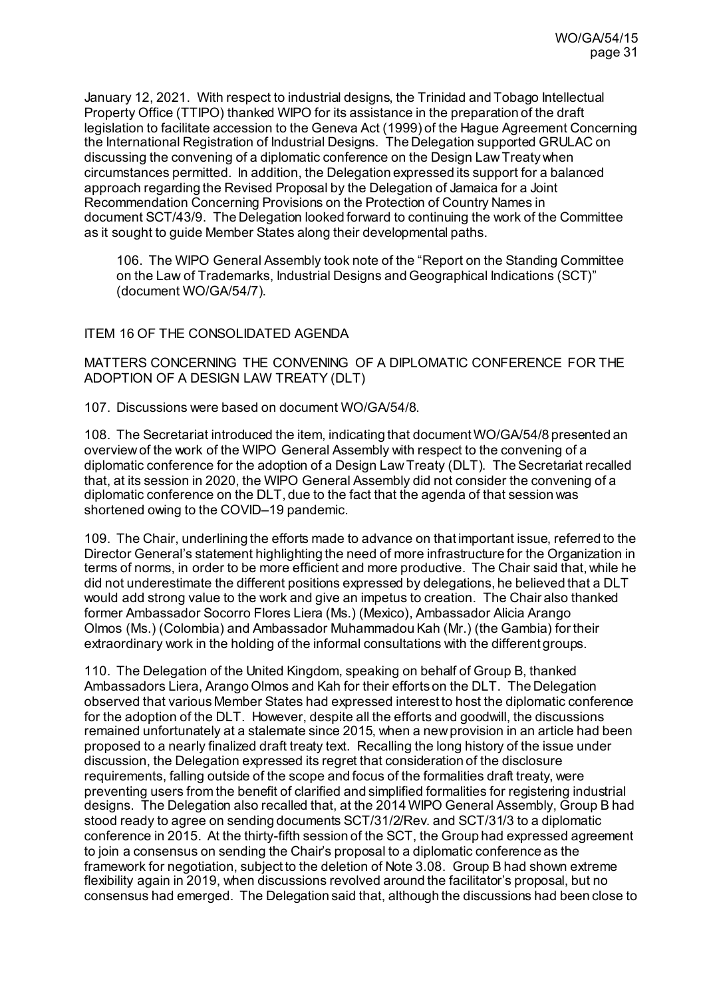January 12, 2021. With respect to industrial designs, the Trinidad and Tobago Intellectual Property Office (TTIPO) thanked WIPO for its assistance in the preparation of the draft legislation to facilitate accession to the Geneva Act (1999) of the Hague Agreement Concerning the International Registration of Industrial Designs. The Delegation supported GRULAC on discussing the convening of a diplomatic conference on the Design Law Treaty when circumstances permitted. In addition, the Delegation expressed its support for a balanced approach regarding the Revised Proposal by the Delegation of Jamaica for a Joint Recommendation Concerning Provisions on the Protection of Country Names in document SCT/43/9. The Delegation looked forward to continuing the work of the Committee as it sought to guide Member States along their developmental paths.

106. The WIPO General Assembly took note of the "Report on the Standing Committee on the Law of Trademarks, Industrial Designs and Geographical Indications (SCT)" (document WO/GA/54/7).

### ITEM 16 OF THE CONSOLIDATED AGENDA

MATTERS CONCERNING THE CONVENING OF A DIPLOMATIC CONFERENCE FOR THE ADOPTION OF A DESIGN LAW TREATY (DLT)

107. Discussions were based on documen[t WO/GA/54/8](https://www.wipo.int/about-wipo/en/assemblies/2021/a_62/doc_details.jsp?doc_id=550947).

108. The Secretariat introduced the item, indicating that document WO/GA/54/8 presented an overview of the work of the WIPO General Assembly with respect to the convening of a diplomatic conference for the adoption of a Design Law Treaty (DLT). The Secretariat recalled that, at its session in 2020, the WIPO General Assembly did not consider the convening of a diplomatic conference on the DLT, due to the fact that the agenda of that session was shortened owing to the COVID–19 pandemic.

109. The Chair, underlining the efforts made to advance on that important issue, referred to the Director General's statement highlighting the need of more infrastructure for the Organization in terms of norms, in order to be more efficient and more productive. The Chair said that, while he did not underestimate the different positions expressed by delegations, he believed that a DLT would add strong value to the work and give an impetus to creation. The Chair also thanked former Ambassador Socorro Flores Liera (Ms.) (Mexico), Ambassador Alicia Arango Olmos (Ms.) (Colombia) and Ambassador Muhammadou Kah (Mr.) (the Gambia) for their extraordinary work in the holding of the informal consultations with the different groups.

110. The Delegation of the United Kingdom, speaking on behalf of Group B, thanked Ambassadors Liera, Arango Olmos and Kah for their efforts on the DLT. The Delegation observed that various Member States had expressed interest to host the diplomatic conference for the adoption of the DLT. However, despite all the efforts and goodwill, the discussions remained unfortunately at a stalemate since 2015, when a new provision in an article had been proposed to a nearly finalized draft treaty text. Recalling the long history of the issue under discussion, the Delegation expressed its regret that consideration of the disclosure requirements, falling outside of the scope and focus of the formalities draft treaty, were preventing users from the benefit of clarified and simplified formalities for registering industrial designs. The Delegation also recalled that, at the 2014 WIPO General Assembly, Group B had stood ready to agree on sending documents SCT/31/2/Rev. and SCT/31/3 to a diplomatic conference in 2015. At the thirty-fifth session of the SCT, the Group had expressed agreement to join a consensus on sending the Chair's proposal to a diplomatic conference as the framework for negotiation, subject to the deletion of Note 3.08. Group B had shown extreme flexibility again in 2019, when discussions revolved around the facilitator's proposal, but no consensus had emerged. The Delegation said that, although the discussions had been close to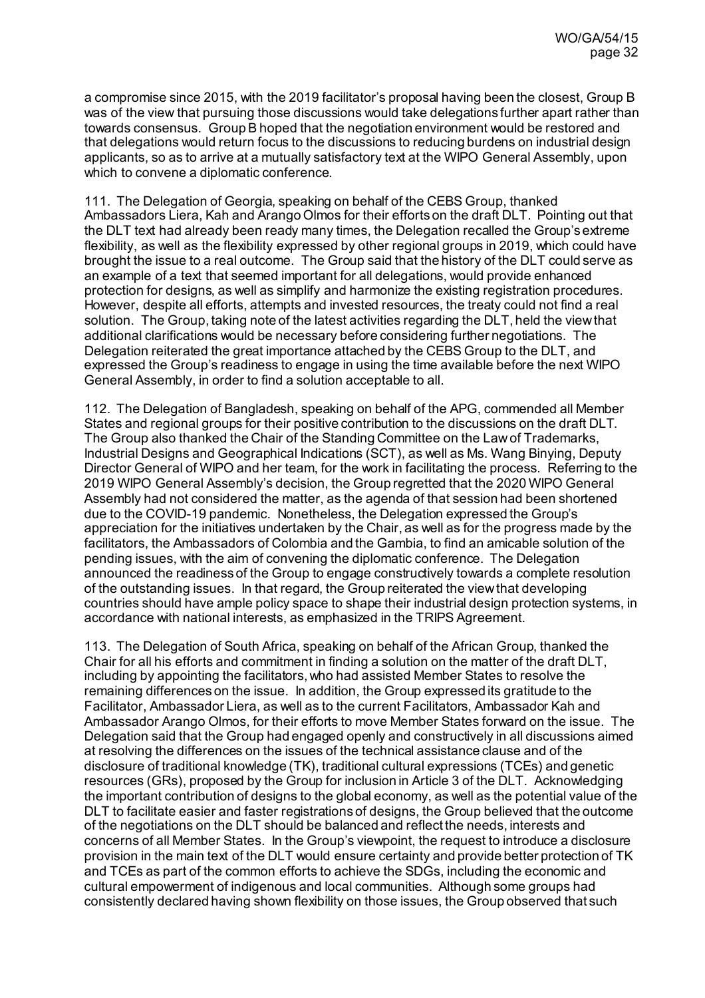a compromise since 2015, with the 2019 facilitator's proposal having been the closest, Group B was of the view that pursuing those discussions would take delegations further apart rather than towards consensus. Group B hoped that the negotiation environment would be restored and that delegations would return focus to the discussions to reducing burdens on industrial design applicants, so as to arrive at a mutually satisfactory text at the WIPO General Assembly, upon which to convene a diplomatic conference.

111. The Delegation of Georgia, speaking on behalf of the CEBS Group, thanked Ambassadors Liera, Kah and Arango Olmos for their efforts on the draft DLT. Pointing out that the DLT text had already been ready many times, the Delegation recalled the Group's extreme flexibility, as well as the flexibility expressed by other regional groups in 2019, which could have brought the issue to a real outcome. The Group said that the history of the DLT could serve as an example of a text that seemed important for all delegations, would provide enhanced protection for designs, as well as simplify and harmonize the existing registration procedures. However, despite all efforts, attempts and invested resources, the treaty could not find a real solution. The Group, taking note of the latest activities regarding the DLT, held the view that additional clarifications would be necessary before considering further negotiations. The Delegation reiterated the great importance attached by the CEBS Group to the DLT, and expressed the Group's readiness to engage in using the time available before the next WIPO General Assembly, in order to find a solution acceptable to all.

112. The Delegation of Bangladesh, speaking on behalf of the APG, commended all Member States and regional groups for their positive contribution to the discussions on the draft DLT. The Group also thanked the Chair of the Standing Committee on the Law of Trademarks, Industrial Designs and Geographical Indications (SCT), as well as Ms. Wang Binying, Deputy Director General of WIPO and her team, for the work in facilitating the process. Referring to the 2019 WIPO General Assembly's decision, the Group regretted that the 2020 WIPO General Assembly had not considered the matter, as the agenda of that session had been shortened due to the COVID-19 pandemic. Nonetheless, the Delegation expressed the Group's appreciation for the initiatives undertaken by the Chair, as well as for the progress made by the facilitators, the Ambassadors of Colombia and the Gambia, to find an amicable solution of the pending issues, with the aim of convening the diplomatic conference. The Delegation announced the readiness of the Group to engage constructively towards a complete resolution of the outstanding issues. In that regard, the Group reiterated the view that developing countries should have ample policy space to shape their industrial design protection systems, in accordance with national interests, as emphasized in the TRIPS Agreement.

113. The Delegation of South Africa, speaking on behalf of the African Group, thanked the Chair for all his efforts and commitment in finding a solution on the matter of the draft DLT, including by appointing the facilitators, who had assisted Member States to resolve the remaining differences on the issue. In addition, the Group expressed its gratitude to the Facilitator, Ambassador Liera, as well as to the current Facilitators, Ambassador Kah and Ambassador Arango Olmos, for their efforts to move Member States forward on the issue. The Delegation said that the Group had engaged openly and constructively in all discussions aimed at resolving the differences on the issues of the technical assistance clause and of the disclosure of traditional knowledge (TK), traditional cultural expressions (TCEs) and genetic resources (GRs), proposed by the Group for inclusion in Article 3 of the DLT. Acknowledging the important contribution of designs to the global economy, as well as the potential value of the DLT to facilitate easier and faster registrations of designs, the Group believed that the outcome of the negotiations on the DLT should be balanced and reflect the needs, interests and concerns of all Member States. In the Group's viewpoint, the request to introduce a disclosure provision in the main text of the DLT would ensure certainty and provide better protection of TK and TCEs as part of the common efforts to achieve the SDGs, including the economic and cultural empowerment of indigenous and local communities. Although some groups had consistently declared having shown flexibility on those issues, the Group observed that such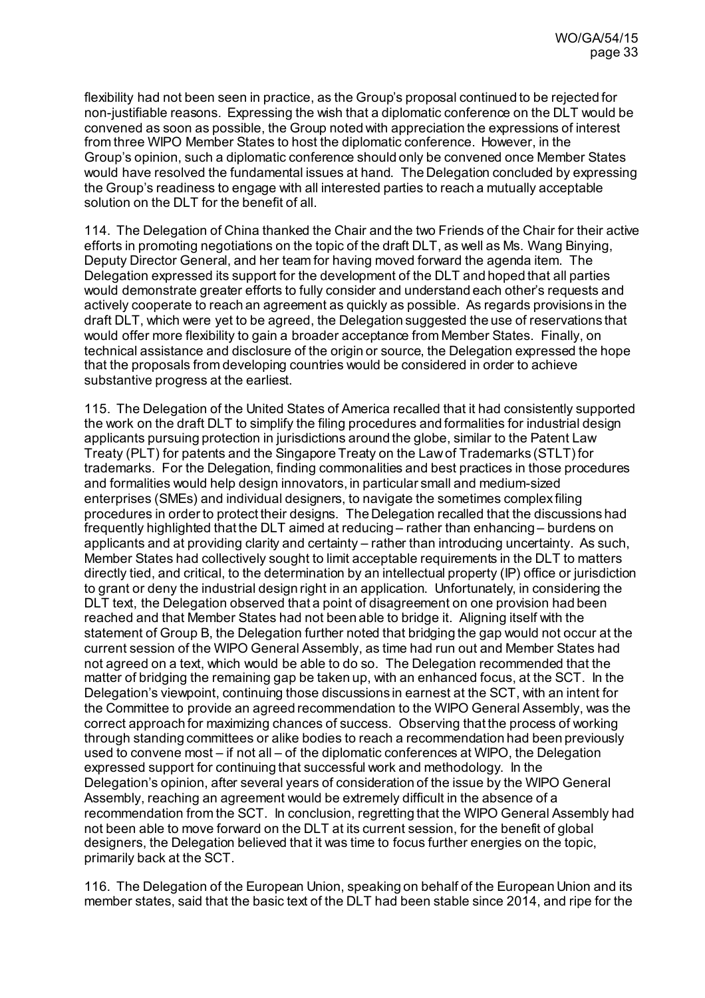flexibility had not been seen in practice, as the Group's proposal continued to be rejected for non-justifiable reasons. Expressing the wish that a diplomatic conference on the DLT would be convened as soon as possible, the Group noted with appreciation the expressions of interest from three WIPO Member States to host the diplomatic conference. However, in the Group's opinion, such a diplomatic conference should only be convened once Member States would have resolved the fundamental issues at hand. The Delegation concluded by expressing the Group's readiness to engage with all interested parties to reach a mutually acceptable solution on the DLT for the benefit of all.

114. The Delegation of China thanked the Chair and the two Friends of the Chair for their active efforts in promoting negotiations on the topic of the draft DLT, as well as Ms. Wang Binying, Deputy Director General, and her team for having moved forward the agenda item. The Delegation expressed its support for the development of the DLT and hoped that all parties would demonstrate greater efforts to fully consider and understand each other's requests and actively cooperate to reach an agreement as quickly as possible. As regards provisions in the draft DLT, which were yet to be agreed, the Delegation suggested the use of reservations that would offer more flexibility to gain a broader acceptance from Member States. Finally, on technical assistance and disclosure of the origin or source, the Delegation expressed the hope that the proposals from developing countries would be considered in order to achieve substantive progress at the earliest.

115. The Delegation of the United States of America recalled that it had consistently supported the work on the draft DLT to simplify the filing procedures and formalities for industrial design applicants pursuing protection in jurisdictions around the globe, similar to the Patent Law Treaty (PLT) for patents and the Singapore Treaty on the Law of Trademarks (STLT) for trademarks. For the Delegation, finding commonalities and best practices in those procedures and formalities would help design innovators, in particular small and medium-sized enterprises (SMEs) and individual designers, to navigate the sometimes complex filing procedures in order to protect their designs. The Delegation recalled that the discussions had frequently highlighted that the DLT aimed at reducing – rather than enhancing – burdens on applicants and at providing clarity and certainty – rather than introducing uncertainty. As such, Member States had collectively sought to limit acceptable requirements in the DLT to matters directly tied, and critical, to the determination by an intellectual property (IP) office or jurisdiction to grant or deny the industrial design right in an application. Unfortunately, in considering the DLT text, the Delegation observed that a point of disagreement on one provision had been reached and that Member States had not been able to bridge it. Aligning itself with the statement of Group B, the Delegation further noted that bridging the gap would not occur at the current session of the WIPO General Assembly, as time had run out and Member States had not agreed on a text, which would be able to do so. The Delegation recommended that the matter of bridging the remaining gap be taken up, with an enhanced focus, at the SCT. In the Delegation's viewpoint, continuing those discussions in earnest at the SCT, with an intent for the Committee to provide an agreed recommendation to the WIPO General Assembly, was the correct approach for maximizing chances of success. Observing that the process of working through standing committees or alike bodies to reach a recommendation had been previously used to convene most – if not all – of the diplomatic conferences at WIPO, the Delegation expressed support for continuing that successful work and methodology. In the Delegation's opinion, after several years of consideration of the issue by the WIPO General Assembly, reaching an agreement would be extremely difficult in the absence of a recommendation from the SCT. In conclusion, regretting that the WIPO General Assembly had not been able to move forward on the DLT at its current session, for the benefit of global designers, the Delegation believed that it was time to focus further energies on the topic, primarily back at the SCT.

116. The Delegation of the European Union, speaking on behalf of the European Union and its member states, said that the basic text of the DLT had been stable since 2014, and ripe for the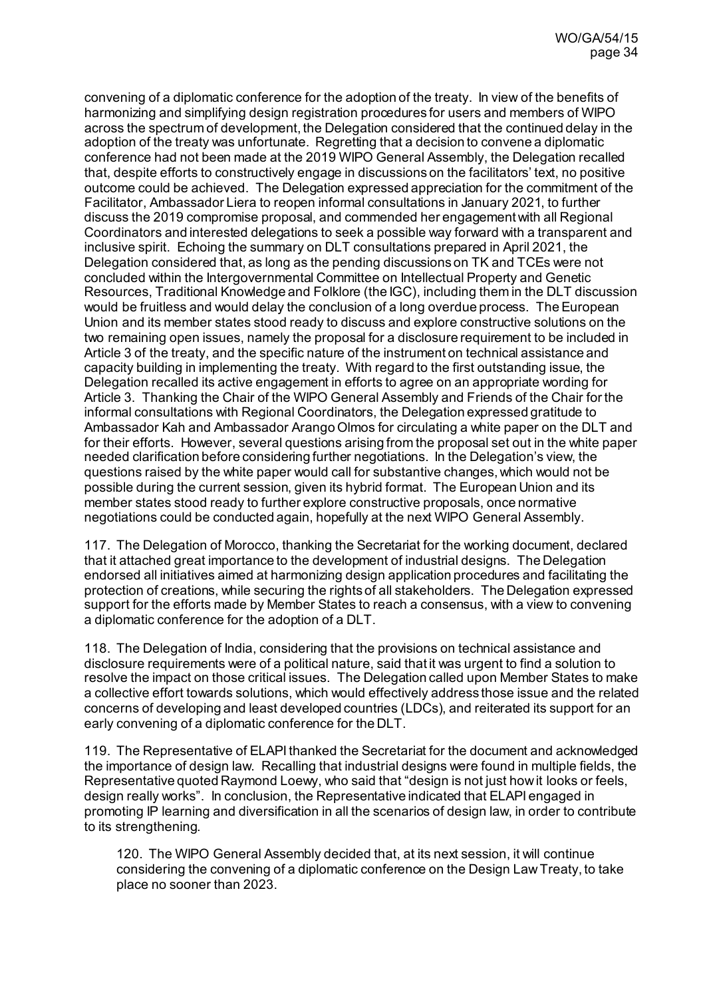convening of a diplomatic conference for the adoption of the treaty. In view of the benefits of harmonizing and simplifying design registration procedures for users and members of WIPO across the spectrum of development, the Delegation considered that the continued delay in the adoption of the treaty was unfortunate. Regretting that a decision to convene a diplomatic conference had not been made at the 2019 WIPO General Assembly, the Delegation recalled that, despite efforts to constructively engage in discussions on the facilitators' text, no positive outcome could be achieved. The Delegation expressed appreciation for the commitment of the Facilitator, Ambassador Liera to reopen informal consultations in January 2021, to further discuss the 2019 compromise proposal, and commended her engagement with all Regional Coordinators and interested delegations to seek a possible way forward with a transparent and inclusive spirit. Echoing the summary on DLT consultations prepared in April 2021, the Delegation considered that, as long as the pending discussions on TK and TCEs were not concluded within the Intergovernmental Committee on Intellectual Property and Genetic Resources, Traditional Knowledge and Folklore (the IGC), including them in the DLT discussion would be fruitless and would delay the conclusion of a long overdue process. The European Union and its member states stood ready to discuss and explore constructive solutions on the two remaining open issues, namely the proposal for a disclosure requirement to be included in Article 3 of the treaty, and the specific nature of the instrument on technical assistance and capacity building in implementing the treaty. With regard to the first outstanding issue, the Delegation recalled its active engagement in efforts to agree on an appropriate wording for Article 3. Thanking the Chair of the WIPO General Assembly and Friends of the Chair for the informal consultations with Regional Coordinators, the Delegation expressed gratitude to Ambassador Kah and Ambassador Arango Olmos for circulating a white paper on the DLT and for their efforts. However, several questions arising from the proposal set out in the white paper needed clarification before considering further negotiations. In the Delegation's view, the questions raised by the white paper would call for substantive changes, which would not be possible during the current session, given its hybrid format. The European Union and its member states stood ready to further explore constructive proposals, once normative negotiations could be conducted again, hopefully at the next WIPO General Assembly.

117. The Delegation of Morocco, thanking the Secretariat for the working document, declared that it attached great importance to the development of industrial designs. The Delegation endorsed all initiatives aimed at harmonizing design application procedures and facilitating the protection of creations, while securing the rights of all stakeholders. The Delegation expressed support for the efforts made by Member States to reach a consensus, with a view to convening a diplomatic conference for the adoption of a DLT.

118. The Delegation of India, considering that the provisions on technical assistance and disclosure requirements were of a political nature, said that it was urgent to find a solution to resolve the impact on those critical issues. The Delegation called upon Member States to make a collective effort towards solutions, which would effectively address those issue and the related concerns of developing and least developed countries (LDCs), and reiterated its support for an early convening of a diplomatic conference for the DLT.

119. The Representative of ELAPI thanked the Secretariat for the document and acknowledged the importance of design law. Recalling that industrial designs were found in multiple fields, the Representative quoted Raymond Loewy, who said that "design is not just how it looks or feels, design really works". In conclusion, the Representative indicated that ELAPI engaged in promoting IP learning and diversification in all the scenarios of design law, in order to contribute to its strengthening.

120. The WIPO General Assembly decided that, at its next session, it will continue considering the convening of a diplomatic conference on the Design Law Treaty, to take place no sooner than 2023.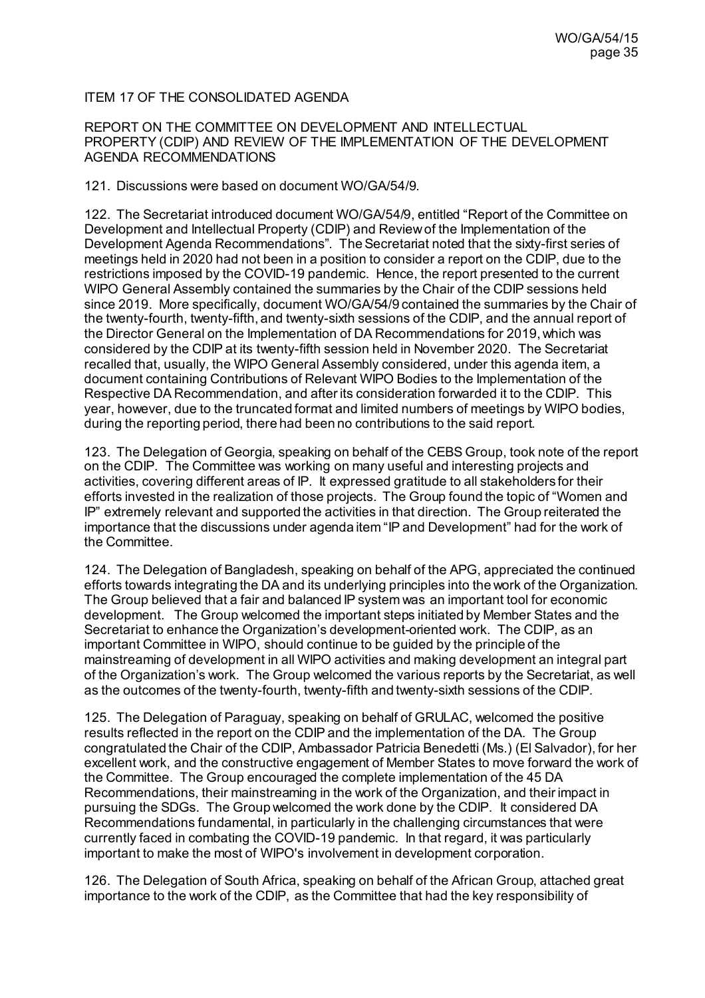# ITEM 17 OF THE CONSOLIDATED AGENDA

### REPORT ON THE COMMITTEE ON DEVELOPMENT AND INTELLECTUAL PROPERTY (CDIP) AND REVIEW OF THE IMPLEMENTATION OF THE DEVELOPMENT AGENDA RECOMMENDATIONS

121. Discussions were based on documen[t WO/GA/54/9](https://www.wipo.int/about-wipo/en/assemblies/2021/a_62/doc_details.jsp?doc_id=548022).

122. The Secretariat introduced document WO/GA/54/9, entitled "Report of the Committee on Development and Intellectual Property (CDIP) and Review of the Implementation of the Development Agenda Recommendations". The Secretariat noted that the sixty-first series of meetings held in 2020 had not been in a position to consider a report on the CDIP, due to the restrictions imposed by the COVID-19 pandemic. Hence, the report presented to the current WIPO General Assembly contained the summaries by the Chair of the CDIP sessions held since 2019. More specifically, document WO/GA/54/9 contained the summaries by the Chair of the twenty-fourth, twenty-fifth, and twenty-sixth sessions of the CDIP, and the annual report of the Director General on the Implementation of DA Recommendations for 2019, which was considered by the CDIP at its twenty-fifth session held in November 2020. The Secretariat recalled that, usually, the WIPO General Assembly considered, under this agenda item, a document containing Contributions of Relevant WIPO Bodies to the Implementation of the Respective DA Recommendation, and after its consideration forwarded it to the CDIP. This year, however, due to the truncated format and limited numbers of meetings by WIPO bodies, during the reporting period, there had been no contributions to the said report.

123. The Delegation of Georgia, speaking on behalf of the CEBS Group, took note of the report on the CDIP. The Committee was working on many useful and interesting projects and activities, covering different areas of IP. It expressed gratitude to all stakeholders for their efforts invested in the realization of those projects. The Group found the topic of "Women and IP" extremely relevant and supported the activities in that direction. The Group reiterated the importance that the discussions under agenda item "IP and Development" had for the work of the Committee.

124. The Delegation of Bangladesh, speaking on behalf of the APG, appreciated the continued efforts towards integrating the DA and its underlying principles into the work of the Organization. The Group believed that a fair and balanced IP system was an important tool for economic development. The Group welcomed the important steps initiated by Member States and the Secretariat to enhance the Organization's development-oriented work. The CDIP, as an important Committee in WIPO, should continue to be guided by the principle of the mainstreaming of development in all WIPO activities and making development an integral part of the Organization's work. The Group welcomed the various reports by the Secretariat, as well as the outcomes of the twenty-fourth, twenty-fifth and twenty-sixth sessions of the CDIP.

125. The Delegation of Paraguay, speaking on behalf of GRULAC, welcomed the positive results reflected in the report on the CDIP and the implementation of the DA. The Group congratulated the Chair of the CDIP, Ambassador Patricia Benedetti (Ms.) (El Salvador), for her excellent work, and the constructive engagement of Member States to move forward the work of the Committee. The Group encouraged the complete implementation of the 45 DA Recommendations, their mainstreaming in the work of the Organization, and their impact in pursuing the SDGs. The Group welcomed the work done by the CDIP. It considered DA Recommendations fundamental, in particularly in the challenging circumstances that were currently faced in combating the COVID-19 pandemic. In that regard, it was particularly important to make the most of WIPO's involvement in development corporation.

126. The Delegation of South Africa, speaking on behalf of the African Group, attached great importance to the work of the CDIP, as the Committee that had the key responsibility of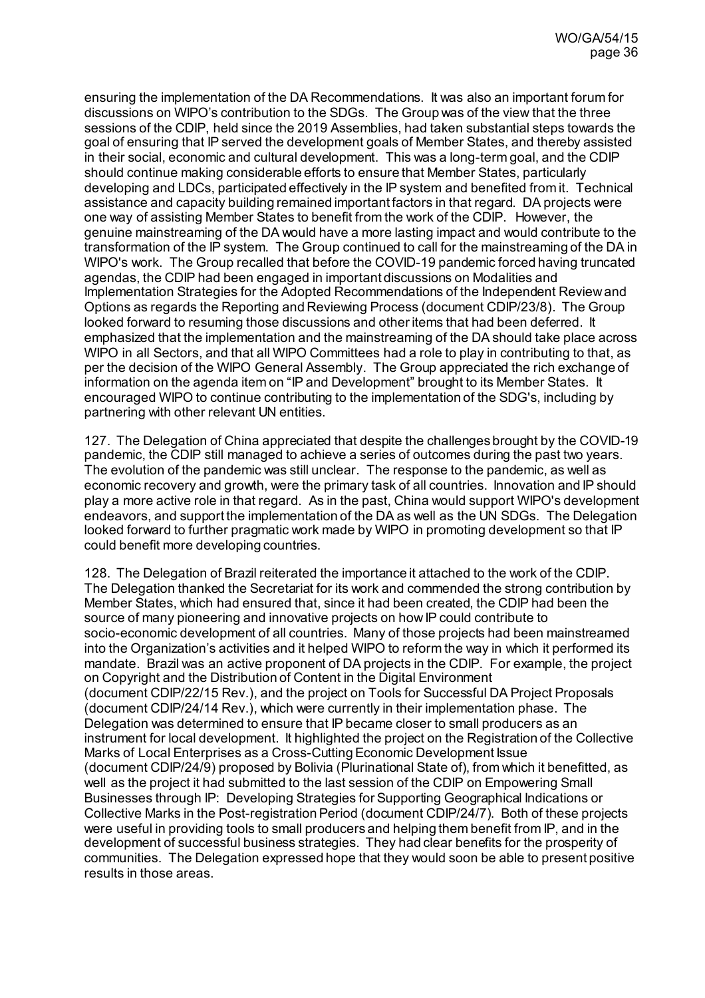ensuring the implementation of the DA Recommendations. It was also an important forum for discussions on WIPO's contribution to the SDGs. The Group was of the view that the three sessions of the CDIP, held since the 2019 Assemblies, had taken substantial steps towards the goal of ensuring that IP served the development goals of Member States, and thereby assisted in their social, economic and cultural development. This was a long-term goal, and the CDIP should continue making considerable efforts to ensure that Member States, particularly developing and LDCs, participated effectively in the IP system and benefited from it. Technical assistance and capacity building remained important factors in that regard. DA projects were one way of assisting Member States to benefit from the work of the CDIP. However, the genuine mainstreaming of the DA would have a more lasting impact and would contribute to the transformation of the IP system. The Group continued to call for the mainstreaming of the DA in WIPO's work. The Group recalled that before the COVID-19 pandemic forced having truncated agendas, the CDIP had been engaged in important discussions on Modalities and Implementation Strategies for the Adopted Recommendations of the Independent Review and Options as regards the Reporting and Reviewing Process (document CDIP/23/8). The Group looked forward to resuming those discussions and other items that had been deferred. It emphasized that the implementation and the mainstreaming of the DA should take place across WIPO in all Sectors, and that all WIPO Committees had a role to play in contributing to that, as per the decision of the WIPO General Assembly. The Group appreciated the rich exchange of information on the agenda item on "IP and Development" brought to its Member States. It encouraged WIPO to continue contributing to the implementation of the SDG's, including by partnering with other relevant UN entities.

127. The Delegation of China appreciated that despite the challenges brought by the COVID-19 pandemic, the CDIP still managed to achieve a series of outcomes during the past two years. The evolution of the pandemic was still unclear. The response to the pandemic, as well as economic recovery and growth, were the primary task of all countries. Innovation and IP should play a more active role in that regard. As in the past, China would support WIPO's development endeavors, and support the implementation of the DA as well as the UN SDGs. The Delegation looked forward to further pragmatic work made by WIPO in promoting development so that IP could benefit more developing countries.

128. The Delegation of Brazil reiterated the importance it attached to the work of the CDIP. The Delegation thanked the Secretariat for its work and commended the strong contribution by Member States, which had ensured that, since it had been created, the CDIP had been the source of many pioneering and innovative projects on how IP could contribute to socio-economic development of all countries. Many of those projects had been mainstreamed into the Organization's activities and it helped WIPO to reform the way in which it performed its mandate. Brazil was an active proponent of DA projects in the CDIP. For example, the project on Copyright and the Distribution of Content in the Digital Environment (document CDIP/22/15 Rev.), and the project on Tools for Successful DA Project Proposals (document CDIP/24/14 Rev.), which were currently in their implementation phase. The Delegation was determined to ensure that IP became closer to small producers as an instrument for local development. It highlighted the project on the Registration of the Collective Marks of Local Enterprises as a Cross-Cutting Economic Development Issue (document CDIP/24/9) proposed by Bolivia (Plurinational State of), from which it benefitted, as well as the project it had submitted to the last session of the CDIP on Empowering Small Businesses through IP: Developing Strategies for Supporting Geographical Indications or Collective Marks in the Post-registration Period (document CDIP/24/7). Both of these projects were useful in providing tools to small producers and helping them benefit from IP, and in the development of successful business strategies. They had clear benefits for the prosperity of communities. The Delegation expressed hope that they would soon be able to present positive results in those areas.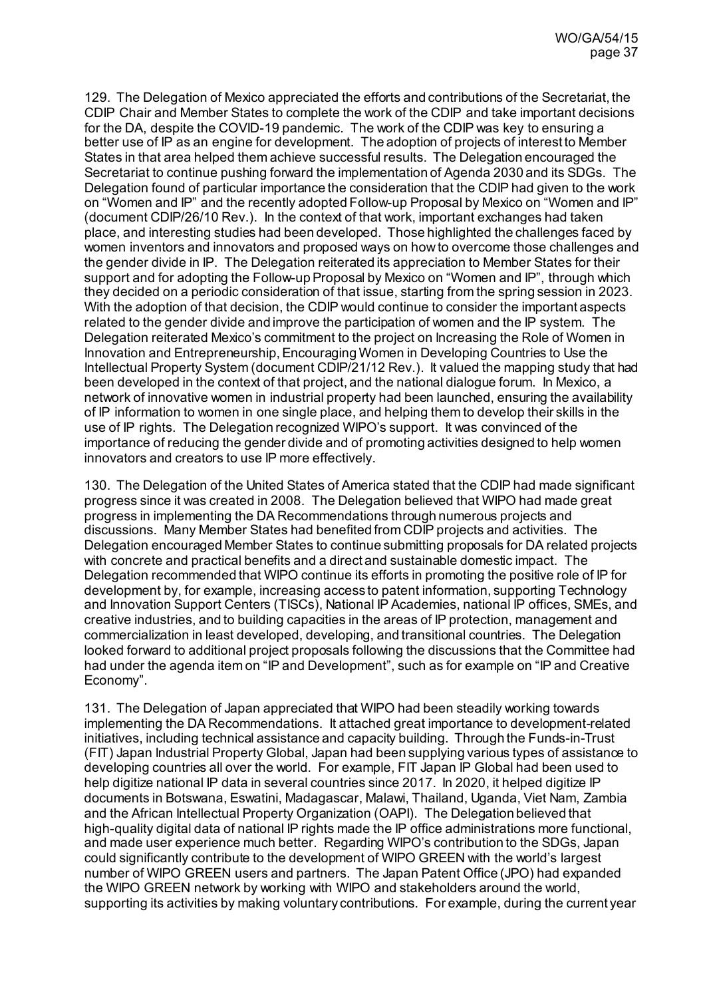129. The Delegation of Mexico appreciated the efforts and contributions of the Secretariat, the CDIP Chair and Member States to complete the work of the CDIP and take important decisions for the DA, despite the COVID-19 pandemic. The work of the CDIP was key to ensuring a better use of IP as an engine for development. The adoption of projects of interest to Member States in that area helped them achieve successful results. The Delegation encouraged the Secretariat to continue pushing forward the implementation of Agenda 2030 and its SDGs. The Delegation found of particular importance the consideration that the CDIP had given to the work on "Women and IP" and the recently adopted Follow-up Proposal by Mexico on "Women and IP" (document CDIP/26/10 Rev.). In the context of that work, important exchanges had taken place, and interesting studies had been developed. Those highlighted the challenges faced by women inventors and innovators and proposed ways on how to overcome those challenges and the gender divide in IP. The Delegation reiterated its appreciation to Member States for their support and for adopting the Follow-up Proposal by Mexico on "Women and IP", through which they decided on a periodic consideration of that issue, starting from the spring session in 2023. With the adoption of that decision, the CDIP would continue to consider the important aspects related to the gender divide and improve the participation of women and the IP system. The Delegation reiterated Mexico's commitment to the project on Increasing the Role of Women in Innovation and Entrepreneurship, Encouraging Women in Developing Countries to Use the Intellectual Property System (document CDIP/21/12 Rev.). It valued the mapping study that had been developed in the context of that project, and the national dialogue forum. In Mexico, a network of innovative women in industrial property had been launched, ensuring the availability of IP information to women in one single place, and helping them to develop their skills in the use of IP rights. The Delegation recognized WIPO's support. It was convinced of the importance of reducing the gender divide and of promoting activities designed to help women innovators and creators to use IP more effectively.

130. The Delegation of the United States of America stated that the CDIP had made significant progress since it was created in 2008. The Delegation believed that WIPO had made great progress in implementing the DA Recommendations through numerous projects and discussions. Many Member States had benefited from CDIP projects and activities. The Delegation encouraged Member States to continue submitting proposals for DA related projects with concrete and practical benefits and a direct and sustainable domestic impact. The Delegation recommended that WIPO continue its efforts in promoting the positive role of IP for development by, for example, increasing access to patent information, supporting Technology and Innovation Support Centers (TISCs), National IP Academies, national IP offices, SMEs, and creative industries, and to building capacities in the areas of IP protection, management and commercialization in least developed, developing, and transitional countries. The Delegation looked forward to additional project proposals following the discussions that the Committee had had under the agenda item on "IP and Development", such as for example on "IP and Creative Economy".

131. The Delegation of Japan appreciated that WIPO had been steadily working towards implementing the DA Recommendations. It attached great importance to development-related initiatives, including technical assistance and capacity building. Through the Funds-in-Trust (FIT) Japan Industrial Property Global, Japan had been supplying various types of assistance to developing countries all over the world. For example, FIT Japan IP Global had been used to help digitize national IP data in several countries since 2017. In 2020, it helped digitize IP documents in Botswana, Eswatini, Madagascar, Malawi, Thailand, Uganda, Viet Nam, Zambia and the African Intellectual Property Organization (OAPI). The Delegation believed that high-quality digital data of national IP rights made the IP office administrations more functional. and made user experience much better. Regarding WIPO's contribution to the SDGs, Japan could significantly contribute to the development of WIPO GREEN with the world's largest number of WIPO GREEN users and partners. The Japan Patent Office (JPO) had expanded the WIPO GREEN network by working with WIPO and stakeholders around the world, supporting its activities by making voluntary contributions. For example, during the current year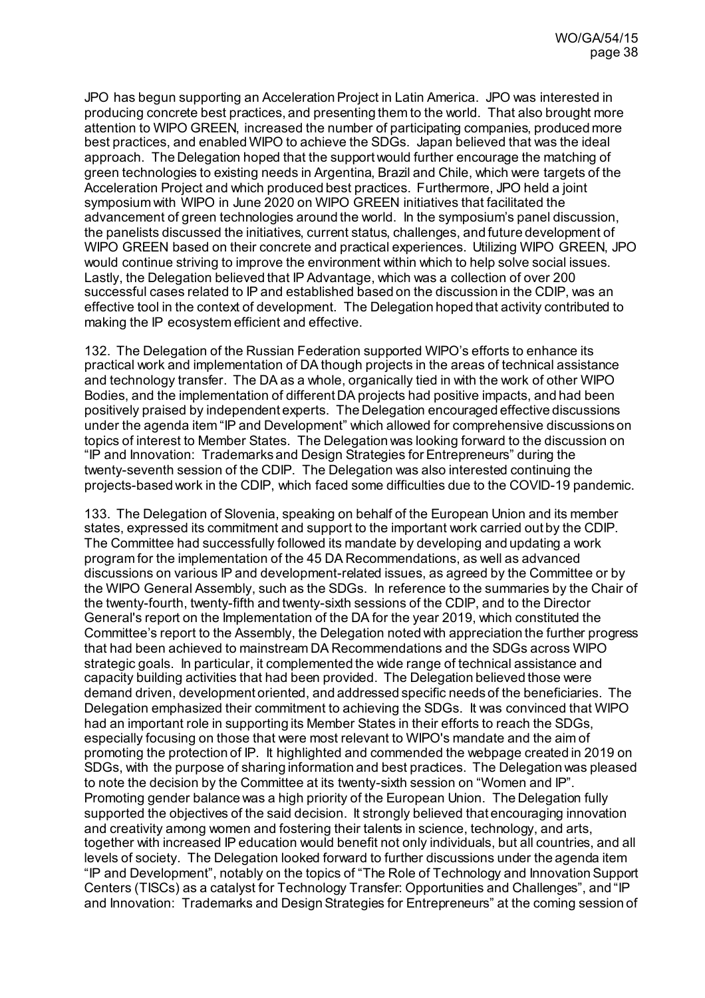JPO has begun supporting an Acceleration Project in Latin America. JPO was interested in producing concrete best practices, and presenting them to the world. That also brought more attention to WIPO GREEN, increased the number of participating companies, produced more best practices, and enabled WIPO to achieve the SDGs. Japan believed that was the ideal approach. The Delegation hoped that the support would further encourage the matching of green technologies to existing needs in Argentina, Brazil and Chile, which were targets of the Acceleration Project and which produced best practices. Furthermore, JPO held a joint symposium with WIPO in June 2020 on WIPO GREEN initiatives that facilitated the advancement of green technologies around the world. In the symposium's panel discussion, the panelists discussed the initiatives, current status, challenges, and future development of WIPO GREEN based on their concrete and practical experiences. Utilizing WIPO GREEN, JPO would continue striving to improve the environment within which to help solve social issues. Lastly, the Delegation believed that IP Advantage, which was a collection of over 200 successful cases related to IP and established based on the discussion in the CDIP, was an effective tool in the context of development. The Delegation hoped that activity contributed to making the IP ecosystem efficient and effective.

132. The Delegation of the Russian Federation supported WIPO's efforts to enhance its practical work and implementation of DA though projects in the areas of technical assistance and technology transfer. The DA as a whole, organically tied in with the work of other WIPO Bodies, and the implementation of different DA projects had positive impacts, and had been positively praised by independent experts. The Delegation encouraged effective discussions under the agenda item "IP and Development" which allowed for comprehensive discussions on topics of interest to Member States. The Delegation was looking forward to the discussion on "IP and Innovation: Trademarks and Design Strategies for Entrepreneurs" during the twenty-seventh session of the CDIP. The Delegation was also interested continuing the projects-based work in the CDIP, which faced some difficulties due to the COVID-19 pandemic.

133. The Delegation of Slovenia, speaking on behalf of the European Union and its member states, expressed its commitment and support to the important work carried out by the CDIP. The Committee had successfully followed its mandate by developing and updating a work program for the implementation of the 45 DA Recommendations, as well as advanced discussions on various IP and development-related issues, as agreed by the Committee or by the WIPO General Assembly, such as the SDGs. In reference to the summaries by the Chair of the twenty-fourth, twenty-fifth and twenty-sixth sessions of the CDIP, and to the Director General's report on the Implementation of the DA for the year 2019, which constituted the Committee's report to the Assembly, the Delegation noted with appreciation the further progress that had been achieved to mainstream DA Recommendations and the SDGs across WIPO strategic goals. In particular, it complemented the wide range of technical assistance and capacity building activities that had been provided. The Delegation believed those were demand driven, development oriented, and addressed specific needs of the beneficiaries. The Delegation emphasized their commitment to achieving the SDGs. It was convinced that WIPO had an important role in supporting its Member States in their efforts to reach the SDGs, especially focusing on those that were most relevant to WIPO's mandate and the aim of promoting the protection of IP. It highlighted and commended the webpage created in 2019 on SDGs, with the purpose of sharing information and best practices. The Delegation was pleased to note the decision by the Committee at its twenty-sixth session on "Women and IP". Promoting gender balance was a high priority of the European Union. The Delegation fully supported the objectives of the said decision. It strongly believed that encouraging innovation and creativity among women and fostering their talents in science, technology, and arts, together with increased IP education would benefit not only individuals, but all countries, and all levels of society. The Delegation looked forward to further discussions under the agenda item "IP and Development", notably on the topics of "The Role of Technology and Innovation Support Centers (TISCs) as a catalyst for Technology Transfer: Opportunities and Challenges", and "IP and Innovation: Trademarks and Design Strategies for Entrepreneurs" at the coming session of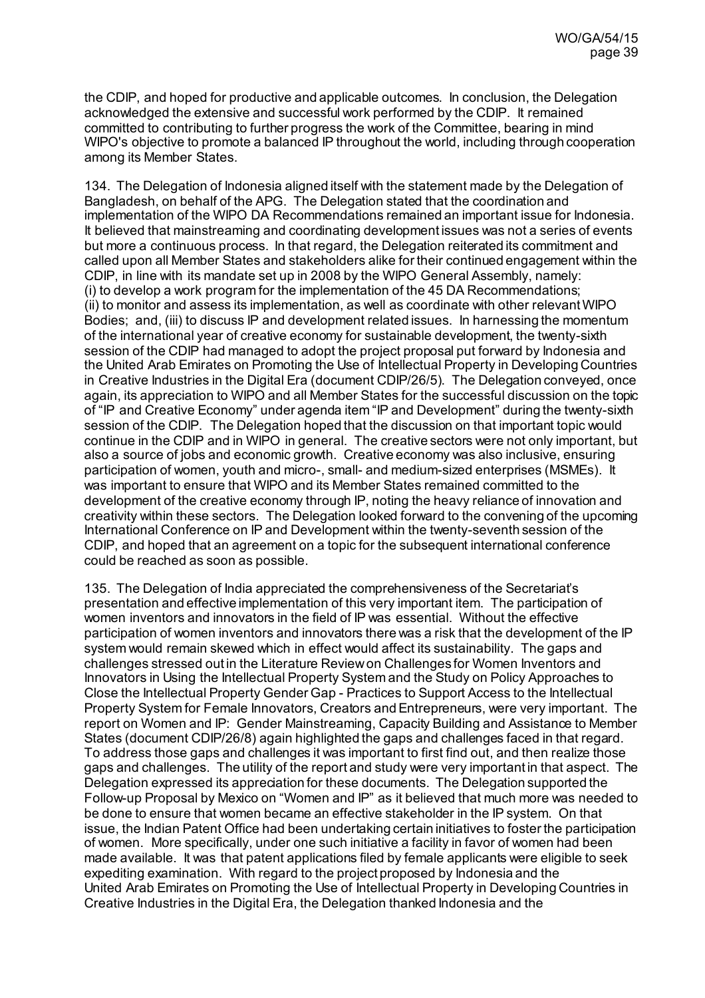the CDIP, and hoped for productive and applicable outcomes. In conclusion, the Delegation acknowledged the extensive and successful work performed by the CDIP. It remained committed to contributing to further progress the work of the Committee, bearing in mind WIPO's objective to promote a balanced IP throughout the world, including through cooperation among its Member States.

134. The Delegation of Indonesia aligned itself with the statement made by the Delegation of Bangladesh, on behalf of the APG. The Delegation stated that the coordination and implementation of the WIPO DA Recommendations remained an important issue for Indonesia. It believed that mainstreaming and coordinating development issues was not a series of events but more a continuous process. In that regard, the Delegation reiterated its commitment and called upon all Member States and stakeholders alike for their continued engagement within the CDIP, in line with its mandate set up in 2008 by the WIPO General Assembly, namely: (i) to develop a work program for the implementation of the 45 DA Recommendations; (ii) to monitor and assess its implementation, as well as coordinate with other relevant WIPO Bodies; and, (iii) to discuss IP and development related issues. In harnessing the momentum of the international year of creative economy for sustainable development, the twenty-sixth session of the CDIP had managed to adopt the project proposal put forward by Indonesia and the United Arab Emirates on Promoting the Use of Intellectual Property in Developing Countries in Creative Industries in the Digital Era (document CDIP/26/5). The Delegation conveyed, once again, its appreciation to WIPO and all Member States for the successful discussion on the topic of "IP and Creative Economy" under agenda item "IP and Development" during the twenty-sixth session of the CDIP. The Delegation hoped that the discussion on that important topic would continue in the CDIP and in WIPO in general. The creative sectors were not only important, but also a source of jobs and economic growth. Creative economy was also inclusive, ensuring participation of women, youth and micro-, small- and medium-sized enterprises (MSMEs). It was important to ensure that WIPO and its Member States remained committed to the development of the creative economy through IP, noting the heavy reliance of innovation and creativity within these sectors. The Delegation looked forward to the convening of the upcoming International Conference on IP and Development within the twenty-seventh session of the CDIP, and hoped that an agreement on a topic for the subsequent international conference could be reached as soon as possible.

135. The Delegation of India appreciated the comprehensiveness of the Secretariat's presentation and effective implementation of this very important item. The participation of women inventors and innovators in the field of IP was essential. Without the effective participation of women inventors and innovators there was a risk that the development of the IP system would remain skewed which in effect would affect its sustainability. The gaps and challenges stressed out in the Literature Review on Challenges for Women Inventors and Innovators in Using the Intellectual Property System and the Study on Policy Approaches to Close the Intellectual Property Gender Gap - Practices to Support Access to the Intellectual Property System for Female Innovators, Creators and Entrepreneurs, were very important. The report on Women and IP: Gender Mainstreaming, Capacity Building and Assistance to Member States (document CDIP/26/8) again highlighted the gaps and challenges faced in that regard. To address those gaps and challenges it was important to first find out, and then realize those gaps and challenges. The utility of the report and study were very important in that aspect. The Delegation expressed its appreciation for these documents. The Delegation supported the Follow-up Proposal by Mexico on "Women and IP" as it believed that much more was needed to be done to ensure that women became an effective stakeholder in the IP system. On that issue, the Indian Patent Office had been undertaking certain initiatives to foster the participation of women. More specifically, under one such initiative a facility in favor of women had been made available. It was that patent applications filed by female applicants were eligible to seek expediting examination. With regard to the project proposed by Indonesia and the United Arab Emirates on Promoting the Use of Intellectual Property in Developing Countries in Creative Industries in the Digital Era, the Delegation thanked Indonesia and the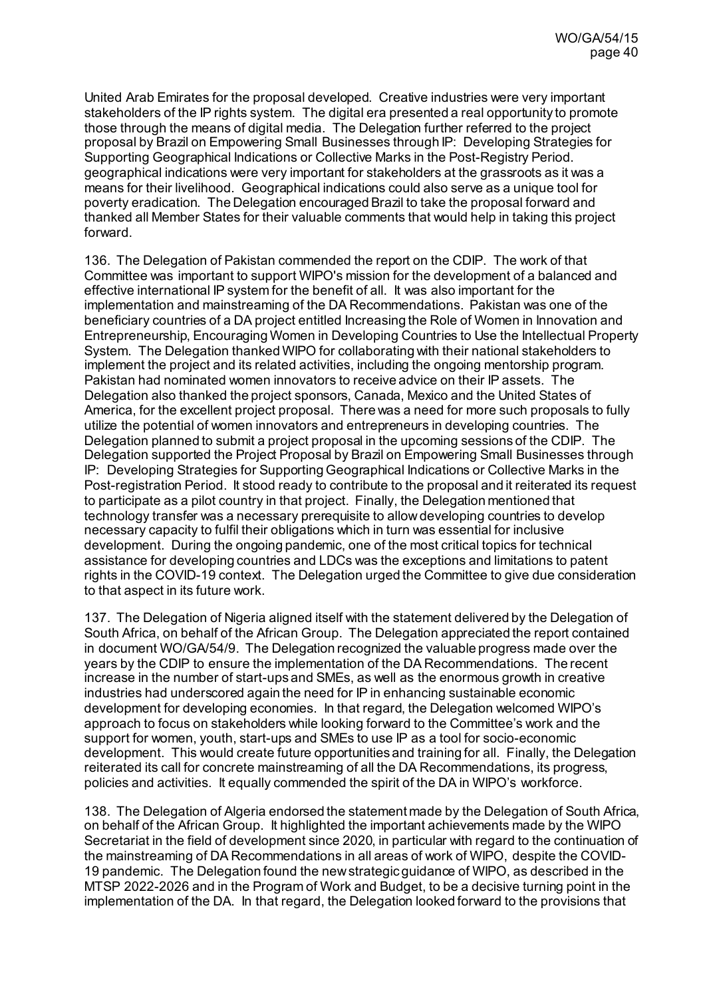United Arab Emirates for the proposal developed. Creative industries were very important stakeholders of the IP rights system. The digital era presented a real opportunity to promote those through the means of digital media. The Delegation further referred to the project proposal by Brazil on Empowering Small Businesses through IP: Developing Strategies for Supporting Geographical Indications or Collective Marks in the Post-Registry Period. geographical indications were very important for stakeholders at the grassroots as it was a means for their livelihood. Geographical indications could also serve as a unique tool for poverty eradication. The Delegation encouraged Brazil to take the proposal forward and thanked all Member States for their valuable comments that would help in taking this project forward.

136. The Delegation of Pakistan commended the report on the CDIP. The work of that Committee was important to support WIPO's mission for the development of a balanced and effective international IP system for the benefit of all. It was also important for the implementation and mainstreaming of the DA Recommendations. Pakistan was one of the beneficiary countries of a DA project entitled Increasing the Role of Women in Innovation and Entrepreneurship, Encouraging Women in Developing Countries to Use the Intellectual Property System. The Delegation thanked WIPO for collaborating with their national stakeholders to implement the project and its related activities, including the ongoing mentorship program. Pakistan had nominated women innovators to receive advice on their IP assets. The Delegation also thanked the project sponsors, Canada, Mexico and the United States of America, for the excellent project proposal. There was a need for more such proposals to fully utilize the potential of women innovators and entrepreneurs in developing countries. The Delegation planned to submit a project proposal in the upcoming sessions of the CDIP. The Delegation supported the Project Proposal by Brazil on Empowering Small Businesses through IP: Developing Strategies for Supporting Geographical Indications or Collective Marks in the Post-registration Period. It stood ready to contribute to the proposal and it reiterated its request to participate as a pilot country in that project. Finally, the Delegation mentioned that technology transfer was a necessary prerequisite to allow developing countries to develop necessary capacity to fulfil their obligations which in turn was essential for inclusive development. During the ongoing pandemic, one of the most critical topics for technical assistance for developing countries and LDCs was the exceptions and limitations to patent rights in the COVID-19 context. The Delegation urged the Committee to give due consideration to that aspect in its future work.

137. The Delegation of Nigeria aligned itself with the statement delivered by the Delegation of South Africa, on behalf of the African Group. The Delegation appreciated the report contained in document WO/GA/54/9. The Delegation recognized the valuable progress made over the years by the CDIP to ensure the implementation of the DA Recommendations. The recent increase in the number of start-ups and SMEs, as well as the enormous growth in creative industries had underscored again the need for IP in enhancing sustainable economic development for developing economies. In that regard, the Delegation welcomed WIPO's approach to focus on stakeholders while looking forward to the Committee's work and the support for women, youth, start-ups and SMEs to use IP as a tool for socio-economic development. This would create future opportunities and training for all. Finally, the Delegation reiterated its call for concrete mainstreaming of all the DA Recommendations, its progress, policies and activities. It equally commended the spirit of the DA in WIPO's workforce.

138. The Delegation of Algeria endorsed the statement made by the Delegation of South Africa, on behalf of the African Group. It highlighted the important achievements made by the WIPO Secretariat in the field of development since 2020, in particular with regard to the continuation of the mainstreaming of DA Recommendations in all areas of work of WIPO, despite the COVID-19 pandemic. The Delegation found the new strategic guidance of WIPO, as described in the MTSP 2022-2026 and in the Program of Work and Budget, to be a decisive turning point in the implementation of the DA. In that regard, the Delegation looked forward to the provisions that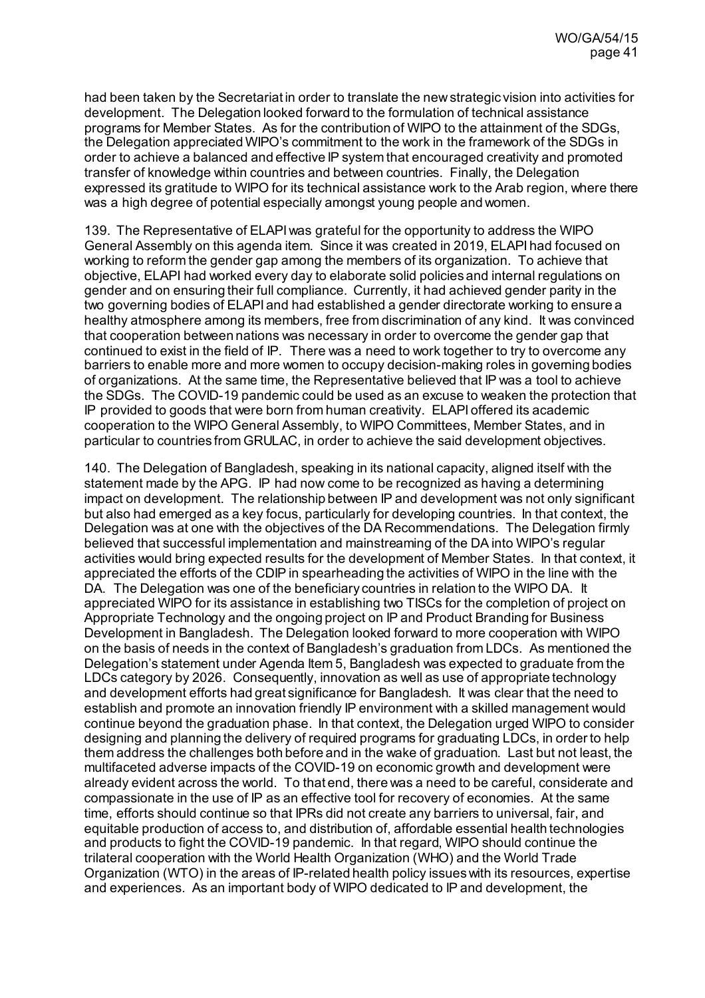had been taken by the Secretariat in order to translate the new strategic vision into activities for development. The Delegation looked forward to the formulation of technical assistance programs for Member States. As for the contribution of WIPO to the attainment of the SDGs, the Delegation appreciated WIPO's commitment to the work in the framework of the SDGs in order to achieve a balanced and effective IP system that encouraged creativity and promoted transfer of knowledge within countries and between countries. Finally, the Delegation expressed its gratitude to WIPO for its technical assistance work to the Arab region, where there was a high degree of potential especially amongst young people and women.

139. The Representative of ELAPI was grateful for the opportunity to address the WIPO General Assembly on this agenda item. Since it was created in 2019, ELAPI had focused on working to reform the gender gap among the members of its organization. To achieve that objective, ELAPI had worked every day to elaborate solid policies and internal regulations on gender and on ensuring their full compliance. Currently, it had achieved gender parity in the two governing bodies of ELAPI and had established a gender directorate working to ensure a healthy atmosphere among its members, free from discrimination of any kind. It was convinced that cooperation between nations was necessary in order to overcome the gender gap that continued to exist in the field of IP. There was a need to work together to try to overcome any barriers to enable more and more women to occupy decision-making roles in governing bodies of organizations. At the same time, the Representative believed that IP was a tool to achieve the SDGs. The COVID-19 pandemic could be used as an excuse to weaken the protection that IP provided to goods that were born from human creativity. ELAPI offered its academic cooperation to the WIPO General Assembly, to WIPO Committees, Member States, and in particular to countries from GRULAC, in order to achieve the said development objectives.

140. The Delegation of Bangladesh, speaking in its national capacity, aligned itself with the statement made by the APG. IP had now come to be recognized as having a determining impact on development. The relationship between IP and development was not only significant but also had emerged as a key focus, particularly for developing countries. In that context, the Delegation was at one with the objectives of the DA Recommendations. The Delegation firmly believed that successful implementation and mainstreaming of the DA into WIPO's regular activities would bring expected results for the development of Member States. In that context, it appreciated the efforts of the CDIP in spearheading the activities of WIPO in the line with the DA. The Delegation was one of the beneficiary countries in relation to the WIPO DA. It appreciated WIPO for its assistance in establishing two TISCs for the completion of project on Appropriate Technology and the ongoing project on IP and Product Branding for Business Development in Bangladesh. The Delegation looked forward to more cooperation with WIPO on the basis of needs in the context of Bangladesh's graduation from LDCs. As mentioned the Delegation's statement under Agenda Item 5, Bangladesh was expected to graduate from the LDCs category by 2026. Consequently, innovation as well as use of appropriate technology and development efforts had great significance for Bangladesh. It was clear that the need to establish and promote an innovation friendly IP environment with a skilled management would continue beyond the graduation phase. In that context, the Delegation urged WIPO to consider designing and planning the delivery of required programs for graduating LDCs, in order to help them address the challenges both before and in the wake of graduation. Last but not least, the multifaceted adverse impacts of the COVID-19 on economic growth and development were already evident across the world. To that end, there was a need to be careful, considerate and compassionate in the use of IP as an effective tool for recovery of economies. At the same time, efforts should continue so that IPRs did not create any barriers to universal, fair, and equitable production of access to, and distribution of, affordable essential health technologies and products to fight the COVID-19 pandemic. In that regard, WIPO should continue the trilateral cooperation with the World Health Organization (WHO) and the World Trade Organization (WTO) in the areas of IP-related health policy issues with its resources, expertise and experiences. As an important body of WIPO dedicated to IP and development, the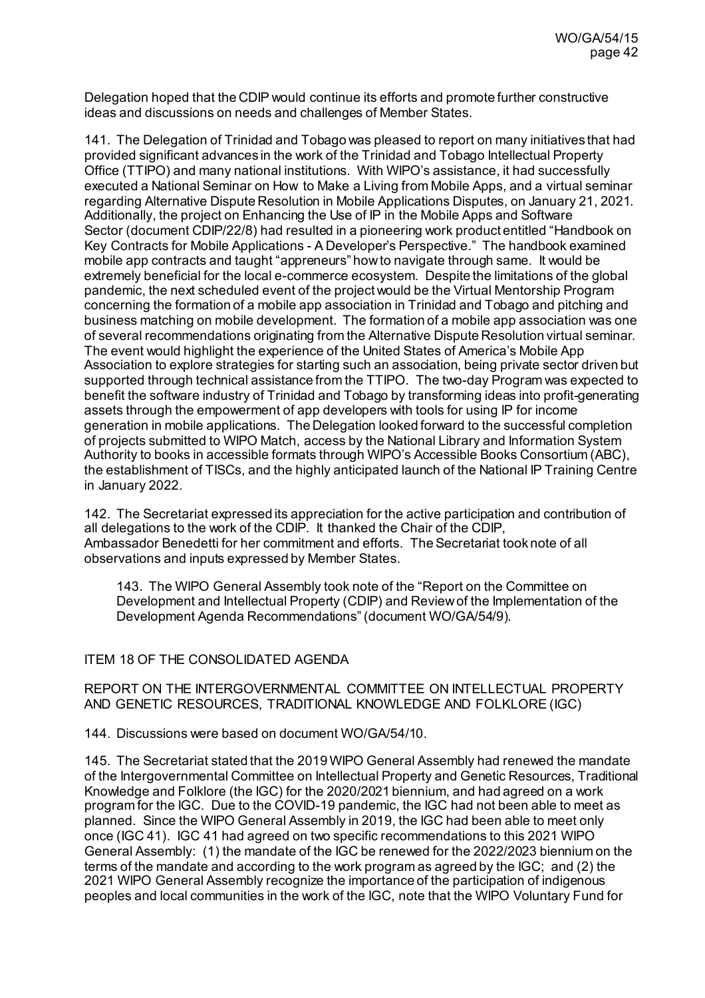Delegation hoped that the CDIP would continue its efforts and promote further constructive ideas and discussions on needs and challenges of Member States.

141. The Delegation of Trinidad and Tobago was pleased to report on many initiatives that had provided significant advances in the work of the Trinidad and Tobago Intellectual Property Office (TTIPO) and many national institutions. With WIPO's assistance, it had successfully executed a National Seminar on How to Make a Living from Mobile Apps, and a virtual seminar regarding Alternative Dispute Resolution in Mobile Applications Disputes, on January 21, 2021. Additionally, the project on Enhancing the Use of IP in the Mobile Apps and Software Sector (document CDIP/22/8) had resulted in a pioneering work product entitled "Handbook on Key Contracts for Mobile Applications - A Developer's Perspective." The handbook examined mobile app contracts and taught "appreneurs" how to navigate through same. It would be extremely beneficial for the local e-commerce ecosystem. Despite the limitations of the global pandemic, the next scheduled event of the project would be the Virtual Mentorship Program concerning the formation of a mobile app association in Trinidad and Tobago and pitching and business matching on mobile development. The formation of a mobile app association was one of several recommendations originating from the Alternative Dispute Resolution virtual seminar. The event would highlight the experience of the United States of America's Mobile App Association to explore strategies for starting such an association, being private sector driven but supported through technical assistance from the TTIPO. The two-day Program was expected to benefit the software industry of Trinidad and Tobago by transforming ideas into profit-generating assets through the empowerment of app developers with tools for using IP for income generation in mobile applications. The Delegation looked forward to the successful completion of projects submitted to WIPO Match, access by the National Library and Information System Authority to books in accessible formats through WIPO's Accessible Books Consortium (ABC), the establishment of TISCs, and the highly anticipated launch of the National IP Training Centre in January 2022.

142. The Secretariat expressed its appreciation for the active participation and contribution of all delegations to the work of the CDIP. It thanked the Chair of the CDIP, Ambassador Benedetti for her commitment and efforts. The Secretariat took note of all observations and inputs expressed by Member States.

143. The WIPO General Assembly took note of the "Report on the Committee on Development and Intellectual Property (CDIP) and Review of the Implementation of the Development Agenda Recommendations" (document WO/GA/54/9).

### ITEM 18 OF THE CONSOLIDATED AGENDA

REPORT ON THE INTERGOVERNMENTAL COMMITTEE ON INTELLECTUAL PROPERTY AND GENETIC RESOURCES, TRADITIONAL KNOWLEDGE AND FOLKLORE (IGC)

144. Discussions were based on documen[t WO/GA/54/10](https://www.wipo.int/about-wipo/en/assemblies/2021/a_62/doc_details.jsp?doc_id=550691).

145. The Secretariat stated that the 2019 WIPO General Assembly had renewed the mandate of the Intergovernmental Committee on Intellectual Property and Genetic Resources, Traditional Knowledge and Folklore (the IGC) for the 2020/2021 biennium, and had agreed on a work program for the IGC. Due to the COVID-19 pandemic, the IGC had not been able to meet as planned. Since the WIPO General Assembly in 2019, the IGC had been able to meet only once (IGC 41). IGC 41 had agreed on two specific recommendations to this 2021 WIPO General Assembly: (1) the mandate of the IGC be renewed for the 2022/2023 biennium on the terms of the mandate and according to the work program as agreed by the IGC; and (2) the 2021 WIPO General Assembly recognize the importance of the participation of indigenous peoples and local communities in the work of the IGC, note that the WIPO Voluntary Fund for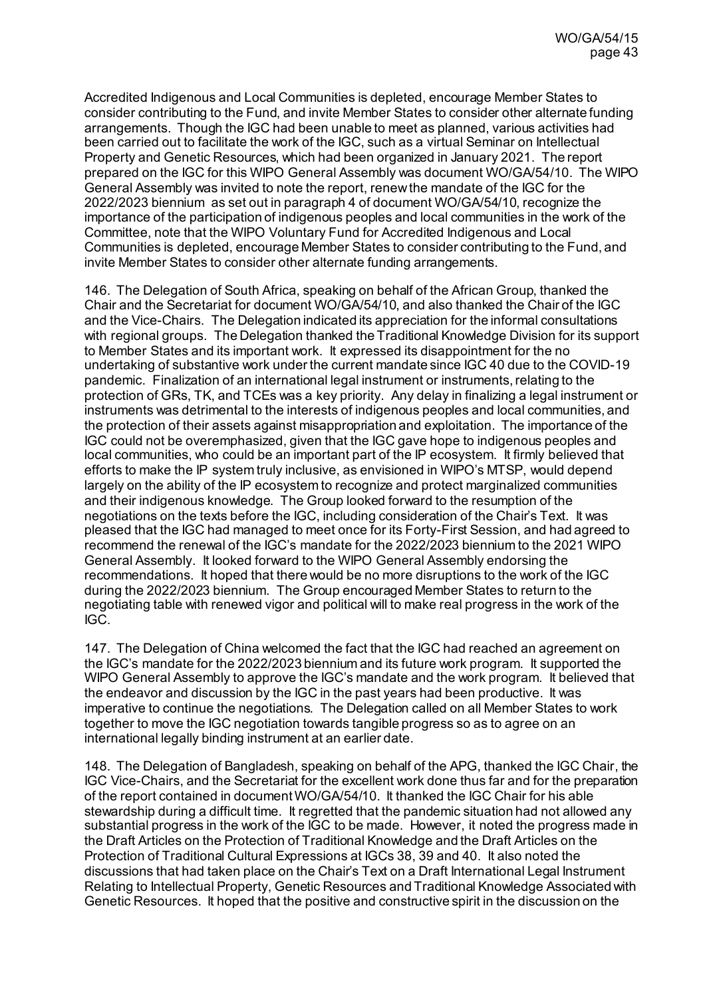Accredited Indigenous and Local Communities is depleted, encourage Member States to consider contributing to the Fund, and invite Member States to consider other alternate funding arrangements. Though the IGC had been unable to meet as planned, various activities had been carried out to facilitate the work of the IGC, such as a virtual Seminar on Intellectual Property and Genetic Resources, which had been organized in January 2021. The report prepared on the IGC for this WIPO General Assembly was document WO/GA/54/10. The WIPO General Assembly was invited to note the report, renew the mandate of the IGC for the 2022/2023 biennium as set out in paragraph 4 of document WO/GA/54/10, recognize the importance of the participation of indigenous peoples and local communities in the work of the Committee, note that the WIPO Voluntary Fund for Accredited Indigenous and Local Communities is depleted, encourage Member States to consider contributing to the Fund, and invite Member States to consider other alternate funding arrangements.

146. The Delegation of South Africa, speaking on behalf of the African Group, thanked the Chair and the Secretariat for document WO/GA/54/10, and also thanked the Chair of the IGC and the Vice-Chairs. The Delegation indicated its appreciation for the informal consultations with regional groups. The Delegation thanked the Traditional Knowledge Division for its support to Member States and its important work. It expressed its disappointment for the no undertaking of substantive work under the current mandate since IGC 40 due to the COVID-19 pandemic. Finalization of an international legal instrument or instruments, relating to the protection of GRs, TK, and TCEs was a key priority. Any delay in finalizing a legal instrument or instruments was detrimental to the interests of indigenous peoples and local communities, and the protection of their assets against misappropriation and exploitation. The importance of the IGC could not be overemphasized, given that the IGC gave hope to indigenous peoples and local communities, who could be an important part of the IP ecosystem. It firmly believed that efforts to make the IP system truly inclusive, as envisioned in WIPO's MTSP, would depend largely on the ability of the IP ecosystem to recognize and protect marginalized communities and their indigenous knowledge. The Group looked forward to the resumption of the negotiations on the texts before the IGC, including consideration of the Chair's Text. It was pleased that the IGC had managed to meet once for its Forty-First Session, and had agreed to recommend the renewal of the IGC's mandate for the 2022/2023 biennium to the 2021 WIPO General Assembly. It looked forward to the WIPO General Assembly endorsing the recommendations. It hoped that there would be no more disruptions to the work of the IGC during the 2022/2023 biennium. The Group encouraged Member States to return to the negotiating table with renewed vigor and political will to make real progress in the work of the IGC.

147. The Delegation of China welcomed the fact that the IGC had reached an agreement on the IGC's mandate for the 2022/2023 biennium and its future work program. It supported the WIPO General Assembly to approve the IGC's mandate and the work program. It believed that the endeavor and discussion by the IGC in the past years had been productive. It was imperative to continue the negotiations. The Delegation called on all Member States to work together to move the IGC negotiation towards tangible progress so as to agree on an international legally binding instrument at an earlier date.

148. The Delegation of Bangladesh, speaking on behalf of the APG, thanked the IGC Chair, the IGC Vice-Chairs, and the Secretariat for the excellent work done thus far and for the preparation of the report contained in document WO/GA/54/10. It thanked the IGC Chair for his able stewardship during a difficult time. It regretted that the pandemic situation had not allowed any substantial progress in the work of the IGC to be made. However, it noted the progress made in the Draft Articles on the Protection of Traditional Knowledge and the Draft Articles on the Protection of Traditional Cultural Expressions at IGCs 38, 39 and 40. It also noted the discussions that had taken place on the Chair's Text on a Draft International Legal Instrument Relating to Intellectual Property, Genetic Resources and Traditional Knowledge Associated with Genetic Resources. It hoped that the positive and constructive spirit in the discussion on the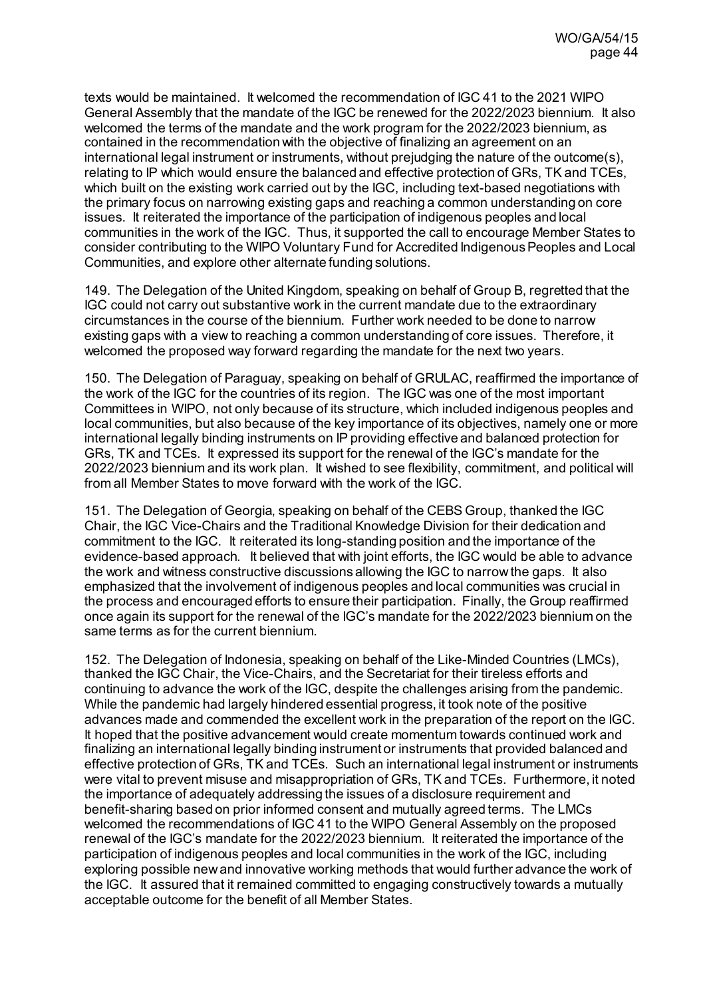texts would be maintained. It welcomed the recommendation of IGC 41 to the 2021 WIPO General Assembly that the mandate of the IGC be renewed for the 2022/2023 biennium. It also welcomed the terms of the mandate and the work program for the 2022/2023 biennium, as contained in the recommendation with the objective of finalizing an agreement on an international legal instrument or instruments, without prejudging the nature of the outcome(s), relating to IP which would ensure the balanced and effective protection of GRs, TK and TCEs, which built on the existing work carried out by the IGC, including text-based negotiations with the primary focus on narrowing existing gaps and reaching a common understanding on core issues. It reiterated the importance of the participation of indigenous peoples and local communities in the work of the IGC. Thus, it supported the call to encourage Member States to consider contributing to the WIPO Voluntary Fund for Accredited Indigenous Peoples and Local Communities, and explore other alternate funding solutions.

149. The Delegation of the United Kingdom, speaking on behalf of Group B, regretted that the IGC could not carry out substantive work in the current mandate due to the extraordinary circumstances in the course of the biennium. Further work needed to be done to narrow existing gaps with a view to reaching a common understanding of core issues. Therefore, it welcomed the proposed way forward regarding the mandate for the next two years.

150. The Delegation of Paraguay, speaking on behalf of GRULAC, reaffirmed the importance of the work of the IGC for the countries of its region. The IGC was one of the most important Committees in WIPO, not only because of its structure, which included indigenous peoples and local communities, but also because of the key importance of its objectives, namely one or more international legally binding instruments on IP providing effective and balanced protection for GRs, TK and TCEs. It expressed its support for the renewal of the IGC's mandate for the 2022/2023 biennium and its work plan. It wished to see flexibility, commitment, and political will from all Member States to move forward with the work of the IGC.

151. The Delegation of Georgia, speaking on behalf of the CEBS Group, thanked the IGC Chair, the IGC Vice-Chairs and the Traditional Knowledge Division for their dedication and commitment to the IGC. It reiterated its long-standing position and the importance of the evidence-based approach. It believed that with joint efforts, the IGC would be able to advance the work and witness constructive discussions allowing the IGC to narrow the gaps. It also emphasized that the involvement of indigenous peoples and local communities was crucial in the process and encouraged efforts to ensure their participation. Finally, the Group reaffirmed once again its support for the renewal of the IGC's mandate for the 2022/2023 biennium on the same terms as for the current biennium.

152. The Delegation of Indonesia, speaking on behalf of the Like-Minded Countries (LMCs), thanked the IGC Chair, the Vice-Chairs, and the Secretariat for their tireless efforts and continuing to advance the work of the IGC, despite the challenges arising from the pandemic. While the pandemic had largely hindered essential progress, it took note of the positive advances made and commended the excellent work in the preparation of the report on the IGC. It hoped that the positive advancement would create momentum towards continued work and finalizing an international legally binding instrument or instruments that provided balanced and effective protection of GRs, TK and TCEs. Such an international legal instrument or instruments were vital to prevent misuse and misappropriation of GRs, TK and TCEs. Furthermore, it noted the importance of adequately addressing the issues of a disclosure requirement and benefit-sharing based on prior informed consent and mutually agreed terms. The LMCs welcomed the recommendations of IGC 41 to the WIPO General Assembly on the proposed renewal of the IGC's mandate for the 2022/2023 biennium. It reiterated the importance of the participation of indigenous peoples and local communities in the work of the IGC, including exploring possible new and innovative working methods that would further advance the work of the IGC. It assured that it remained committed to engaging constructively towards a mutually acceptable outcome for the benefit of all Member States.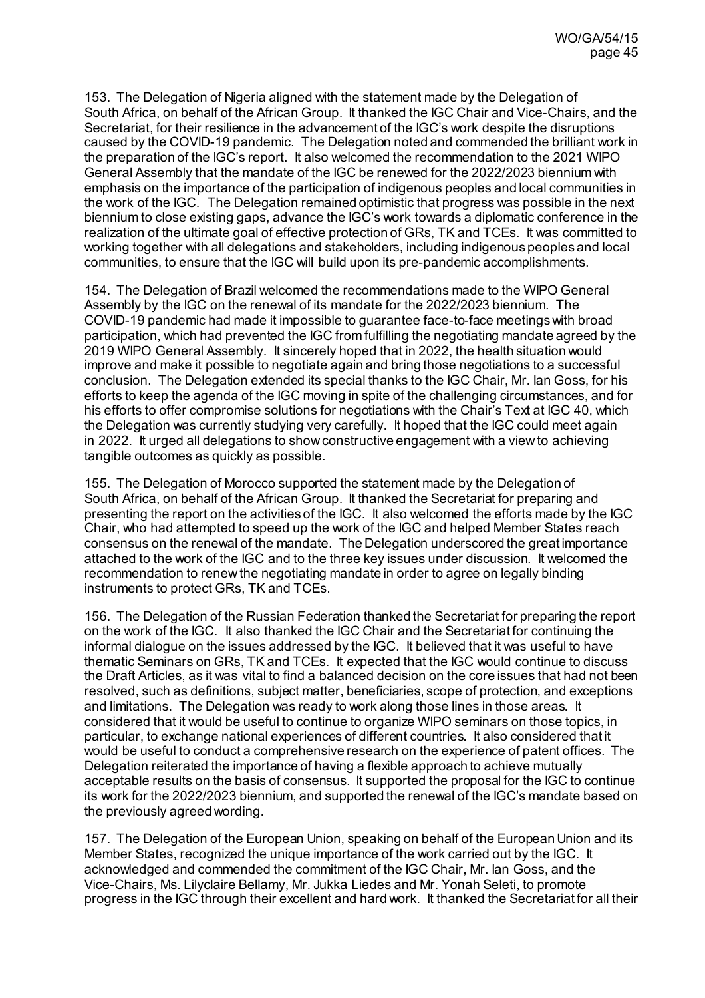153. The Delegation of Nigeria aligned with the statement made by the Delegation of South Africa, on behalf of the African Group. It thanked the IGC Chair and Vice-Chairs, and the Secretariat, for their resilience in the advancement of the IGC's work despite the disruptions caused by the COVID-19 pandemic. The Delegation noted and commended the brilliant work in the preparation of the IGC's report. It also welcomed the recommendation to the 2021 WIPO General Assembly that the mandate of the IGC be renewed for the 2022/2023 biennium with emphasis on the importance of the participation of indigenous peoples and local communities in the work of the IGC. The Delegation remained optimistic that progress was possible in the next biennium to close existing gaps, advance the IGC's work towards a diplomatic conference in the realization of the ultimate goal of effective protection of GRs, TK and TCEs. It was committed to working together with all delegations and stakeholders, including indigenous peoples and local communities, to ensure that the IGC will build upon its pre-pandemic accomplishments.

154. The Delegation of Brazil welcomed the recommendations made to the WIPO General Assembly by the IGC on the renewal of its mandate for the 2022/2023 biennium. The COVID-19 pandemic had made it impossible to guarantee face-to-face meetings with broad participation, which had prevented the IGC from fulfilling the negotiating mandate agreed by the 2019 WIPO General Assembly. It sincerely hoped that in 2022, the health situation would improve and make it possible to negotiate again and bring those negotiations to a successful conclusion. The Delegation extended its special thanks to the IGC Chair, Mr. Ian Goss, for his efforts to keep the agenda of the IGC moving in spite of the challenging circumstances, and for his efforts to offer compromise solutions for negotiations with the Chair's Text at IGC 40, which the Delegation was currently studying very carefully. It hoped that the IGC could meet again in 2022. It urged all delegations to show constructive engagement with a view to achieving tangible outcomes as quickly as possible.

155. The Delegation of Morocco supported the statement made by the Delegation of South Africa, on behalf of the African Group. It thanked the Secretariat for preparing and presenting the report on the activities of the IGC. It also welcomed the efforts made by the IGC Chair, who had attempted to speed up the work of the IGC and helped Member States reach consensus on the renewal of the mandate. The Delegation underscored the great importance attached to the work of the IGC and to the three key issues under discussion. It welcomed the recommendation to renew the negotiating mandate in order to agree on legally binding instruments to protect GRs, TK and TCEs.

156. The Delegation of the Russian Federation thanked the Secretariat for preparing the report on the work of the IGC. It also thanked the IGC Chair and the Secretariat for continuing the informal dialogue on the issues addressed by the IGC. It believed that it was useful to have thematic Seminars on GRs, TK and TCEs. It expected that the IGC would continue to discuss the Draft Articles, as it was vital to find a balanced decision on the core issues that had not been resolved, such as definitions, subject matter, beneficiaries, scope of protection, and exceptions and limitations. The Delegation was ready to work along those lines in those areas. It considered that it would be useful to continue to organize WIPO seminars on those topics, in particular, to exchange national experiences of different countries. It also considered that it would be useful to conduct a comprehensive research on the experience of patent offices. The Delegation reiterated the importance of having a flexible approach to achieve mutually acceptable results on the basis of consensus. It supported the proposal for the IGC to continue its work for the 2022/2023 biennium, and supported the renewal of the IGC's mandate based on the previously agreed wording.

157. The Delegation of the European Union, speaking on behalf of the European Union and its Member States, recognized the unique importance of the work carried out by the IGC. It acknowledged and commended the commitment of the IGC Chair, Mr. Ian Goss, and the Vice-Chairs, Ms. Lilyclaire Bellamy, Mr. Jukka Liedes and Mr. Yonah Seleti, to promote progress in the IGC through their excellent and hard work. It thanked the Secretariat for all their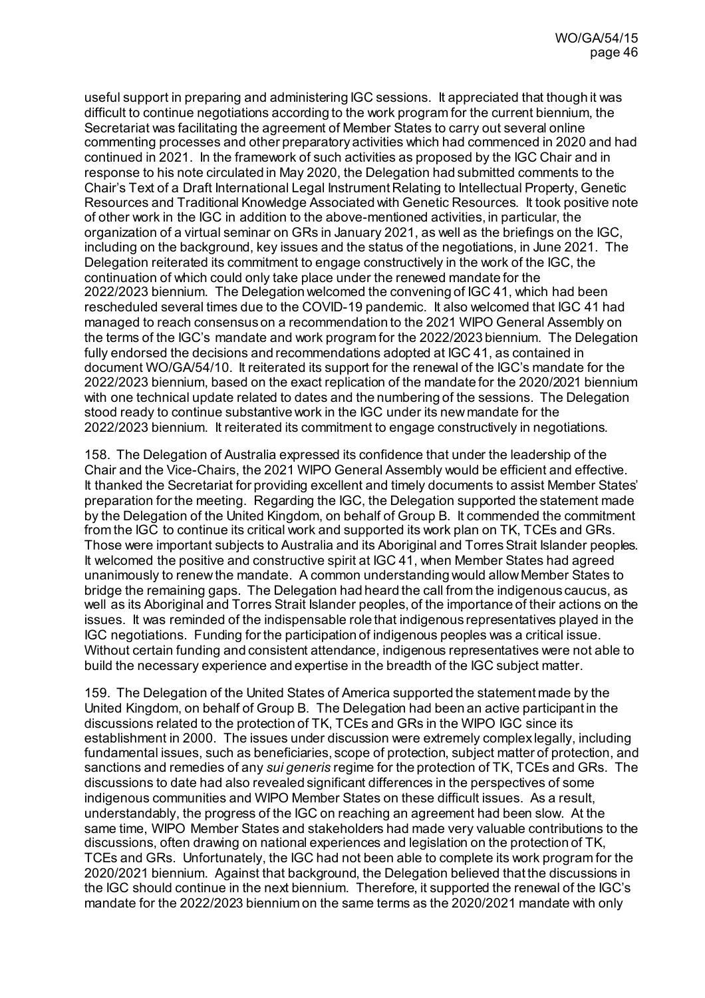useful support in preparing and administering IGC sessions. It appreciated that though it was difficult to continue negotiations according to the work program for the current biennium, the Secretariat was facilitating the agreement of Member States to carry out several online commenting processes and other preparatory activities which had commenced in 2020 and had continued in 2021. In the framework of such activities as proposed by the IGC Chair and in response to his note circulated in May 2020, the Delegation had submitted comments to the Chair's Text of a Draft International Legal Instrument Relating to Intellectual Property, Genetic Resources and Traditional Knowledge Associated with Genetic Resources. It took positive note of other work in the IGC in addition to the above-mentioned activities, in particular, the organization of a virtual seminar on GRs in January 2021, as well as the briefings on the IGC, including on the background, key issues and the status of the negotiations, in June 2021. The Delegation reiterated its commitment to engage constructively in the work of the IGC, the continuation of which could only take place under the renewed mandate for the 2022/2023 biennium. The Delegation welcomed the convening of IGC 41, which had been rescheduled several times due to the COVID-19 pandemic. It also welcomed that IGC 41 had managed to reach consensus on a recommendation to the 2021 WIPO General Assembly on the terms of the IGC's mandate and work program for the 2022/2023 biennium. The Delegation fully endorsed the decisions and recommendations adopted at IGC 41, as contained in document WO/GA/54/10. It reiterated its support for the renewal of the IGC's mandate for the 2022/2023 biennium, based on the exact replication of the mandate for the 2020/2021 biennium with one technical update related to dates and the numbering of the sessions. The Delegation stood ready to continue substantive work in the IGC under its new mandate for the 2022/2023 biennium. It reiterated its commitment to engage constructively in negotiations.

158. The Delegation of Australia expressed its confidence that under the leadership of the Chair and the Vice-Chairs, the 2021 WIPO General Assembly would be efficient and effective. It thanked the Secretariat for providing excellent and timely documents to assist Member States' preparation for the meeting. Regarding the IGC, the Delegation supported the statement made by the Delegation of the United Kingdom, on behalf of Group B. It commended the commitment from the IGC to continue its critical work and supported its work plan on TK, TCEs and GRs. Those were important subjects to Australia and its Aboriginal and Torres Strait Islander peoples. It welcomed the positive and constructive spirit at IGC 41, when Member States had agreed unanimously to renew the mandate. A common understanding would allow Member States to bridge the remaining gaps. The Delegation had heard the call from the indigenous caucus, as well as its Aboriginal and Torres Strait Islander peoples, of the importance of their actions on the issues. It was reminded of the indispensable role that indigenous representatives played in the IGC negotiations. Funding for the participation of indigenous peoples was a critical issue. Without certain funding and consistent attendance, indigenous representatives were not able to build the necessary experience and expertise in the breadth of the IGC subject matter.

159. The Delegation of the United States of America supported the statement made by the United Kingdom, on behalf of Group B. The Delegation had been an active participant in the discussions related to the protection of TK, TCEs and GRs in the WIPO IGC since its establishment in 2000. The issues under discussion were extremely complex legally, including fundamental issues, such as beneficiaries, scope of protection, subject matter of protection, and sanctions and remedies of any *sui generis* regime for the protection of TK, TCEs and GRs. The discussions to date had also revealed significant differences in the perspectives of some indigenous communities and WIPO Member States on these difficult issues. As a result, understandably, the progress of the IGC on reaching an agreement had been slow. At the same time, WIPO Member States and stakeholders had made very valuable contributions to the discussions, often drawing on national experiences and legislation on the protection of TK, TCEs and GRs. Unfortunately, the IGC had not been able to complete its work program for the 2020/2021 biennium. Against that background, the Delegation believed that the discussions in the IGC should continue in the next biennium. Therefore, it supported the renewal of the IGC's mandate for the 2022/2023 biennium on the same terms as the 2020/2021 mandate with only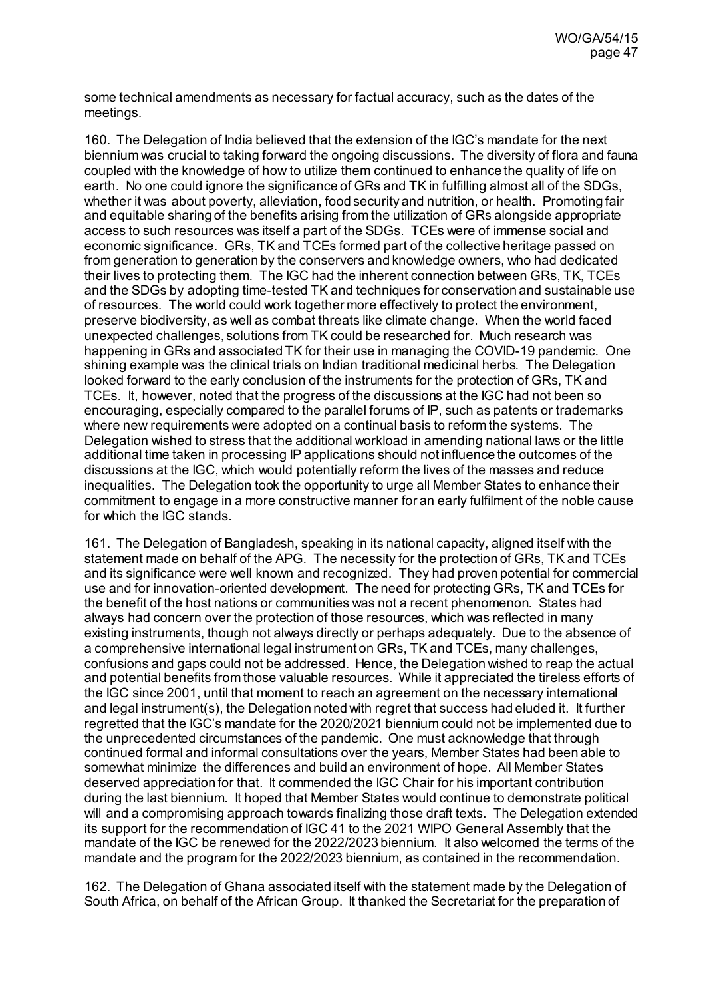some technical amendments as necessary for factual accuracy, such as the dates of the meetings.

160. The Delegation of India believed that the extension of the IGC's mandate for the next biennium was crucial to taking forward the ongoing discussions. The diversity of flora and fauna coupled with the knowledge of how to utilize them continued to enhance the quality of life on earth. No one could ignore the significance of GRs and TK in fulfilling almost all of the SDGs, whether it was about poverty, alleviation, food security and nutrition, or health. Promoting fair and equitable sharing of the benefits arising from the utilization of GRs alongside appropriate access to such resources was itself a part of the SDGs. TCEs were of immense social and economic significance. GRs, TK and TCEs formed part of the collective heritage passed on from generation to generation by the conservers and knowledge owners, who had dedicated their lives to protecting them. The IGC had the inherent connection between GRs, TK, TCEs and the SDGs by adopting time-tested TK and techniques for conservation and sustainable use of resources. The world could work together more effectively to protect the environment, preserve biodiversity, as well as combat threats like climate change. When the world faced unexpected challenges, solutions from TK could be researched for. Much research was happening in GRs and associated TK for their use in managing the COVID-19 pandemic. One shining example was the clinical trials on Indian traditional medicinal herbs. The Delegation looked forward to the early conclusion of the instruments for the protection of GRs, TK and TCEs. It, however, noted that the progress of the discussions at the IGC had not been so encouraging, especially compared to the parallel forums of IP, such as patents or trademarks where new requirements were adopted on a continual basis to reform the systems. The Delegation wished to stress that the additional workload in amending national laws or the little additional time taken in processing IP applications should not influence the outcomes of the discussions at the IGC, which would potentially reform the lives of the masses and reduce inequalities. The Delegation took the opportunity to urge all Member States to enhance their commitment to engage in a more constructive manner for an early fulfilment of the noble cause for which the IGC stands.

161. The Delegation of Bangladesh, speaking in its national capacity, aligned itself with the statement made on behalf of the APG. The necessity for the protection of GRs, TK and TCEs and its significance were well known and recognized. They had proven potential for commercial use and for innovation-oriented development. The need for protecting GRs, TK and TCEs for the benefit of the host nations or communities was not a recent phenomenon. States had always had concern over the protection of those resources, which was reflected in many existing instruments, though not always directly or perhaps adequately. Due to the absence of a comprehensive international legal instrument on GRs, TK and TCEs, many challenges, confusions and gaps could not be addressed. Hence, the Delegation wished to reap the actual and potential benefits from those valuable resources. While it appreciated the tireless efforts of the IGC since 2001, until that moment to reach an agreement on the necessary international and legal instrument(s), the Delegation noted with regret that success had eluded it. It further regretted that the IGC's mandate for the 2020/2021 biennium could not be implemented due to the unprecedented circumstances of the pandemic. One must acknowledge that through continued formal and informal consultations over the years, Member States had been able to somewhat minimize the differences and build an environment of hope. All Member States deserved appreciation for that. It commended the IGC Chair for his important contribution during the last biennium. It hoped that Member States would continue to demonstrate political will and a compromising approach towards finalizing those draft texts. The Delegation extended its support for the recommendation of IGC 41 to the 2021 WIPO General Assembly that the mandate of the IGC be renewed for the 2022/2023 biennium. It also welcomed the terms of the mandate and the program for the 2022/2023 biennium, as contained in the recommendation.

162. The Delegation of Ghana associated itself with the statement made by the Delegation of South Africa, on behalf of the African Group. It thanked the Secretariat for the preparation of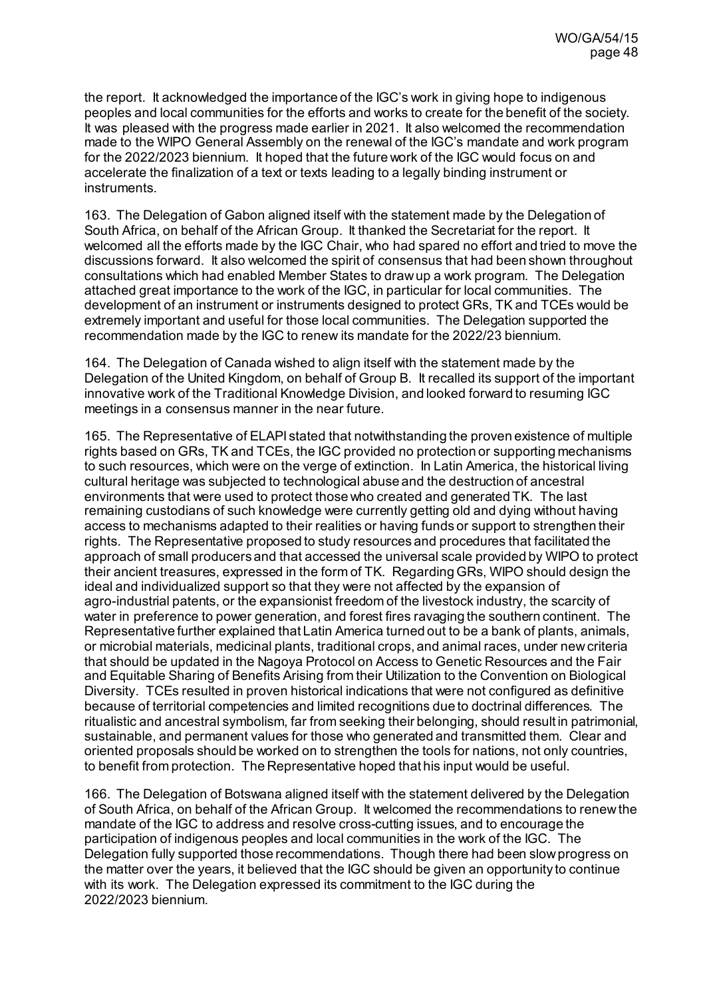the report. It acknowledged the importance of the IGC's work in giving hope to indigenous peoples and local communities for the efforts and works to create for the benefit of the society. It was pleased with the progress made earlier in 2021. It also welcomed the recommendation made to the WIPO General Assembly on the renewal of the IGC's mandate and work program for the 2022/2023 biennium. It hoped that the future work of the IGC would focus on and accelerate the finalization of a text or texts leading to a legally binding instrument or instruments.

163. The Delegation of Gabon aligned itself with the statement made by the Delegation of South Africa, on behalf of the African Group. It thanked the Secretariat for the report. It welcomed all the efforts made by the IGC Chair, who had spared no effort and tried to move the discussions forward. It also welcomed the spirit of consensus that had been shown throughout consultations which had enabled Member States to draw up a work program. The Delegation attached great importance to the work of the IGC, in particular for local communities. The development of an instrument or instruments designed to protect GRs, TK and TCEs would be extremely important and useful for those local communities. The Delegation supported the recommendation made by the IGC to renew its mandate for the 2022/23 biennium.

164. The Delegation of Canada wished to align itself with the statement made by the Delegation of the United Kingdom, on behalf of Group B. It recalled its support of the important innovative work of the Traditional Knowledge Division, and looked forward to resuming IGC meetings in a consensus manner in the near future.

165. The Representative of ELAPI stated that notwithstanding the proven existence of multiple rights based on GRs, TK and TCEs, the IGC provided no protection or supporting mechanisms to such resources, which were on the verge of extinction. In Latin America, the historical living cultural heritage was subjected to technological abuse and the destruction of ancestral environments that were used to protect those who created and generated TK. The last remaining custodians of such knowledge were currently getting old and dying without having access to mechanisms adapted to their realities or having funds or support to strengthen their rights. The Representative proposed to study resources and procedures that facilitated the approach of small producers and that accessed the universal scale provided by WIPO to protect their ancient treasures, expressed in the form of TK. Regarding GRs, WIPO should design the ideal and individualized support so that they were not affected by the expansion of agro-industrial patents, or the expansionist freedom of the livestock industry, the scarcity of water in preference to power generation, and forest fires ravaging the southern continent. The Representative further explained that Latin America turned out to be a bank of plants, animals, or microbial materials, medicinal plants, traditional crops, and animal races, under new criteria that should be updated in the Nagoya Protocol on Access to Genetic Resources and the Fair and Equitable Sharing of Benefits Arising from their Utilization to the Convention on Biological Diversity. TCEs resulted in proven historical indications that were not configured as definitive because of territorial competencies and limited recognitions due to doctrinal differences. The ritualistic and ancestral symbolism, far from seeking their belonging, should result in patrimonial, sustainable, and permanent values for those who generated and transmitted them. Clear and oriented proposals should be worked on to strengthen the tools for nations, not only countries, to benefit from protection. The Representative hoped that his input would be useful.

166. The Delegation of Botswana aligned itself with the statement delivered by the Delegation of South Africa, on behalf of the African Group. It welcomed the recommendations to renew the mandate of the IGC to address and resolve cross-cutting issues, and to encourage the participation of indigenous peoples and local communities in the work of the IGC. The Delegation fully supported those recommendations. Though there had been slow progress on the matter over the years, it believed that the IGC should be given an opportunity to continue with its work. The Delegation expressed its commitment to the IGC during the 2022/2023 biennium.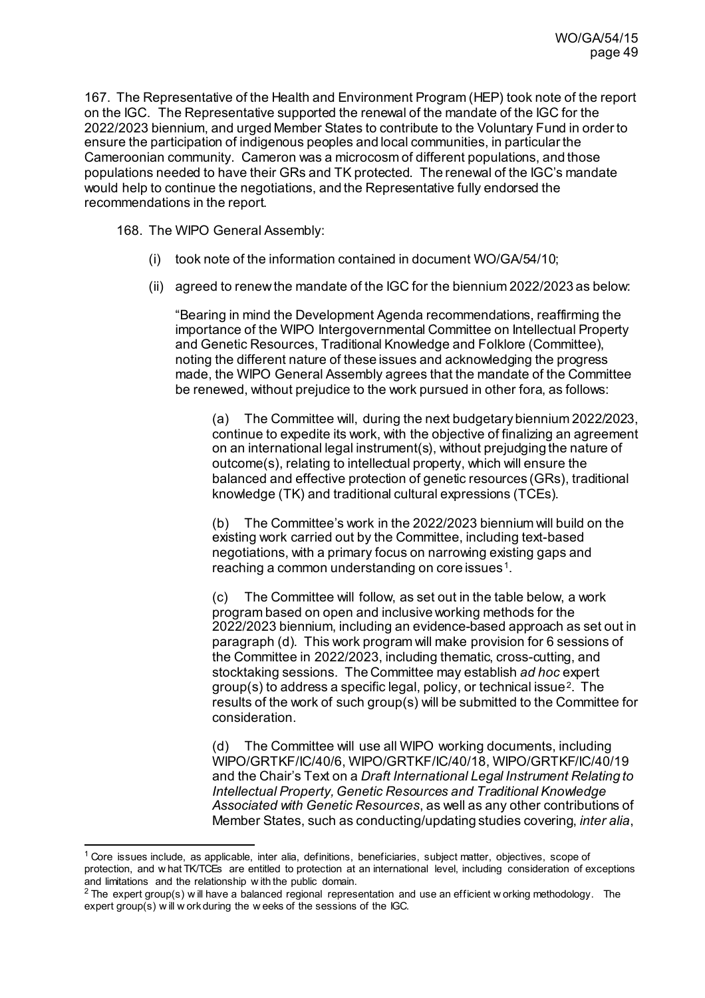167. The Representative of the Health and Environment Program (HEP) took note of the report on the IGC. The Representative supported the renewal of the mandate of the IGC for the 2022/2023 biennium, and urged Member States to contribute to the Voluntary Fund in order to ensure the participation of indigenous peoples and local communities, in particular the Cameroonian community. Cameron was a microcosm of different populations, and those populations needed to have their GRs and TK protected. The renewal of the IGC's mandate would help to continue the negotiations, and the Representative fully endorsed the recommendations in the report.

168. The WIPO General Assembly:

- (i) took note of the information contained in document WO/GA/54/10;
- (ii) agreed to renew the mandate of the IGC for the biennium 2022/2023 as below:

"Bearing in mind the Development Agenda recommendations, reaffirming the importance of the WIPO Intergovernmental Committee on Intellectual Property and Genetic Resources, Traditional Knowledge and Folklore (Committee), noting the different nature of these issues and acknowledging the progress made, the WIPO General Assembly agrees that the mandate of the Committee be renewed, without prejudice to the work pursued in other fora, as follows:

(a) The Committee will, during the next budgetary biennium 2022/2023, continue to expedite its work, with the objective of finalizing an agreement on an international legal instrument(s), without prejudging the nature of outcome(s), relating to intellectual property, which will ensure the balanced and effective protection of genetic resources (GRs), traditional knowledge (TK) and traditional cultural expressions (TCEs).

(b) The Committee's work in the 2022/2023 biennium will build on the existing work carried out by the Committee, including text-based negotiations, with a primary focus on narrowing existing gaps and reaching a common understanding on core issues<sup>1</sup>.

(c) The Committee will follow, as set out in the table below, a work program based on open and inclusive working methods for the 2022/2023 biennium, including an evidence-based approach as set out in paragraph (d). This work program will make provision for 6 sessions of the Committee in 2022/2023, including thematic, cross-cutting, and stocktaking sessions. The Committee may establish *ad hoc* expert group(s) to address a specific legal, policy, or technical issue<sup>[2](#page-48-1)</sup>. The results of the work of such group(s) will be submitted to the Committee for consideration.

(d) The Committee will use all WIPO working documents, including WIPO/GRTKF/IC/40/6, WIPO/GRTKF/IC/40/18, WIPO/GRTKF/IC/40/19 and the Chair's Text on a *Draft International Legal Instrument Relating to Intellectual Property, Genetic Resources and Traditional Knowledge Associated with Genetic Resources*, as well as any other contributions of Member States, such as conducting/updating studies covering, *inter alia*,

<span id="page-48-0"></span> $1$  Core issues include, as applicable, inter alia, definitions, beneficiaries, subject matter, objectives, scope of protection, and w hat TK/TCEs are entitled to protection at an international level, including consideration of exceptions and limitations and the relationship w ith the public domain.

<span id="page-48-1"></span> $2$  The expert group(s) w ill have a balanced regional representation and use an efficient w orking methodology. The expert group(s) w ill w ork during the w eeks of the sessions of the IGC.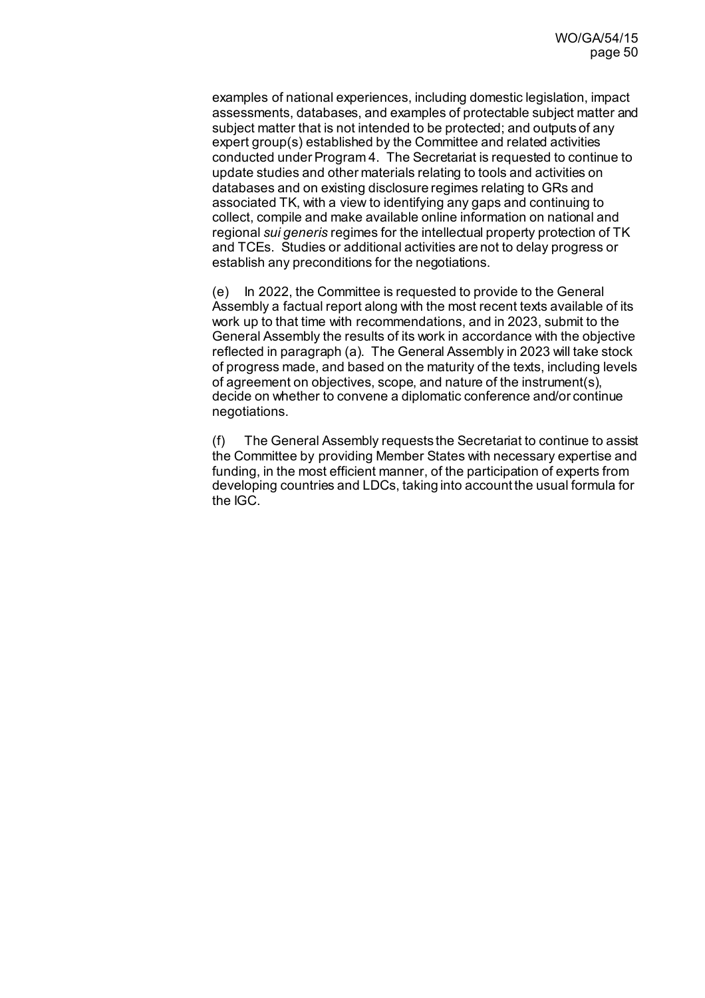examples of national experiences, including domestic legislation, impact assessments, databases, and examples of protectable subject matter and subject matter that is not intended to be protected; and outputs of any expert group(s) established by the Committee and related activities conducted under Program 4. The Secretariat is requested to continue to update studies and other materials relating to tools and activities on databases and on existing disclosure regimes relating to GRs and associated TK, with a view to identifying any gaps and continuing to collect, compile and make available online information on national and regional *sui generis* regimes for the intellectual property protection of TK and TCEs. Studies or additional activities are not to delay progress or establish any preconditions for the negotiations.

(e) In 2022, the Committee is requested to provide to the General Assembly a factual report along with the most recent texts available of its work up to that time with recommendations, and in 2023, submit to the General Assembly the results of its work in accordance with the objective reflected in paragraph (a). The General Assembly in 2023 will take stock of progress made, and based on the maturity of the texts, including levels of agreement on objectives, scope, and nature of the instrument(s), decide on whether to convene a diplomatic conference and/or continue negotiations.

(f) The General Assembly requests the Secretariat to continue to assist the Committee by providing Member States with necessary expertise and funding, in the most efficient manner, of the participation of experts from developing countries and LDCs, taking into account the usual formula for the IGC.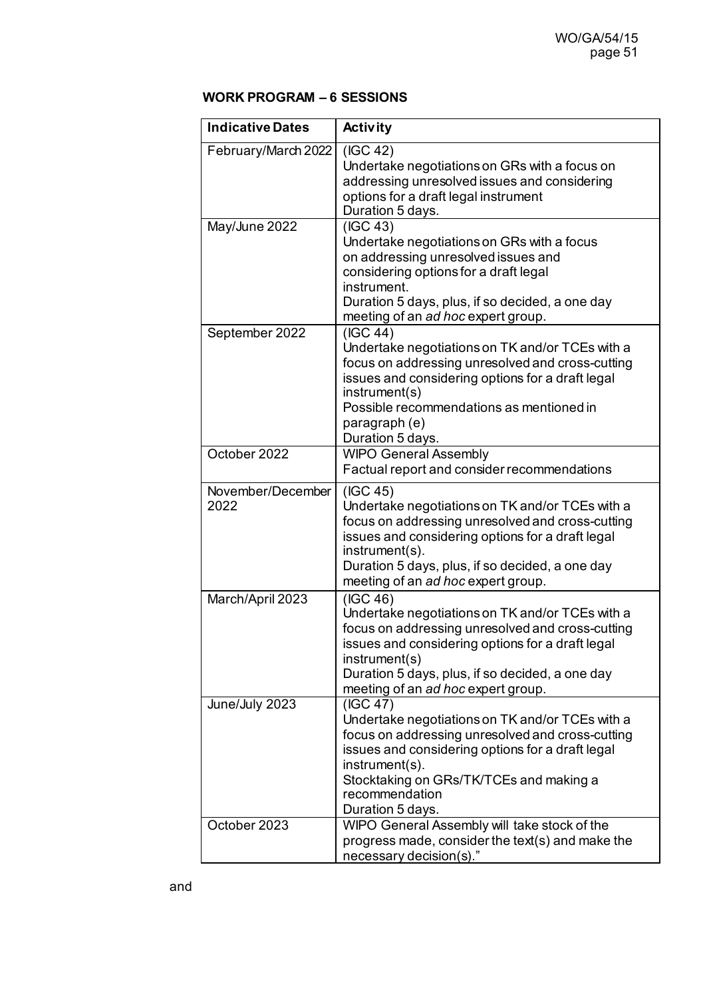# **WORK PROGRAM – 6 SESSIONS**

| <b>Indicative Dates</b>   | <b>Activity</b>                                                                                                                                                                                                                                                                |
|---------------------------|--------------------------------------------------------------------------------------------------------------------------------------------------------------------------------------------------------------------------------------------------------------------------------|
| February/March 2022       | (IGC 42)<br>Undertake negotiations on GRs with a focus on<br>addressing unresolved issues and considering<br>options for a draft legal instrument<br>Duration 5 days.                                                                                                          |
| May/June 2022             | (IGC 43)<br>Undertake negotiations on GRs with a focus<br>on addressing unresolved issues and<br>considering options for a draft legal<br>instrument.<br>Duration 5 days, plus, if so decided, a one day<br>meeting of an ad hoc expert group.                                 |
| September 2022            | (IGC 44)<br>Undertake negotiations on TK and/or TCEs with a<br>focus on addressing unresolved and cross-cutting<br>issues and considering options for a draft legal<br>instrument(s)<br>Possible recommendations as mentioned in<br>paragraph (e)<br>Duration 5 days.          |
| October 2022              | <b>WIPO General Assembly</b><br>Factual report and consider recommendations                                                                                                                                                                                                    |
| November/December<br>2022 | (IGC 45)<br>Undertake negotiations on TK and/or TCEs with a<br>focus on addressing unresolved and cross-cutting<br>issues and considering options for a draft legal<br>instrument(s).<br>Duration 5 days, plus, if so decided, a one day<br>meeting of an ad hoc expert group. |
| March/April 2023          | (IGC 46)<br>Undertake negotiations on TK and/or TCEs with a<br>focus on addressing unresolved and cross-cutting<br>issues and considering options for a draft legal<br>instrument(s)<br>Duration 5 days, plus, if so decided, a one day<br>meeting of an ad hoc expert group.  |
| June/July 2023            | (IGC 47)<br>Undertake negotiations on TK and/or TCEs with a<br>focus on addressing unresolved and cross-cutting<br>issues and considering options for a draft legal<br>instrument(s).<br>Stocktaking on GRs/TK/TCEs and making a<br>recommendation<br>Duration 5 days.         |
| October 2023              | WIPO General Assembly will take stock of the<br>progress made, consider the text(s) and make the<br>necessary decision(s)."                                                                                                                                                    |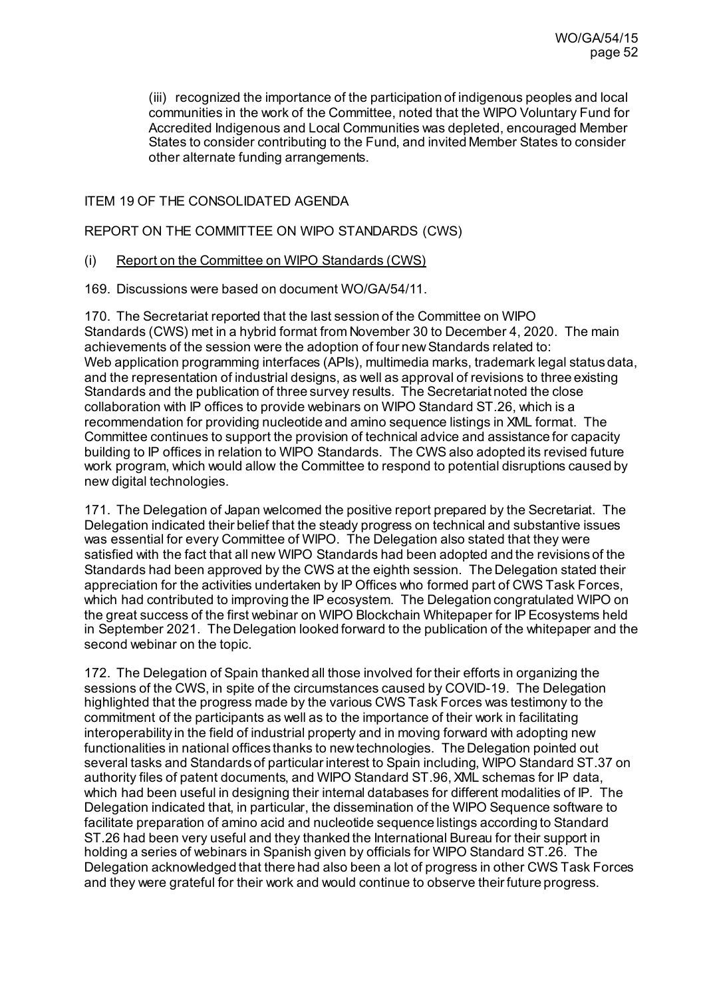(iii) recognized the importance of the participation of indigenous peoples and local communities in the work of the Committee, noted that the WIPO Voluntary Fund for Accredited Indigenous and Local Communities was depleted, encouraged Member States to consider contributing to the Fund, and invited Member States to consider other alternate funding arrangements.

### ITEM 19 OF THE CONSOLIDATED AGENDA

### REPORT ON THE COMMITTEE ON WIPO STANDARDS (CWS)

### (i) Report on the Committee on WIPO Standards (CWS)

169. Discussions were based on document [WO/GA/54/11](https://www.wipo.int/about-wipo/en/assemblies/2021/a_62/doc_details.jsp?doc_id=544432).

170. The Secretariat reported that the last session of the Committee on WIPO Standards (CWS) met in a hybrid format from November 30 to December 4, 2020. The main achievements of the session were the adoption of four new Standards related to: Web application programming interfaces (APIs), multimedia marks, trademark legal status data, and the representation of industrial designs, as well as approval of revisions to three existing Standards and the publication of three survey results. The Secretariat noted the close collaboration with IP offices to provide webinars on WIPO Standard ST.26, which is a recommendation for providing nucleotide and amino sequence listings in XML format. The Committee continues to support the provision of technical advice and assistance for capacity building to IP offices in relation to WIPO Standards. The CWS also adopted its revised future work program, which would allow the Committee to respond to potential disruptions caused by new digital technologies.

171. The Delegation of Japan welcomed the positive report prepared by the Secretariat. The Delegation indicated their belief that the steady progress on technical and substantive issues was essential for every Committee of WIPO. The Delegation also stated that they were satisfied with the fact that all new WIPO Standards had been adopted and the revisions of the Standards had been approved by the CWS at the eighth session. The Delegation stated their appreciation for the activities undertaken by IP Offices who formed part of CWS Task Forces, which had contributed to improving the IP ecosystem. The Delegation congratulated WIPO on the great success of the first webinar on WIPO Blockchain Whitepaper for IP Ecosystems held in September 2021. The Delegation looked forward to the publication of the whitepaper and the second webinar on the topic.

172. The Delegation of Spain thanked all those involved for their efforts in organizing the sessions of the CWS, in spite of the circumstances caused by COVID-19. The Delegation highlighted that the progress made by the various CWS Task Forces was testimony to the commitment of the participants as well as to the importance of their work in facilitating interoperability in the field of industrial property and in moving forward with adopting new functionalities in national offices thanks to new technologies. The Delegation pointed out several tasks and Standards of particular interest to Spain including, WIPO Standard ST.37 on authority files of patent documents, and WIPO Standard ST.96, XML schemas for IP data, which had been useful in designing their internal databases for different modalities of IP. The Delegation indicated that, in particular, the dissemination of the WIPO Sequence software to facilitate preparation of amino acid and nucleotide sequence listings according to Standard ST.26 had been very useful and they thanked the International Bureau for their support in holding a series of webinars in Spanish given by officials for WIPO Standard ST.26. The Delegation acknowledged that there had also been a lot of progress in other CWS Task Forces and they were grateful for their work and would continue to observe their future progress.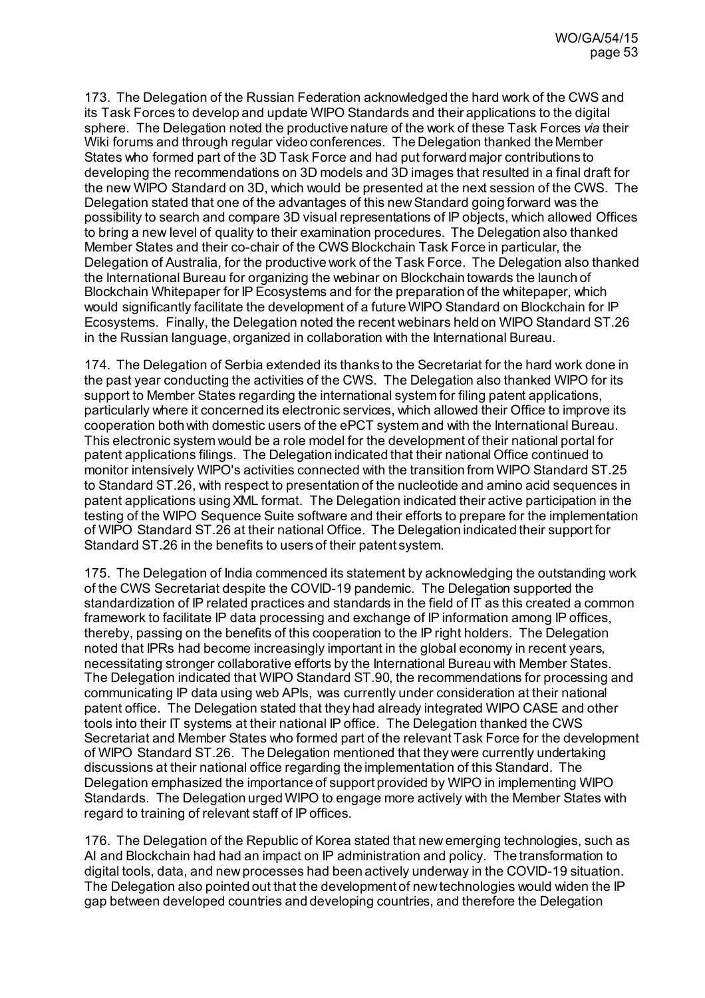173. The Delegation of the Russian Federation acknowledged the hard work of the CWS and its Task Forces to develop and update WIPO Standards and their applications to the digital sphere. The Delegation noted the productive nature of the work of these Task Forces *via* their Wiki forums and through regular video conferences. The Delegation thanked the Member States who formed part of the 3D Task Force and had put forward major contributions to developing the recommendations on 3D models and 3D images that resulted in a final draft for the new WIPO Standard on 3D, which would be presented at the next session of the CWS. The Delegation stated that one of the advantages of this new Standard going forward was the possibility to search and compare 3D visual representations of IP objects, which allowed Offices to bring a new level of quality to their examination procedures. The Delegation also thanked Member States and their co-chair of the CWS Blockchain Task Force in particular, the Delegation of Australia, for the productive work of the Task Force. The Delegation also thanked the International Bureau for organizing the webinar on Blockchain towards the launch of Blockchain Whitepaper for IP Ecosystems and for the preparation of the whitepaper, which would significantly facilitate the development of a future WIPO Standard on Blockchain for IP Ecosystems. Finally, the Delegation noted the recent webinars held on WIPO Standard ST.26 in the Russian language, organized in collaboration with the International Bureau.

174. The Delegation of Serbia extended its thanks to the Secretariat for the hard work done in the past year conducting the activities of the CWS. The Delegation also thanked WIPO for its support to Member States regarding the international system for filing patent applications, particularly where it concerned its electronic services, which allowed their Office to improve its cooperation both with domestic users of the ePCT system and with the International Bureau. This electronic system would be a role model for the development of their national portal for patent applications filings. The Delegation indicated that their national Office continued to monitor intensively WIPO's activities connected with the transition from WIPO Standard ST.25 to Standard ST.26, with respect to presentation of the nucleotide and amino acid sequences in patent applications using XML format. The Delegation indicated their active participation in the testing of the WIPO Sequence Suite software and their efforts to prepare for the implementation of WIPO Standard ST.26 at their national Office. The Delegation indicated their support for Standard ST.26 in the benefits to users of their patent system.

175. The Delegation of India commenced its statement by acknowledging the outstanding work of the CWS Secretariat despite the COVID-19 pandemic. The Delegation supported the standardization of IP related practices and standards in the field of IT as this created a common framework to facilitate IP data processing and exchange of IP information among IP offices, thereby, passing on the benefits of this cooperation to the IP right holders. The Delegation noted that IPRs had become increasingly important in the global economy in recent years, necessitating stronger collaborative efforts by the International Bureau with Member States. The Delegation indicated that WIPO Standard ST.90, the recommendations for processing and communicating IP data using web APIs, was currently under consideration at their national patent office. The Delegation stated that they had already integrated WIPO CASE and other tools into their IT systems at their national IP office. The Delegation thanked the CWS Secretariat and Member States who formed part of the relevant Task Force for the development of WIPO Standard ST.26. The Delegation mentioned that they were currently undertaking discussions at their national office regarding the implementation of this Standard. The Delegation emphasized the importance of support provided by WIPO in implementing WIPO Standards. The Delegation urged WIPO to engage more actively with the Member States with regard to training of relevant staff of IP offices.

176. The Delegation of the Republic of Korea stated that new emerging technologies, such as AI and Blockchain had had an impact on IP administration and policy. The transformation to digital tools, data, and new processes had been actively underway in the COVID-19 situation. The Delegation also pointed out that the development of new technologies would widen the IP gap between developed countries and developing countries, and therefore the Delegation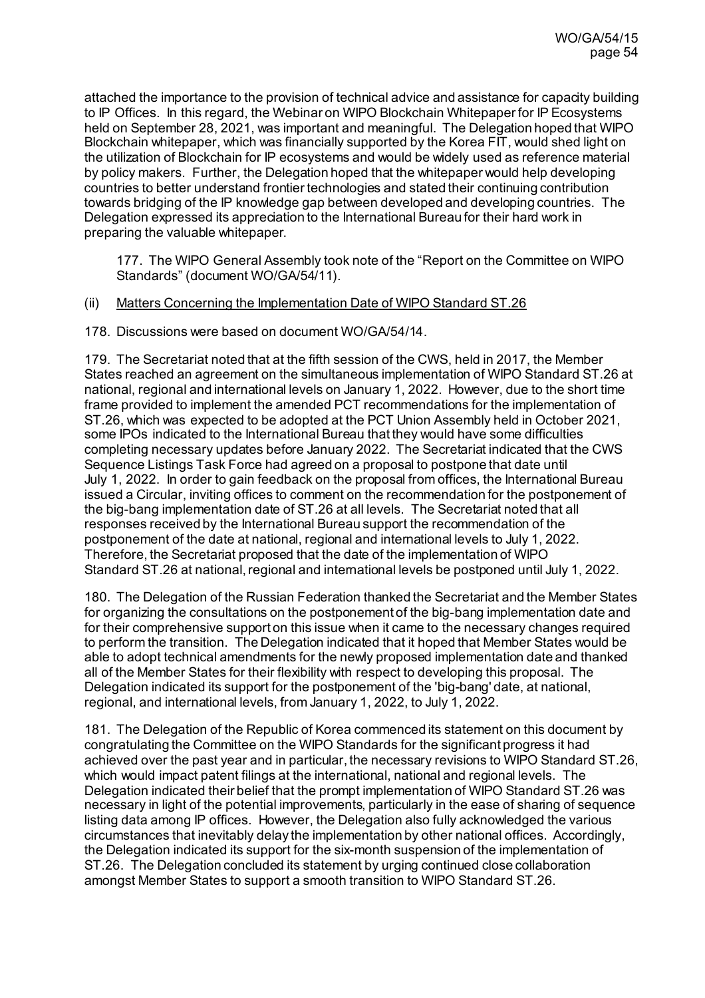attached the importance to the provision of technical advice and assistance for capacity building to IP Offices. In this regard, the Webinar on WIPO Blockchain Whitepaper for IP Ecosystems held on September 28, 2021, was important and meaningful. The Delegation hoped that WIPO Blockchain whitepaper, which was financially supported by the Korea FIT, would shed light on the utilization of Blockchain for IP ecosystems and would be widely used as reference material by policy makers. Further, the Delegation hoped that the whitepaper would help developing countries to better understand frontier technologies and stated their continuing contribution towards bridging of the IP knowledge gap between developed and developing countries. The Delegation expressed its appreciation to the International Bureau for their hard work in preparing the valuable whitepaper.

177. The WIPO General Assembly took note of the "Report on the Committee on WIPO Standards" (document WO/GA/54/11).

#### (ii) Matters Concerning the Implementation Date of WIPO Standard ST.26

178. Discussions were based on documen[t WO/GA/54/14](https://www.wipo.int/about-wipo/en/assemblies/2021/a_62/doc_details.jsp?doc_id=549023).

179. The Secretariat noted that at the fifth session of the CWS, held in 2017, the Member States reached an agreement on the simultaneous implementation of WIPO Standard ST.26 at national, regional and international levels on January 1, 2022. However, due to the short time frame provided to implement the amended PCT recommendations for the implementation of ST.26, which was expected to be adopted at the PCT Union Assembly held in October 2021, some IPOs indicated to the International Bureau that they would have some difficulties completing necessary updates before January 2022. The Secretariat indicated that the CWS Sequence Listings Task Force had agreed on a proposal to postpone that date until July 1, 2022. In order to gain feedback on the proposal from offices, the International Bureau issued a Circular, inviting offices to comment on the recommendation for the postponement of the big-bang implementation date of ST.26 at all levels. The Secretariat noted that all responses received by the International Bureau support the recommendation of the postponement of the date at national, regional and international levels to July 1, 2022. Therefore, the Secretariat proposed that the date of the implementation of WIPO Standard ST.26 at national, regional and international levels be postponed until July 1, 2022.

180. The Delegation of the Russian Federation thanked the Secretariat and the Member States for organizing the consultations on the postponement of the big-bang implementation date and for their comprehensive support on this issue when it came to the necessary changes required to perform the transition. The Delegation indicated that it hoped that Member States would be able to adopt technical amendments for the newly proposed implementation date and thanked all of the Member States for their flexibility with respect to developing this proposal. The Delegation indicated its support for the postponement of the 'big-bang' date, at national, regional, and international levels, from January 1, 2022, to July 1, 2022.

181. The Delegation of the Republic of Korea commenced its statement on this document by congratulating the Committee on the WIPO Standards for the significant progress it had achieved over the past year and in particular, the necessary revisions to WIPO Standard ST.26, which would impact patent filings at the international, national and regional levels. The Delegation indicated their belief that the prompt implementation of WIPO Standard ST.26 was necessary in light of the potential improvements, particularly in the ease of sharing of sequence listing data among IP offices. However, the Delegation also fully acknowledged the various circumstances that inevitably delay the implementation by other national offices. Accordingly, the Delegation indicated its support for the six-month suspension of the implementation of ST.26. The Delegation concluded its statement by urging continued close collaboration amongst Member States to support a smooth transition to WIPO Standard ST.26.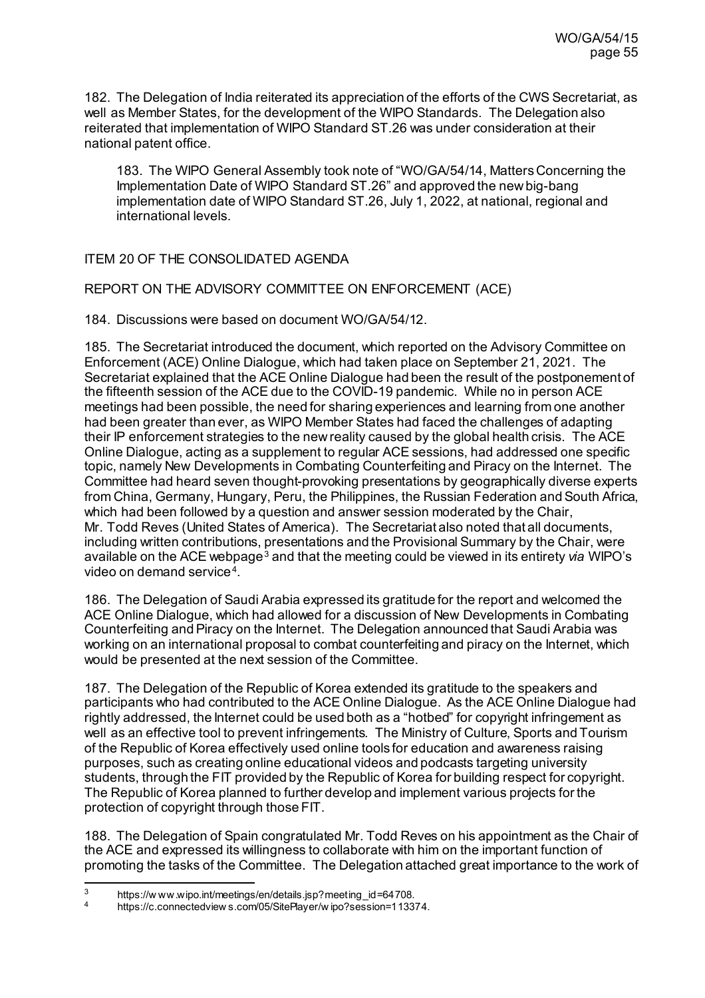182. The Delegation of India reiterated its appreciation of the efforts of the CWS Secretariat, as well as Member States, for the development of the WIPO Standards. The Delegation also reiterated that implementation of WIPO Standard ST.26 was under consideration at their national patent office.

183. The WIPO General Assembly took note of "WO/GA/54/14, Matters Concerning the Implementation Date of WIPO Standard ST.26" and approved the new big-bang implementation date of WIPO Standard ST.26, July 1, 2022, at national, regional and international levels.

# ITEM 20 OF THE CONSOLIDATED AGENDA

REPORT ON THE ADVISORY COMMITTEE ON ENFORCEMENT (ACE)

184. Discussions were based on document [WO/GA/54/12](https://www.wipo.int/about-wipo/en/assemblies/2021/a_62/doc_details.jsp?doc_id=552059).

185. The Secretariat introduced the document, which reported on the Advisory Committee on Enforcement (ACE) Online Dialogue, which had taken place on September 21, 2021. The Secretariat explained that the ACE Online Dialogue had been the result of the postponement of the fifteenth session of the ACE due to the COVID-19 pandemic. While no in person ACE meetings had been possible, the need for sharing experiences and learning from one another had been greater than ever, as WIPO Member States had faced the challenges of adapting their IP enforcement strategies to the new reality caused by the global health crisis. The ACE Online Dialogue, acting as a supplement to regular ACE sessions, had addressed one specific topic, namely New Developments in Combating Counterfeiting and Piracy on the Internet. The Committee had heard seven thought-provoking presentations by geographically diverse experts from China, Germany, Hungary, Peru, the Philippines, the Russian Federation and South Africa, which had been followed by a question and answer session moderated by the Chair, Mr. Todd Reves (United States of America). The Secretariat also noted that all documents, including written contributions, presentations and the Provisional Summary by the Chair, were available on the ACE webpage[3](#page-54-0) and that the meeting could be viewed in its entirety *via* WIPO's video on demand service[4](#page-54-1).

186. The Delegation of Saudi Arabia expressed its gratitude for the report and welcomed the ACE Online Dialogue, which had allowed for a discussion of New Developments in Combating Counterfeiting and Piracy on the Internet. The Delegation announced that Saudi Arabia was working on an international proposal to combat counterfeiting and piracy on the Internet, which would be presented at the next session of the Committee.

187. The Delegation of the Republic of Korea extended its gratitude to the speakers and participants who had contributed to the ACE Online Dialogue. As the ACE Online Dialogue had rightly addressed, the Internet could be used both as a "hotbed" for copyright infringement as well as an effective tool to prevent infringements. The Ministry of Culture, Sports and Tourism of the Republic of Korea effectively used online tools for education and awareness raising purposes, such as creating online educational videos and podcasts targeting university students, through the FIT provided by the Republic of Korea for building respect for copyright. The Republic of Korea planned to further develop and implement various projects for the protection of copyright through those FIT.

188. The Delegation of Spain congratulated Mr. Todd Reves on his appointment as the Chair of the ACE and expressed its willingness to collaborate with him on the important function of promoting the tasks of the Committee. The Delegation attached great importance to the work of

<span id="page-54-0"></span><sup>3</sup> [https://w ww.wipo.int/meetings/en/details.jsp?meeting\\_id=64708.](https://www.wipo.int/meetings/en/details.jsp?meeting_id=64708) 4 [https://c.connectedview s.com/05/SitePlayer/w ipo?session=113374.](https://c.connectedviews.com/05/SitePlayer/wipo?session=113374) 

<span id="page-54-1"></span>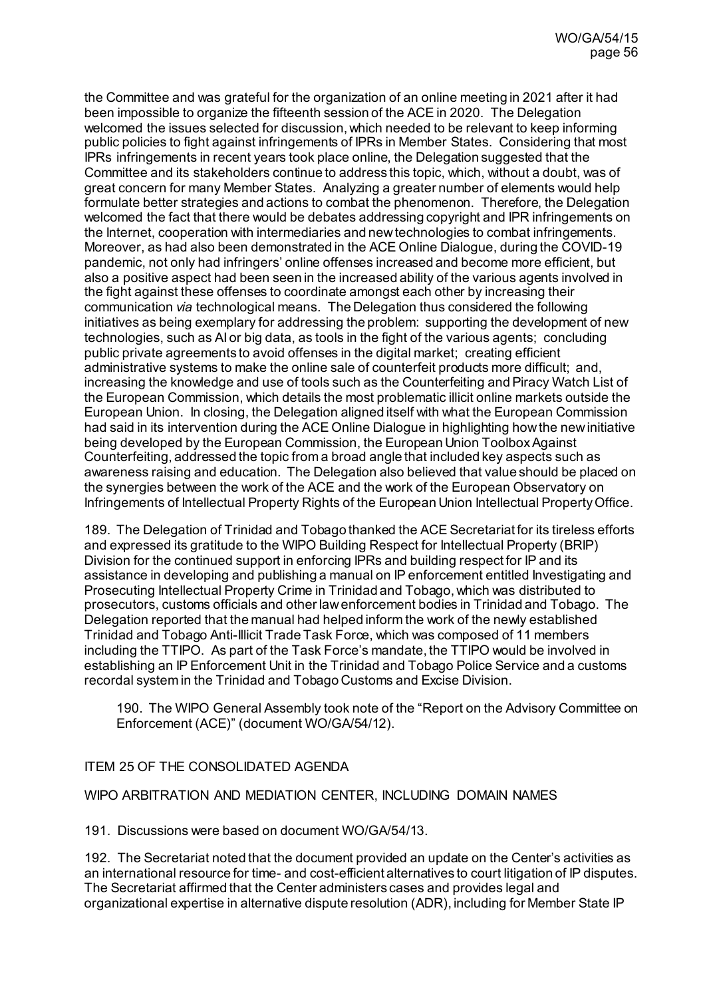the Committee and was grateful for the organization of an online meeting in 2021 after it had been impossible to organize the fifteenth session of the ACE in 2020. The Delegation welcomed the issues selected for discussion, which needed to be relevant to keep informing public policies to fight against infringements of IPRs in Member States. Considering that most IPRs infringements in recent years took place online, the Delegation suggested that the Committee and its stakeholders continue to address this topic, which, without a doubt, was of great concern for many Member States. Analyzing a greater number of elements would help formulate better strategies and actions to combat the phenomenon. Therefore, the Delegation welcomed the fact that there would be debates addressing copyright and IPR infringements on the Internet, cooperation with intermediaries and new technologies to combat infringements. Moreover, as had also been demonstrated in the ACE Online Dialogue, during the COVID-19 pandemic, not only had infringers' online offenses increased and become more efficient, but also a positive aspect had been seen in the increased ability of the various agents involved in the fight against these offenses to coordinate amongst each other by increasing their communication *via* technological means. The Delegation thus considered the following initiatives as being exemplary for addressing the problem: supporting the development of new technologies, such as AI or big data, as tools in the fight of the various agents; concluding public private agreements to avoid offenses in the digital market; creating efficient administrative systems to make the online sale of counterfeit products more difficult; and, increasing the knowledge and use of tools such as the Counterfeiting and Piracy Watch List of the European Commission, which details the most problematic illicit online markets outside the European Union. In closing, the Delegation aligned itself with what the European Commission had said in its intervention during the ACE Online Dialogue in highlighting how the new initiative being developed by the European Commission, the European Union Toolbox Against Counterfeiting, addressed the topic from a broad angle that included key aspects such as awareness raising and education. The Delegation also believed that value should be placed on the synergies between the work of the ACE and the work of the European Observatory on Infringements of Intellectual Property Rights of the European Union Intellectual Property Office.

189. The Delegation of Trinidad and Tobago thanked the ACE Secretariat for its tireless efforts and expressed its gratitude to the WIPO Building Respect for Intellectual Property (BRIP) Division for the continued support in enforcing IPRs and building respect for IP and its assistance in developing and publishing a manual on IP enforcement entitled Investigating and Prosecuting Intellectual Property Crime in Trinidad and Tobago, which was distributed to prosecutors, customs officials and other law enforcement bodies in Trinidad and Tobago. The Delegation reported that the manual had helped inform the work of the newly established Trinidad and Tobago Anti-Illicit Trade Task Force, which was composed of 11 members including the TTIPO. As part of the Task Force's mandate, the TTIPO would be involved in establishing an IP Enforcement Unit in the Trinidad and Tobago Police Service and a customs recordal system in the Trinidad and Tobago Customs and Excise Division.

190. The WIPO General Assembly took note of the "Report on the Advisory Committee on Enforcement (ACE)" (document WO/GA/54/12).

# ITEM 25 OF THE CONSOLIDATED AGENDA

### WIPO ARBITRATION AND MEDIATION CENTER, INCLUDING DOMAIN NAMES

191. Discussions were based on documen[t WO/GA/54/13](https://www.wipo.int/about-wipo/en/assemblies/2021/a_62/doc_details.jsp?doc_id=547756).

192. The Secretariat noted that the document provided an update on the Center's activities as an international resource for time- and cost-efficient alternatives to court litigation of IP disputes. The Secretariat affirmed that the Center administers cases and provides legal and organizational expertise in alternative dispute resolution (ADR), including for Member State IP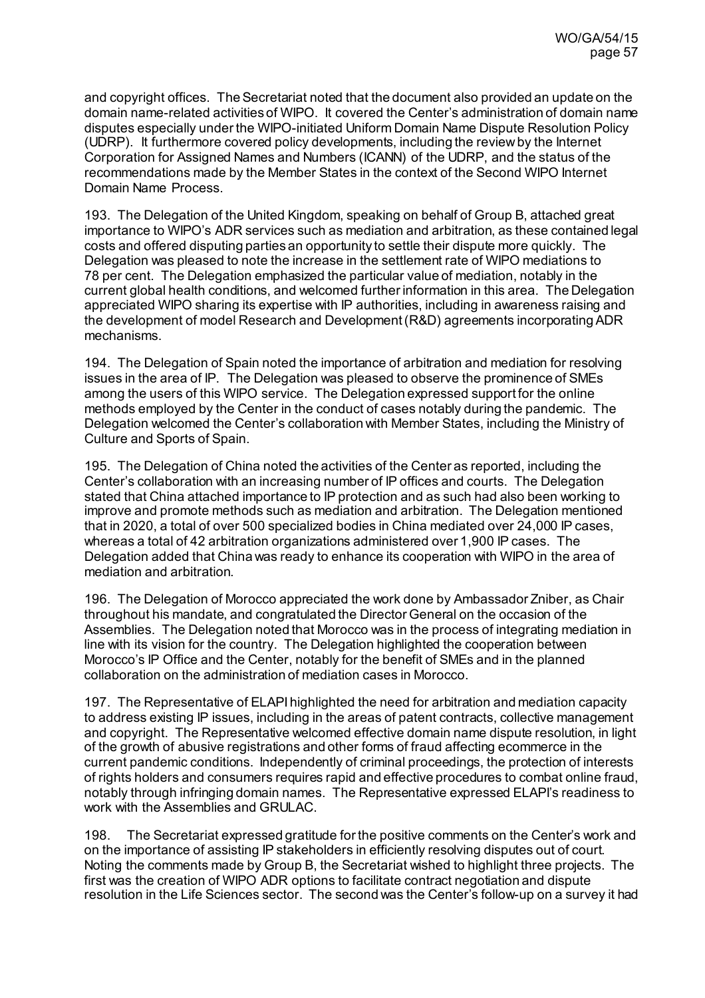and copyright offices. The Secretariat noted that the document also provided an update on the domain name-related activities of WIPO. It covered the Center's administration of domain name disputes especially under the WIPO-initiated Uniform Domain Name Dispute Resolution Policy (UDRP). It furthermore covered policy developments, including the review by the Internet Corporation for Assigned Names and Numbers (ICANN) of the UDRP, and the status of the recommendations made by the Member States in the context of the Second WIPO Internet Domain Name Process.

193. The Delegation of the United Kingdom, speaking on behalf of Group B, attached great importance to WIPO's ADR services such as mediation and arbitration, as these contained legal costs and offered disputing parties an opportunity to settle their dispute more quickly. The Delegation was pleased to note the increase in the settlement rate of WIPO mediations to 78 per cent. The Delegation emphasized the particular value of mediation, notably in the current global health conditions, and welcomed further information in this area. The Delegation appreciated WIPO sharing its expertise with IP authorities, including in awareness raising and the development of model Research and Development (R&D) agreements incorporating ADR mechanisms.

194. The Delegation of Spain noted the importance of arbitration and mediation for resolving issues in the area of IP. The Delegation was pleased to observe the prominence of SMEs among the users of this WIPO service. The Delegation expressed support for the online methods employed by the Center in the conduct of cases notably during the pandemic. The Delegation welcomed the Center's collaboration with Member States, including the Ministry of Culture and Sports of Spain.

195. The Delegation of China noted the activities of the Center as reported, including the Center's collaboration with an increasing number of IP offices and courts. The Delegation stated that China attached importance to IP protection and as such had also been working to improve and promote methods such as mediation and arbitration. The Delegation mentioned that in 2020, a total of over 500 specialized bodies in China mediated over 24,000 IP cases, whereas a total of 42 arbitration organizations administered over 1,900 IP cases. The Delegation added that China was ready to enhance its cooperation with WIPO in the area of mediation and arbitration.

196. The Delegation of Morocco appreciated the work done by Ambassador Zniber, as Chair throughout his mandate, and congratulated the Director General on the occasion of the Assemblies. The Delegation noted that Morocco was in the process of integrating mediation in line with its vision for the country. The Delegation highlighted the cooperation between Morocco's IP Office and the Center, notably for the benefit of SMEs and in the planned collaboration on the administration of mediation cases in Morocco.

197. The Representative of ELAPI highlighted the need for arbitration and mediation capacity to address existing IP issues, including in the areas of patent contracts, collective management and copyright. The Representative welcomed effective domain name dispute resolution, in light of the growth of abusive registrations and other forms of fraud affecting ecommerce in the current pandemic conditions. Independently of criminal proceedings, the protection of interests of rights holders and consumers requires rapid and effective procedures to combat online fraud, notably through infringing domain names. The Representative expressed ELAPI's readiness to work with the Assemblies and GRULAC.

198. The Secretariat expressed gratitude for the positive comments on the Center's work and on the importance of assisting IP stakeholders in efficiently resolving disputes out of court. Noting the comments made by Group B, the Secretariat wished to highlight three projects. The first was the creation of WIPO ADR options to facilitate contract negotiation and dispute resolution in the Life Sciences sector. The second was the Center's follow-up on a survey it had